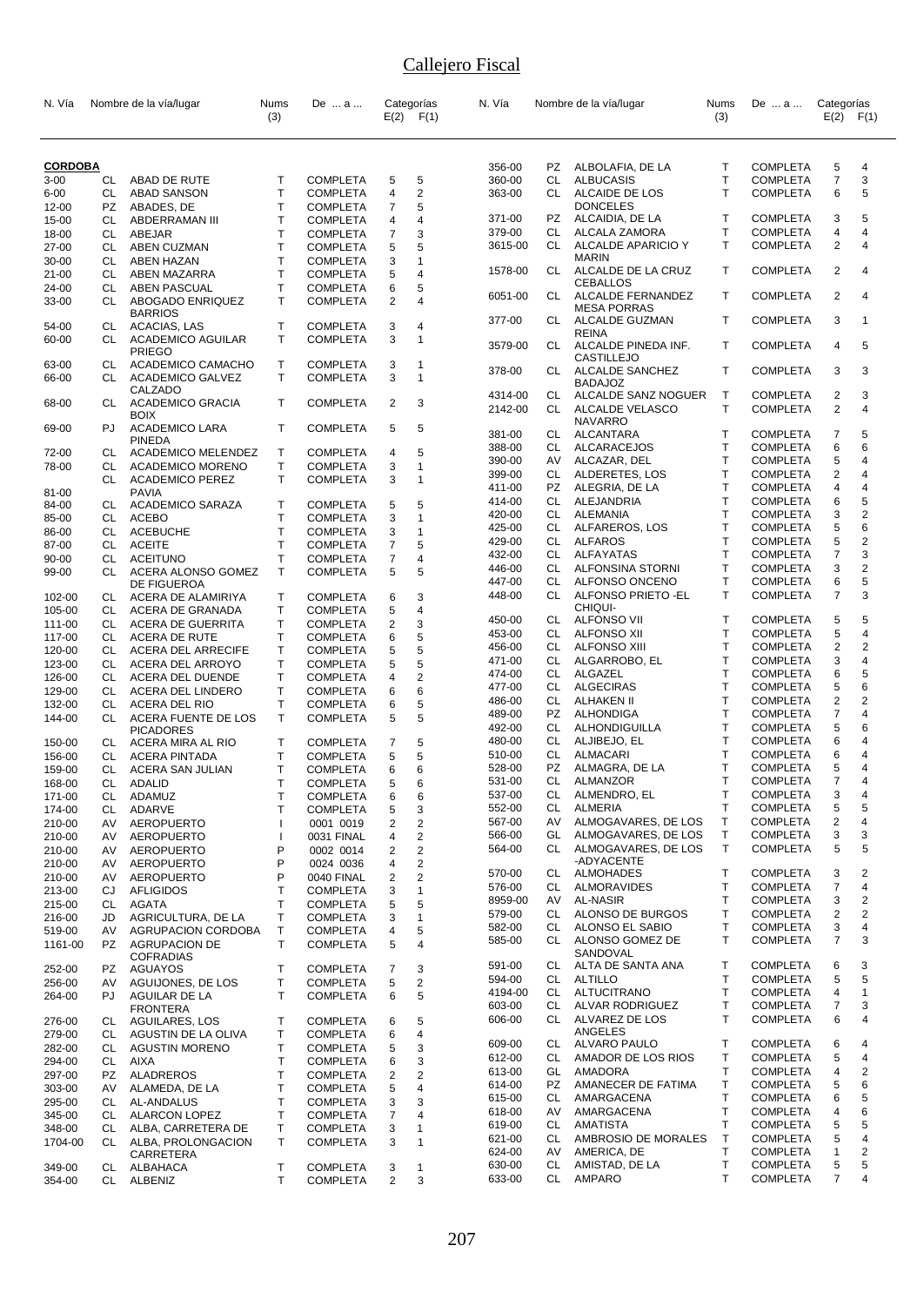| N. Vía         |     | Nombre de la vía/lugar    | Nums<br>(3)  | De  a           |                | Categorías<br>$E(2)$ $F(1)$ | N. Vía  |           | Nombre de la vía/lugar | Nums<br>(3)  | De  a           | Categorías<br>E(2)      | F(1)         |
|----------------|-----|---------------------------|--------------|-----------------|----------------|-----------------------------|---------|-----------|------------------------|--------------|-----------------|-------------------------|--------------|
|                |     |                           |              |                 |                |                             |         |           |                        |              |                 |                         |              |
| <b>CORDOBA</b> |     |                           |              |                 |                |                             | 356-00  | PZ        | ALBOLAFIA, DE LA       | Т            | <b>COMPLETA</b> | 5                       | 4            |
| $3 - 00$       | CL  | ABAD DE RUTE              | T            | <b>COMPLETA</b> | 5              | 5                           | 360-00  | CL        | <b>ALBUCASIS</b>       | $\mathsf{T}$ | <b>COMPLETA</b> | $\overline{7}$          | 3            |
| $6 - 00$       | СL  | <b>ABAD SANSON</b>        | $\mathsf{T}$ | <b>COMPLETA</b> | 4              | 2                           | 363-00  | CL        | ALCAIDE DE LOS         | T            | <b>COMPLETA</b> | 6                       | 5            |
| 12-00          | PZ  | ABADES, DE                | Т            | <b>COMPLETA</b> | 7              | 5                           |         |           | <b>DONCELES</b>        |              |                 |                         |              |
| 15-00          | CL  | ABDERRAMAN III            | T            | <b>COMPLETA</b> | 4              | 4                           | 371-00  | PZ.       | ALCAIDIA, DE LA        | $\mathsf{T}$ | <b>COMPLETA</b> | 3                       | 5            |
| 18-00          | CL  | ABEJAR                    | T            | <b>COMPLETA</b> | 7              | 3                           | 379-00  | CL        | ALCALA ZAMORA          | Т            | <b>COMPLETA</b> | 4                       | 4            |
| 27-00          | CL  | <b>ABEN CUZMAN</b>        | T            | <b>COMPLETA</b> | 5              | 5                           | 3615-00 | CL.       | ALCALDE APARICIO Y     | T            | <b>COMPLETA</b> | $\overline{2}$          | 4            |
| 30-00          | СL  | <b>ABEN HAZAN</b>         | T            | <b>COMPLETA</b> | 3              | 1                           |         |           | <b>MARIN</b>           |              |                 |                         |              |
| $21 - 00$      | СL  | <b>ABEN MAZARRA</b>       | T            | <b>COMPLETA</b> | 5              | 4                           | 1578-00 | CL        | ALCALDE DE LA CRUZ     | $\mathsf{T}$ | <b>COMPLETA</b> | 2                       | 4            |
| 24-00          | CL  | ABEN PASCUAL              | Τ            | <b>COMPLETA</b> | 6              | 5                           |         |           | <b>CEBALLOS</b>        |              |                 |                         |              |
| 33-00          | CL  | ABOGADO ENRIQUEZ          | T            | <b>COMPLETA</b> | $\overline{2}$ | 4                           | 6051-00 | CL        | ALCALDE FERNANDEZ      | $\mathsf{T}$ | <b>COMPLETA</b> | $\overline{2}$          | 4            |
|                |     | <b>BARRIOS</b>            |              |                 |                |                             |         |           | <b>MESA PORRAS</b>     |              |                 |                         |              |
| 54-00          | CL  | ACACIAS, LAS              | $\mathsf{T}$ | <b>COMPLETA</b> | 3              | 4                           | 377-00  | CL        | ALCALDE GUZMAN         | т            | <b>COMPLETA</b> | 3                       | 1            |
| 60-00          | CL  | <b>ACADEMICO AGUILAR</b>  | T            | <b>COMPLETA</b> | 3              | 1                           |         |           | <b>REINA</b>           |              |                 |                         |              |
|                |     | <b>PRIEGO</b>             |              |                 |                |                             | 3579-00 | CL        | ALCALDE PINEDA INF.    | $\mathsf{T}$ | <b>COMPLETA</b> | 4                       | 5            |
| 63-00          | CL  | ACADEMICO CAMACHO         | T            | <b>COMPLETA</b> | 3              | 1                           |         |           | <b>CASTILLEJO</b>      |              |                 |                         |              |
| 66-00          | СL  | <b>ACADEMICO GALVEZ</b>   | T.           | <b>COMPLETA</b> | 3              | $\mathbf{1}$                | 378-00  | CL.       | ALCALDE SANCHEZ        | $\mathsf{T}$ | <b>COMPLETA</b> | 3                       | 3            |
|                |     | CALZADO                   |              |                 |                |                             |         |           | <b>BADAJOZ</b>         |              |                 |                         |              |
| 68-00          | CL  | <b>ACADEMICO GRACIA</b>   | $\mathsf{T}$ | <b>COMPLETA</b> | 2              | 3                           | 4314-00 | CL        | ALCALDE SANZ NOGUER    | $\mathsf{T}$ | <b>COMPLETA</b> | 2                       | 3            |
|                |     | <b>BOIX</b>               |              |                 |                |                             | 2142-00 | CL        | ALCALDE VELASCO        | T            | <b>COMPLETA</b> | 2                       | 4            |
| 69-00          | PJ  | <b>ACADEMICO LARA</b>     | $\mathsf{T}$ | <b>COMPLETA</b> | 5              | 5                           |         |           | <b>NAVARRO</b>         |              |                 |                         |              |
|                |     | <b>PINEDA</b>             |              |                 |                |                             | 381-00  | CL        | ALCANTARA              | $\mathsf{T}$ | <b>COMPLETA</b> | 7                       | 5            |
| 72-00          | CL  | <b>ACADEMICO MELENDEZ</b> | $\mathsf{T}$ | <b>COMPLETA</b> | 4              | 5                           | 388-00  | CL        | ALCARACEJOS            | $\mathsf{T}$ | <b>COMPLETA</b> | 6                       | 6            |
| 78-00          | СL  | <b>ACADEMICO MORENO</b>   | Т            | <b>COMPLETA</b> | 3              | 1                           | 390-00  | AV        | ALCAZAR, DEL           | $\mathsf{T}$ | <b>COMPLETA</b> | 5                       | 4            |
|                | CL  | <b>ACADEMICO PEREZ</b>    | T.           | <b>COMPLETA</b> | 3              | 1                           | 399-00  | CL        | ALDERETES, LOS         | Т            | <b>COMPLETA</b> | $\overline{2}$          | 4            |
| 81-00          |     | <b>PAVIA</b>              |              |                 |                |                             | 411-00  | PZ.       | ALEGRIA, DE LA         | T            | <b>COMPLETA</b> | 4                       | 4            |
| 84-00          | CL  | <b>ACADEMICO SARAZA</b>   | $\mathsf{T}$ | <b>COMPLETA</b> | 5              | 5                           | 414-00  | CL        | ALEJANDRIA             | $\mathsf{T}$ | <b>COMPLETA</b> | 6                       | 5            |
|                |     |                           | T            |                 | 3              |                             | 420-00  | CL        | ALEMANIA               | $\mathsf{T}$ | <b>COMPLETA</b> | 3                       | 2            |
| 85-00          | CL  | <b>ACEBO</b>              |              | <b>COMPLETA</b> |                | 1                           | 425-00  | CL        | ALFAREROS, LOS         | T            | <b>COMPLETA</b> | 5                       | 6            |
| 86-00          | CL  | <b>ACEBUCHE</b>           | Τ            | <b>COMPLETA</b> | 3              | 1                           | 429-00  | CL        | <b>ALFAROS</b>         | T            | <b>COMPLETA</b> | 5                       | 2            |
| 87-00          | CL  | <b>ACEITE</b>             | T            | <b>COMPLETA</b> | 7              | 5                           |         | CL        |                        | T            |                 | $\overline{7}$          | 3            |
| 90-00          | СL  | <b>ACEITUNO</b>           | T            | <b>COMPLETA</b> | 7              | 4                           | 432-00  |           | ALFAYATAS              |              | <b>COMPLETA</b> |                         |              |
| 99-00          | CL  | ACERA ALONSO GOMEZ        | T            | <b>COMPLETA</b> | 5              | 5                           | 446-00  | CL        | ALFONSINA STORNI       | T            | <b>COMPLETA</b> | 3                       | 2            |
|                |     | DE FIGUEROA               |              |                 |                |                             | 447-00  | CL        | ALFONSO ONCENO         | T            | <b>COMPLETA</b> | 6                       | 5            |
| 102-00         | CL  | ACERA DE ALAMIRIYA        | Т            | <b>COMPLETA</b> | 6              | 3                           | 448-00  | CL        | ALFONSO PRIETO - EL    | т            | <b>COMPLETA</b> | $\overline{7}$          | 3            |
| 105-00         | CL  | ACERA DE GRANADA          | $\mathsf{T}$ | <b>COMPLETA</b> | 5              | 4                           |         |           | CHIQUI-                |              |                 |                         |              |
| 111-00         | CL  | <b>ACERA DE GUERRITA</b>  | T            | <b>COMPLETA</b> | 2              | 3                           | 450-00  | CL        | <b>ALFONSO VII</b>     | $\mathsf{T}$ | <b>COMPLETA</b> | 5                       | 5            |
| 117-00         | CL. | <b>ACERA DE RUTE</b>      | $\mathsf{T}$ | <b>COMPLETA</b> | 6              | 5                           | 453-00  | CL        | <b>ALFONSO XII</b>     | T            | <b>COMPLETA</b> | 5                       | 4            |
| 120-00         | CL  | <b>ACERA DEL ARRECIFE</b> | $\mathsf{T}$ | <b>COMPLETA</b> | 5              | 5                           | 456-00  | CL        | <b>ALFONSO XIII</b>    | T            | <b>COMPLETA</b> | $\overline{\mathbf{c}}$ | 2            |
| 123-00         | CL  | ACERA DEL ARROYO          | T            | <b>COMPLETA</b> | 5              | 5                           | 471-00  | CL        | ALGARROBO, EL          | T            | <b>COMPLETA</b> | 3                       | 4            |
| 126-00         | CL  | ACERA DEL DUENDE          | T            | <b>COMPLETA</b> | 4              | $\overline{\mathbf{c}}$     | 474-00  | CL.       | ALGAZEL                | T            | <b>COMPLETA</b> | 6                       | 5            |
| 129-00         | CL  | ACERA DEL LINDERO         | Τ            | <b>COMPLETA</b> | 6              | 6                           | 477-00  | CL        | <b>ALGECIRAS</b>       | $\mathsf{T}$ | <b>COMPLETA</b> | 5                       | 6            |
|                |     |                           |              |                 |                |                             | 486-00  | CL        | ALHAKEN II             | T            | <b>COMPLETA</b> | 2                       | 2            |
| 132-00         | CL  | ACERA DEL RIO             | T            | <b>COMPLETA</b> | 6              | 5                           | 489-00  | PZ        | ALHONDIGA              | T            | <b>COMPLETA</b> | 7                       | 4            |
| 144-00         | CL  | ACERA FUENTE DE LOS       | T.           | <b>COMPLETA</b> | 5              | 5                           | 492-00  | CL        | ALHONDIGUILLA          | T            | <b>COMPLETA</b> | 5                       | 6            |
|                |     | <b>PICADORES</b>          |              |                 |                |                             | 480-00  | CL        | ALJIBEJO, EL           | $\mathsf{T}$ | <b>COMPLETA</b> | 6                       | 4            |
| 150-00         | CL  | ACERA MIRA AL RIO         | $\mathsf{T}$ | <b>COMPLETA</b> | 7              | 5                           |         |           |                        | $\mathsf{T}$ |                 | 6                       |              |
| 156-00         | CL. | <b>ACERA PINTADA</b>      | T            | <b>COMPLETA</b> | 5              | 5                           | 510-00  | CL        | ALMACARI               |              | <b>COMPLETA</b> |                         | 4            |
| 159-00         | СL  | ACERA SAN JULIAN          | Τ            | <b>COMPLETA</b> | 6              | 6                           | 528-00  | <b>PZ</b> | ALMAGRA, DE LA         | T            | <b>COMPLETA</b> | 5                       | 4            |
| 168-00         | CL  | ADALID                    | T            | COMPLETA        | 5              | 6                           | 531-00  | СL        | ALMANZOR               | T            | <b>COMPLETA</b> | $\overline{7}$          | 4            |
| 171-00         | CL  | ADAMUZ                    | Τ            | <b>COMPLETA</b> | 6              | 6                           | 537-00  | CL        | ALMENDRO, EL           | Т            | <b>COMPLETA</b> | 3                       | 4            |
| 174-00         | CL  | ADARVE                    | T            | COMPLETA        | 5              | 3                           | 552-00  | CL        | <b>ALMERIA</b>         | Т            | <b>COMPLETA</b> | 5                       | 5            |
| 210-00         | AV  | <b>AEROPUERTO</b>         |              | 0001 0019       | 2              | 2                           | 567-00  | AV        | ALMOGAVARES, DE LOS    | Т            | <b>COMPLETA</b> | 2                       | 4            |
| 210-00         | AV  | AEROPUERTO                | <sup>1</sup> | 0031 FINAL      | 4              | 2                           | 566-00  | GL        | ALMOGAVARES, DE LOS    | T            | <b>COMPLETA</b> | 3                       | 3            |
| 210-00         | AV  | AEROPUERTO                | P            | 0002 0014       | 2              | 2                           | 564-00  | CL        | ALMOGAVARES, DE LOS    | $\mathsf{T}$ | <b>COMPLETA</b> | 5                       | 5            |
| 210-00         | AV  | <b>AEROPUERTO</b>         | P            | 0024 0036       | 4              | 2                           |         |           | -ADYACENTE             |              |                 |                         |              |
| 210-00         | AV  | <b>AEROPUERTO</b>         | P            | 0040 FINAL      | 2              | 2                           | 570-00  | CL        | ALMOHADES              | T            | <b>COMPLETA</b> | 3                       | 2            |
| 213-00         | CJ  | <b>AFLIGIDOS</b>          | T            | <b>COMPLETA</b> | 3              | 1                           | 576-00  | CL        | ALMORAVIDES            | Т            | <b>COMPLETA</b> | 7                       | 4            |
|                |     | <b>AGATA</b>              | T            |                 |                | 5                           | 8959-00 | AV        | AL-NASIR               | T            | <b>COMPLETA</b> | 3                       | 2            |
| 215-00         | CL  |                           |              | <b>COMPLETA</b> | 5              |                             | 579-00  | CL        | ALONSO DE BURGOS       | T            | COMPLETA        | 2                       | 2            |
| 216-00         | JD  | AGRICULTURA, DE LA        | $\mathsf{T}$ | <b>COMPLETA</b> | 3              | 1                           | 582-00  | CL.       | ALONSO EL SABIO        | T            | <b>COMPLETA</b> | 3                       | 4            |
| 519-00         | AV  | AGRUPACION CORDOBA        | $\mathsf{T}$ | <b>COMPLETA</b> | 4              | 5                           | 585-00  |           | CL ALONSO GOMEZ DE     | Τ            | <b>COMPLETA</b> | 7                       | 3            |
| 1161-00        | PZ  | <b>AGRUPACION DE</b>      | Т            | <b>COMPLETA</b> | 5              | 4                           |         |           | SANDOVAL               |              |                 |                         |              |
|                |     | <b>COFRADIAS</b>          |              |                 |                |                             | 591-00  | CL        | ALTA DE SANTA ANA      | T            | <b>COMPLETA</b> | 6                       | 3            |
| 252-00         | PZ  | AGUAYOS                   | $\mathsf T$  | <b>COMPLETA</b> | 7              | 3                           |         | CL        | ALTILLO                | Τ            |                 | 5                       | 5            |
| 256-00         | AV  | AGUIJONES, DE LOS         | $\mathsf{T}$ | <b>COMPLETA</b> | 5              | 2                           | 594-00  |           |                        |              | <b>COMPLETA</b> |                         |              |
| 264-00         | PJ  | AGUILAR DE LA             | $\mathsf{T}$ | <b>COMPLETA</b> | 6              | 5                           | 4194-00 | CL.       | ALTUCITRANO            | $\mathsf{T}$ | <b>COMPLETA</b> | 4                       | $\mathbf{1}$ |
|                |     | <b>FRONTERA</b>           |              |                 |                |                             | 603-00  | CL        | ALVAR RODRIGUEZ        | T            | <b>COMPLETA</b> | 7                       | 3            |
| 276-00         | CL  | AGUILARES, LOS            | $\mathsf T$  | <b>COMPLETA</b> | 6              | 5                           | 606-00  | CL        | ALVAREZ DE LOS         | T            | <b>COMPLETA</b> | 6                       | 4            |
| 279-00         | CL  | AGUSTIN DE LA OLIVA       | T            | <b>COMPLETA</b> | 6              | 4                           |         |           | ANGELES                |              |                 |                         |              |
| 282-00         | CL  | <b>AGUSTIN MORENO</b>     | $\mathsf{T}$ | <b>COMPLETA</b> | 5              | 3                           | 609-00  | CL        | ALVARO PAULO           | T            | <b>COMPLETA</b> | 6                       | 4            |
| 294-00         | CL  | AIXA                      | Τ            | <b>COMPLETA</b> | 6              | 3                           | 612-00  | CL.       | AMADOR DE LOS RIOS     | $\mathsf{T}$ | <b>COMPLETA</b> | 5                       | 4            |
| 297-00         | PZ  | <b>ALADREROS</b>          | T            | <b>COMPLETA</b> | 2              | 2                           | 613-00  | GL        | AMADORA                | $\mathsf{T}$ | <b>COMPLETA</b> | 4                       | 2            |
|                | AV  |                           | T            |                 | 5              | 4                           | 614-00  | PZ.       | AMANECER DE FATIMA     | T            | <b>COMPLETA</b> | 5                       | 6            |
| 303-00         |     | ALAMEDA, DE LA            |              | <b>COMPLETA</b> |                |                             | 615-00  | CL        | AMARGACENA             | Τ            | <b>COMPLETA</b> | 6                       | 5            |
| 295-00         | CL  | AL-ANDALUS                | T            | <b>COMPLETA</b> | 3              | 3                           | 618-00  | AV.       | AMARGACENA             | $\mathsf{T}$ | <b>COMPLETA</b> | 4                       | 6            |
| 345-00         | CL  | <b>ALARCON LOPEZ</b>      | $\mathsf{T}$ | <b>COMPLETA</b> | 7              | 4                           |         | CL        |                        | $\mathsf{T}$ |                 |                         |              |
| 348-00         | CL  | ALBA, CARRETERA DE        | Τ            | <b>COMPLETA</b> | 3              | 1                           | 619-00  |           | <b>AMATISTA</b>        |              | <b>COMPLETA</b> | 5                       | 5            |
| 1704-00        | CL. | ALBA, PROLONGACION        | T.           | <b>COMPLETA</b> | 3              | 1                           | 621-00  | CL        | AMBROSIO DE MORALES    | $\mathsf{T}$ | <b>COMPLETA</b> | 5                       | 4            |
|                |     | CARRETERA                 |              |                 |                |                             | 624-00  | AV        | AMERICA, DE            | T            | <b>COMPLETA</b> | 1                       | 2            |
|                | CL  | ALBAHACA                  | Τ            | <b>COMPLETA</b> | 3              | 1                           | 630-00  | CL        | AMISTAD, DE LA         | Τ            | COMPLETA        | 5                       | 5            |
| 349-00         |     |                           | Τ            |                 | 2              | 3                           | 633-00  | CL        | AMPARO                 | T            | <b>COMPLETA</b> | 7                       | 4            |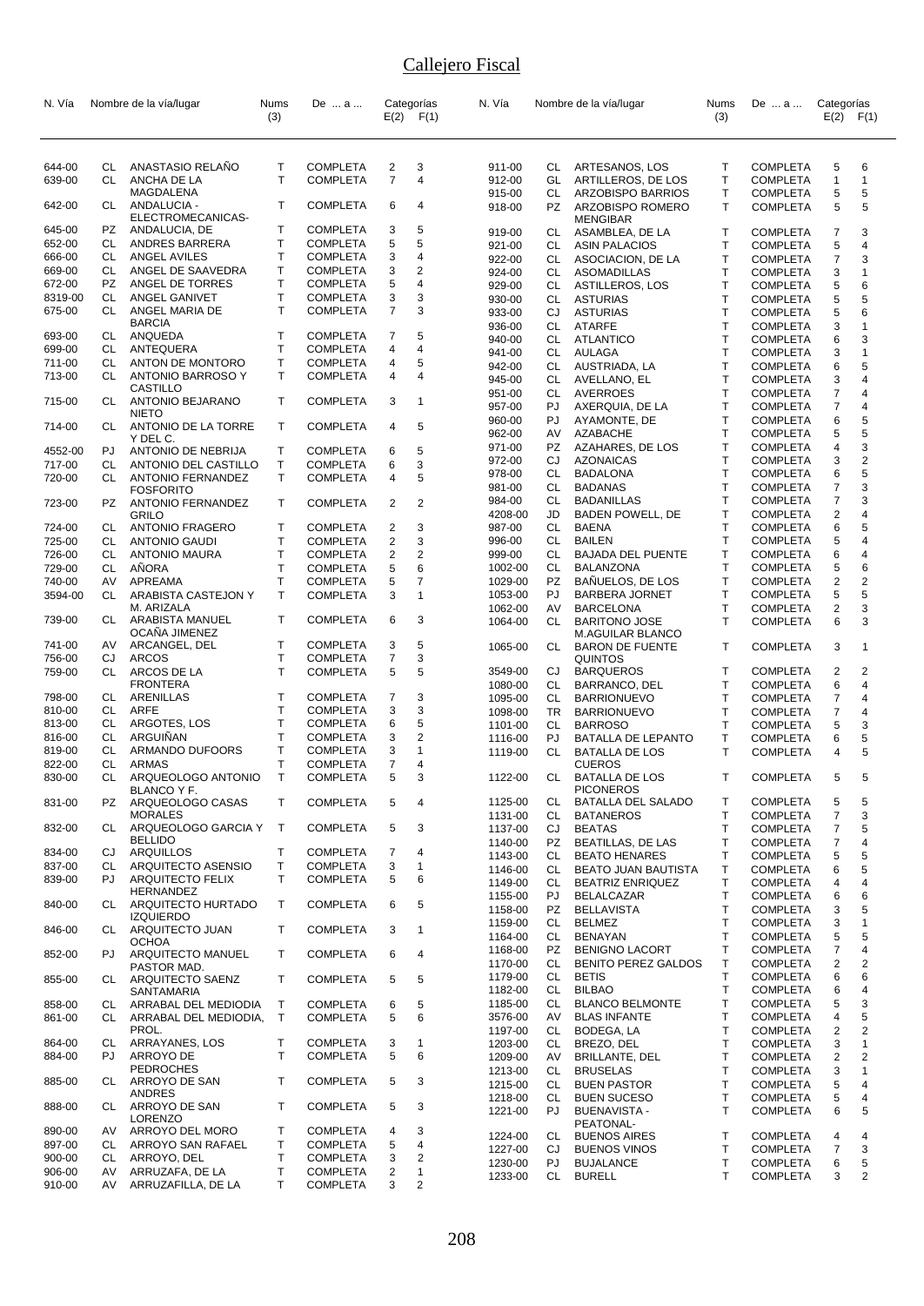| N. Vía           |           | Nombre de la vía/lugar                       | Nums         | De  a                              |                         | Categorías    | N. Vía             |           | Nombre de la vía/lugar                                | <b>Nums</b>        | De  a                              | Categorías     |                |
|------------------|-----------|----------------------------------------------|--------------|------------------------------------|-------------------------|---------------|--------------------|-----------|-------------------------------------------------------|--------------------|------------------------------------|----------------|----------------|
|                  |           |                                              | (3)          |                                    |                         | $E(2)$ $F(1)$ |                    |           |                                                       | (3)                |                                    | E(2)           | F(1)           |
|                  |           |                                              |              |                                    |                         |               |                    |           |                                                       |                    |                                    |                |                |
| 644-00           | CL        | ANASTASIO RELAÑO                             | Т            | <b>COMPLETA</b>                    | 2                       | 3             | 911-00             | CL        | ARTESANOS, LOS                                        | Т                  | <b>COMPLETA</b>                    | 5              | 6              |
| 639-00           | CL        | ANCHA DE LA                                  | $\mathsf{T}$ | <b>COMPLETA</b>                    | $\overline{7}$          | 4             | 912-00             | GL        | ARTILLEROS, DE LOS                                    | $\mathsf{T}$       | <b>COMPLETA</b>                    | $\mathbf{1}$   | $\overline{1}$ |
|                  |           | <b>MAGDALENA</b>                             |              |                                    |                         |               | 915-00             | CL        | ARZOBISPO BARRIOS                                     | T                  | <b>COMPLETA</b>                    | 5              | 5              |
| 642-00           | CL        | ANDALUCIA -<br>ELECTROMECANICAS-             | T            | <b>COMPLETA</b>                    | 6                       | 4             | 918-00             | PZ        | ARZOBISPO ROMERO<br><b>MENGIBAR</b>                   | T                  | <b>COMPLETA</b>                    | 5              | 5              |
| 645-00           | PZ        | ANDALUCIA, DE                                | Τ            | <b>COMPLETA</b>                    | 3                       | 5             | 919-00             | CL        | ASAMBLEA, DE LA                                       | Т                  | <b>COMPLETA</b>                    | 7              | 3              |
| 652-00           | CL        | ANDRES BARRERA                               | т            | <b>COMPLETA</b>                    | 5                       | 5             | 921-00             | CL        | <b>ASIN PALACIOS</b>                                  | T                  | <b>COMPLETA</b>                    | 5              | 4              |
| 666-00           | CL        | ANGEL AVILES                                 | T            | <b>COMPLETA</b>                    | 3                       | 4             | 922-00             | CL        | ASOCIACION, DE LA                                     | T                  | <b>COMPLETA</b>                    | 7              | 3              |
| 669-00           | CL.       | ANGEL DE SAAVEDRA                            | Т            | <b>COMPLETA</b>                    | 3                       | 2             | 924-00             | CL        | <b>ASOMADILLAS</b>                                    | $\mathsf{T}$       | <b>COMPLETA</b>                    | 3              | $\overline{1}$ |
| 672-00           | <b>PZ</b> | ANGEL DE TORRES                              | T            | <b>COMPLETA</b>                    | 5                       | 4             | 929-00             | CL        | <b>ASTILLEROS, LOS</b>                                | T                  | <b>COMPLETA</b>                    | 5              | 6              |
| 8319-00          | CL        | ANGEL GANIVET                                | T            | <b>COMPLETA</b>                    | 3                       | 3             | 930-00             | CL        | <b>ASTURIAS</b>                                       | $\mathsf{T}$       | <b>COMPLETA</b>                    | 5              | 5              |
| 675-00           | CL        | ANGEL MARIA DE                               | T.           | <b>COMPLETA</b>                    | $\overline{7}$          | 3             | 933-00             | CJ        | <b>ASTURIAS</b>                                       | T.                 | <b>COMPLETA</b>                    | 5              | 6              |
|                  |           | <b>BARCIA</b>                                |              |                                    |                         |               | 936-00             | CL        | <b>ATARFE</b>                                         | $\mathsf{T}$       | <b>COMPLETA</b>                    | 3              | $\overline{1}$ |
| 693-00<br>699-00 | CL<br>CL  | ANQUEDA<br>ANTEQUERA                         | Т<br>T       | <b>COMPLETA</b><br><b>COMPLETA</b> | 7<br>4                  | 5<br>4        | 940-00             | CL        | <b>ATLANTICO</b>                                      | T                  | <b>COMPLETA</b>                    | 6              | 3              |
| 711-00           | CL        | ANTON DE MONTORO                             | Т            | <b>COMPLETA</b>                    | 4                       | 5             | 941-00             | CL        | AULAGA                                                | T                  | <b>COMPLETA</b>                    | 3              | 1              |
| 713-00           | CL        | ANTONIO BARROSO Y                            | T.           | <b>COMPLETA</b>                    | 4                       | 4             | 942-00             | CL        | AUSTRIADA, LA                                         | T.                 | <b>COMPLETA</b>                    | 6              | 5              |
|                  |           | CASTILLO                                     |              |                                    |                         |               | 945-00             | CL        | AVELLANO, EL                                          | T<br>$\mathsf{T}$  | <b>COMPLETA</b>                    | 3              | 4              |
| 715-00           | CL        | ANTONIO BEJARANO                             | Т            | <b>COMPLETA</b>                    | 3                       | 1             | 951-00             | CL<br>PJ  | <b>AVERROES</b>                                       | T                  | <b>COMPLETA</b><br><b>COMPLETA</b> | 7<br>7         | 4<br>4         |
|                  |           | <b>NIETO</b>                                 |              |                                    |                         |               | 957-00             | PJ        | AXERQUIA, DE LA                                       | T                  |                                    | 6              | 5              |
| 714-00           | CL        | ANTONIO DE LA TORRE                          | T            | <b>COMPLETA</b>                    | 4                       | 5             | 960-00<br>962-00   | AV        | AYAMONTE, DE<br>AZABACHE                              | $\mathsf{T}$       | <b>COMPLETA</b><br><b>COMPLETA</b> | 5              | 5              |
|                  |           | Y DEL C.                                     |              |                                    |                         |               | 971-00             | PZ        | AZAHARES, DE LOS                                      | $\mathsf{T}$       | <b>COMPLETA</b>                    | 4              | 3              |
| 4552-00          | PJ        | ANTONIO DE NEBRIJA                           | Т            | <b>COMPLETA</b>                    | 6                       | 5             | 972-00             | CJ        | <b>AZONAICAS</b>                                      | T                  | <b>COMPLETA</b>                    | 3              | 2              |
| 717-00           | CL        | ANTONIO DEL CASTILLO                         | Т            | <b>COMPLETA</b>                    | 6                       | 3             | 978-00             | CL        | <b>BADALONA</b>                                       | T                  | <b>COMPLETA</b>                    | 6              | 5              |
| 720-00           | CL        | ANTONIO FERNANDEZ                            | Τ            | <b>COMPLETA</b>                    | 4                       | 5             | 981-00             | CL        | <b>BADANAS</b>                                        | $\mathsf{T}$       | <b>COMPLETA</b>                    | 7              | 3              |
| 723-00           | PZ        | <b>FOSFORITO</b><br><b>ANTONIO FERNANDEZ</b> | T            | <b>COMPLETA</b>                    | 2                       | 2             | 984-00             | CL        | <b>BADANILLAS</b>                                     | T                  | <b>COMPLETA</b>                    | $\overline{7}$ | 3              |
|                  |           | GRILO                                        |              |                                    |                         |               | 4208-00            | JD        | <b>BADEN POWELL, DE</b>                               | T                  | <b>COMPLETA</b>                    | 2              | 4              |
| 724-00           | CL        | <b>ANTONIO FRAGERO</b>                       | т            | <b>COMPLETA</b>                    | 2                       | 3             | 987-00             | CL        | <b>BAENA</b>                                          | T                  | <b>COMPLETA</b>                    | 6              | 5              |
| 725-00           | CL        | <b>ANTONIO GAUDI</b>                         | Т            | <b>COMPLETA</b>                    | $\overline{2}$          | 3             | 996-00             | CL        | <b>BAILEN</b>                                         | T                  | <b>COMPLETA</b>                    | 5              | 4              |
| 726-00           | <b>CL</b> | <b>ANTONIO MAURA</b>                         | Т            | <b>COMPLETA</b>                    | $\overline{\mathbf{c}}$ | 2             | 999-00             | CL        | <b>BAJADA DEL PUENTE</b>                              | $\mathsf{T}$       | <b>COMPLETA</b>                    | 6              | 4              |
| 729-00           | CL.       | AÑORA                                        | $\mathsf{T}$ | <b>COMPLETA</b>                    | 5                       | 6             | 1002-00            | CL        | <b>BALANZONA</b>                                      | T                  | <b>COMPLETA</b>                    | 5              | 6              |
| 740-00           | AV        | APREAMA                                      | $\mathsf T$  | <b>COMPLETA</b>                    | 5                       | 7             | 1029-00            | PZ        | <b>BANUELOS, DE LOS</b>                               | T                  | <b>COMPLETA</b>                    | 2              | 2              |
| 3594-00          | CL        | ARABISTA CASTEJON Y                          | Т            | <b>COMPLETA</b>                    | 3                       | $\mathbf{1}$  | 1053-00            | PJ        | <b>BARBERA JORNET</b>                                 | $\mathsf{T}$       | <b>COMPLETA</b>                    | 5              | 5              |
|                  |           | M. ARIZALA                                   |              |                                    |                         |               | 1062-00            | AV        | <b>BARCELONA</b>                                      | T                  | <b>COMPLETA</b>                    | 2              | 3              |
| 739-00           | CL        | ARABISTA MANUEL<br><b>OCANA JIMENEZ</b>      | Т            | <b>COMPLETA</b>                    | 6                       | 3             | 1064-00            | <b>CL</b> | <b>BARITONO JOSE</b><br>M.AGUILAR BLANCO              | T                  | <b>COMPLETA</b>                    | 6              | 3              |
| 741-00           | AV        | ARCANGEL, DEL                                | т            | <b>COMPLETA</b>                    | 3                       | 5             | 1065-00            | CL        | <b>BARON DE FUENTE</b>                                | T                  | <b>COMPLETA</b>                    | 3              | 1              |
| 756-00           | CJ        | <b>ARCOS</b>                                 | Т            | <b>COMPLETA</b>                    | $\overline{7}$          | 3             |                    |           | <b>QUINTOS</b>                                        |                    |                                    |                |                |
| 759-00           | CL        | ARCOS DE LA                                  | T.           | <b>COMPLETA</b>                    | 5                       | 5             | 3549-00            | CJ        | <b>BARQUEROS</b>                                      | $\mathsf{T}$       | <b>COMPLETA</b>                    | 2              | 2              |
| 798-00           | CL        | <b>FRONTERA</b><br>ARENILLAS                 | т            | <b>COMPLETA</b>                    | 7                       | 3             | 1080-00            | CL        | BARRANCO, DEL                                         | T                  | <b>COMPLETA</b>                    | 6              | 4              |
| 810-00           | CL        | ARFE                                         | Т            | <b>COMPLETA</b>                    | 3                       | 3             | 1095-00            | CL        | <b>BARRIONUEVO</b>                                    | T<br>$\mathsf{T}$  | <b>COMPLETA</b>                    | 7              | 4<br>4         |
| 813-00           | CL        | ARGOTES, LOS                                 | Т            | <b>COMPLETA</b>                    | 6                       | 5             | 1098-00<br>1101-00 | TR<br>CL  | <b>BARRIONUEVO</b><br><b>BARROSO</b>                  | T                  | <b>COMPLETA</b>                    | 7<br>5         | 3              |
| 816-00           | CL        | ARGUINAN                                     | Т            | <b>COMPLETA</b>                    | 3                       | 2             | 1116-00            | PJ        | BATALLA DE LEPANTO                                    | T                  | <b>COMPLETA</b><br><b>COMPLETA</b> | 6              | 5              |
| 819-00           | CL        | <b>ARMANDO DUFOORS</b>                       | Т            | <b>COMPLETA</b>                    | 3                       | 1             |                    | CL        |                                                       | T                  |                                    | 4              | 5              |
| 822-00           | CL        | <b>ARMAS</b>                                 | T            | <b>COMPLETA</b>                    | $\overline{7}$          | 4             | 1119-00            |           | <b>BATALLA DE LOS</b><br><b>CUEROS</b>                |                    | <b>COMPLETA</b>                    |                |                |
| 830-00           | CL        | ARQUEOLOGO ANTONIO                           | $\mathsf{T}$ | <b>COMPLETA</b>                    | 5                       | 3             | 1122-00            | CL        | <b>BATALLA DE LOS</b>                                 | T                  | <b>COMPLETA</b>                    | 5              | 5              |
|                  |           | BLANCO Y F.                                  |              |                                    |                         |               |                    |           | <b>PICONEROS</b>                                      |                    |                                    |                |                |
| 831-00           | PZ        | ARQUEOLOGO CASAS<br><b>MORALES</b>           | Т            | <b>COMPLETA</b>                    | 5                       | 4             | 1125-00            | CL<br>CL  | BATALLA DEL SALADO<br><b>BATANEROS</b>                | Т<br>T.            | <b>COMPLETA</b>                    | 5<br>7         | 5<br>3         |
|                  | CL.       | ARQUEOLOGO GARCIA Y                          | $\top$       | <b>COMPLETA</b>                    | 5                       | 3             | 1131-00            |           |                                                       |                    | <b>COMPLETA</b>                    |                |                |
| 832-00           |           | <b>BELLIDO</b>                               |              |                                    |                         |               | 1137-00<br>1140-00 | CJ<br>PZ  | <b>BEATAS</b>                                         | $\mathsf{T}$<br>T. | <b>COMPLETA</b>                    | 7<br>7         | 5<br>4         |
| 834-00           | CJ        | ARQUILLOS                                    | Τ            | <b>COMPLETA</b>                    | 7                       | 4             |                    | CL        | BEATILLAS, DE LAS<br><b>BEATO HENARES</b>             | т                  | <b>COMPLETA</b>                    | 5              | 5              |
| 837-00           | CL        | ARQUITECTO ASENSIO                           | T            | <b>COMPLETA</b>                    | 3                       | 1             | 1143-00            |           |                                                       | Т                  | <b>COMPLETA</b>                    |                | 5              |
| 839-00           | PJ.       | <b>ARQUITECTO FELIX</b>                      | T            | <b>COMPLETA</b>                    | 5                       | 6             | 1146-00<br>1149-00 | CL<br>CL  | <b>BEATO JUAN BAUTISTA</b><br><b>BEATRIZ ENRIQUEZ</b> | Т                  | <b>COMPLETA</b><br><b>COMPLETA</b> | 6<br>4         | 4              |
|                  |           | HERNANDEZ                                    |              |                                    |                         |               | 1155-00            | PJ        | <b>BELALCAZAR</b>                                     | т                  | <b>COMPLETA</b>                    | 6              | 6              |
| 840-00           | CL.       | ARQUITECTO HURTADO                           | Т            | <b>COMPLETA</b>                    | 6                       | 5             | 1158-00            | PZ        | <b>BELLAVISTA</b>                                     | T.                 | <b>COMPLETA</b>                    | 3              | 5              |
|                  |           | <b>IZQUIERDO</b>                             |              |                                    |                         |               | 1159-00            | CL        | <b>BELMEZ</b>                                         | T                  | <b>COMPLETA</b>                    | 3              | 1              |
| 846-00           | CL        | ARQUITECTO JUAN                              | Τ            | <b>COMPLETA</b>                    | 3                       | 1             | 1164-00            | CL        | BENAYAN                                               | T                  | <b>COMPLETA</b>                    | 5              | 5              |
|                  |           | <b>OCHOA</b>                                 |              |                                    |                         |               | 1168-00            | PZ        | <b>BENIGNO LACORT</b>                                 | Τ                  | <b>COMPLETA</b>                    | 7              | 4              |
| 852-00           | PJ        | ARQUITECTO MANUEL                            | Т            | <b>COMPLETA</b>                    | 6                       | 4             | 1170-00            | CL.       | <b>BENITO PEREZ GALDOS</b>                            | Т                  | <b>COMPLETA</b>                    | 2              | 2              |
| 855-00           | CL        | PASTOR MAD.<br>ARQUITECTO SAENZ              | T            | <b>COMPLETA</b>                    | 5                       | 5             | 1179-00            | CL        | <b>BETIS</b>                                          | т                  | <b>COMPLETA</b>                    | 6              | 6              |
|                  |           | SANTAMARIA                                   |              |                                    |                         |               | 1182-00            | CL        | <b>BILBAO</b>                                         | $\mathsf{T}$       | <b>COMPLETA</b>                    | 6              | 4              |
| 858-00           | CL        | ARRABAL DEL MEDIODIA                         | T            | <b>COMPLETA</b>                    | 6                       | 5             | 1185-00            | CL        | <b>BLANCO BELMONTE</b>                                | Т                  | <b>COMPLETA</b>                    | 5              | 3              |
| 861-00           | CL .      | ARRABAL DEL MEDIODIA,                        | T            | <b>COMPLETA</b>                    | 5                       | 6             | 3576-00            | AV        | <b>BLAS INFANTE</b>                                   | Т                  | <b>COMPLETA</b>                    | 4              | 5              |
|                  |           | PROL.                                        |              |                                    |                         |               | 1197-00            | CL        | BODEGA, LA                                            | T                  | <b>COMPLETA</b>                    | 2              | 2              |
| 864-00           | CL        | ARRAYANES, LOS                               | Τ            | <b>COMPLETA</b>                    | 3                       | 1             | 1203-00            | CL        | BREZO, DEL                                            | Т                  | <b>COMPLETA</b>                    | 3              | $\mathbf{1}$   |
| 884-00           | PJ.       | ARROYO DE                                    | Т            | <b>COMPLETA</b>                    | 5                       | 6             | 1209-00            | AV        | BRILLANTE, DEL                                        | T                  | <b>COMPLETA</b>                    | 2              | 2              |
|                  |           | <b>PEDROCHES</b>                             |              |                                    |                         |               | 1213-00            | CL        | <b>BRUSELAS</b>                                       | T                  | <b>COMPLETA</b>                    | 3              | 1              |
| 885-00           | CL        | ARROYO DE SAN                                | Т            | <b>COMPLETA</b>                    | 5                       | 3             | 1215-00            | CL        | <b>BUEN PASTOR</b>                                    | т                  | <b>COMPLETA</b>                    | 5              | 4              |
|                  |           | ANDRES                                       |              |                                    |                         |               | 1218-00            | CL        | <b>BUEN SUCESO</b>                                    | Т                  | <b>COMPLETA</b>                    | 5              | 4              |
| 888-00           | CL        | ARROYO DE SAN<br><b>LORENZO</b>              | Τ            | <b>COMPLETA</b>                    | 5                       | 3             | 1221-00            | PJ        | <b>BUENAVISTA -</b><br>PEATONAL-                      | T                  | <b>COMPLETA</b>                    | 6              | 5              |
| 890-00           | AV        | ARROYO DEL MORO                              | Т            | <b>COMPLETA</b>                    | 4                       | 3             | 1224-00            | CL        | <b>BUENOS AIRES</b>                                   | Т                  | <b>COMPLETA</b>                    | 4              | 4              |
| 897-00           | CL        | ARROYO SAN RAFAEL                            | Τ            | <b>COMPLETA</b>                    | 5                       | 4             | 1227-00            | CJ        | <b>BUENOS VINOS</b>                                   | т                  | <b>COMPLETA</b>                    | 7              | 3              |
| 900-00           | CL.       | ARROYO, DEL                                  | Τ            | <b>COMPLETA</b>                    | 3                       | 2             | 1230-00            | PJ        | <b>BUJALANCE</b>                                      | Т                  | <b>COMPLETA</b>                    | 6              | 5              |
| 906-00           | AV        | ARRUZAFA, DE LA                              | Τ            | <b>COMPLETA</b>                    | $\overline{2}$          | $\mathbf{1}$  | 1233-00            | CL        | <b>BURELL</b>                                         | T                  | <b>COMPLETA</b>                    | 3              | 2              |
| 910-00           | AV        | ARRUZAFILLA, DE LA                           | Τ            | <b>COMPLETA</b>                    | 3                       | 2             |                    |           |                                                       |                    |                                    |                |                |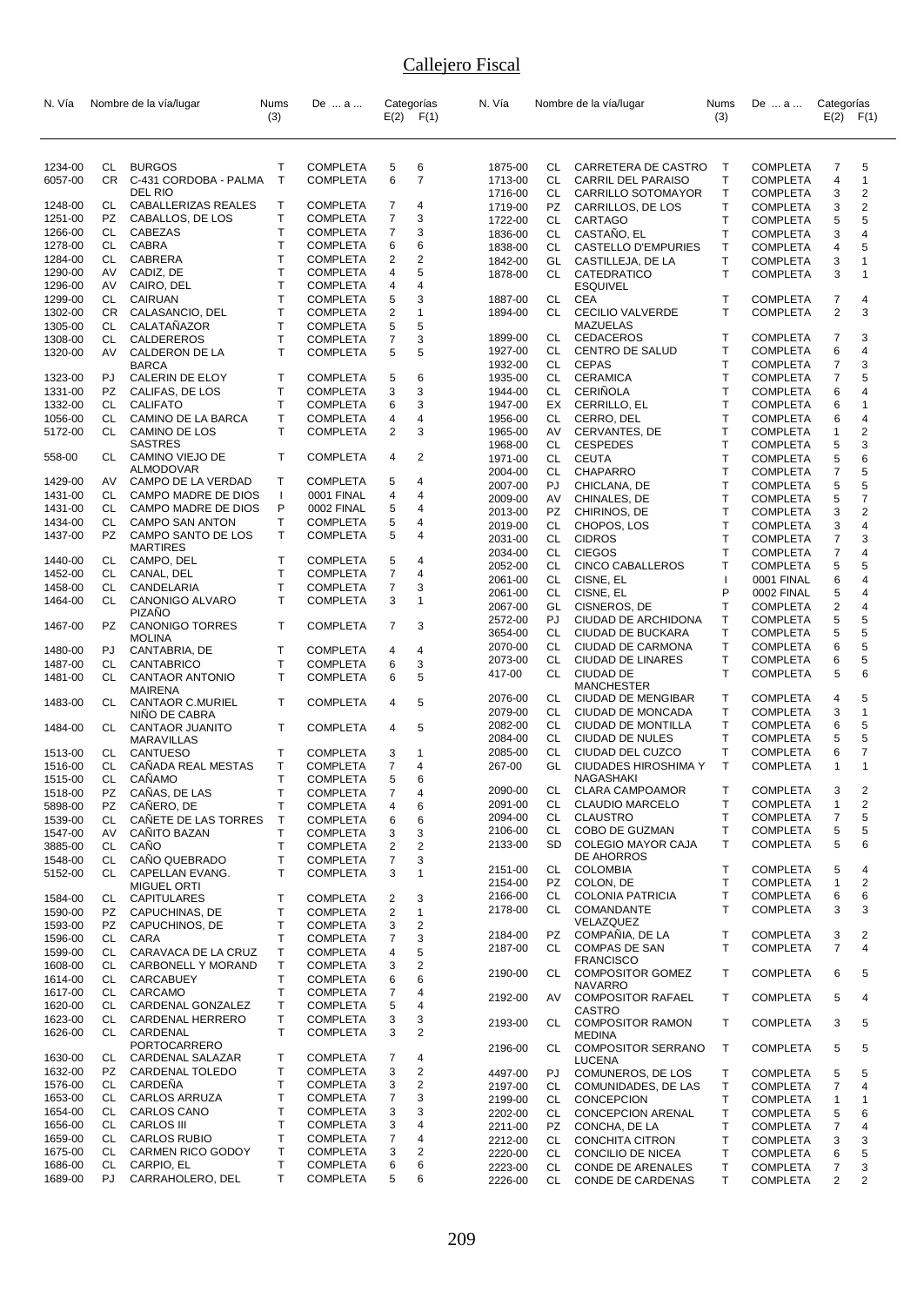| N. Vía             |           | Nombre de la vía/lugar                     | Nums<br>(3)  | De  a                              |                         | Categorías<br>$E(2)$ $F(1)$ | N. Vía             |           | Nombre de la vía/lugar                          | Nums<br>(3)                  | De  a                       | Categorías<br>$E(2)$ $F(1)$ |                         |
|--------------------|-----------|--------------------------------------------|--------------|------------------------------------|-------------------------|-----------------------------|--------------------|-----------|-------------------------------------------------|------------------------------|-----------------------------|-----------------------------|-------------------------|
|                    |           |                                            |              |                                    |                         |                             |                    |           |                                                 |                              |                             |                             |                         |
| 1234-00            | CL        | <b>BURGOS</b>                              | т            | <b>COMPLETA</b>                    | 5                       | 6                           | 1875-00            | CL        | CARRETERA DE CASTRO                             | $\top$                       | <b>COMPLETA</b>             | 7                           | 5                       |
| 6057-00            | CR        | C-431 CORDOBA - PALMA                      | $\mathsf{T}$ | <b>COMPLETA</b>                    | 6                       | $\overline{7}$              | 1713-00            | CL        | <b>CARRIL DEL PARAISO</b>                       | T                            | <b>COMPLETA</b>             | 4                           | 1                       |
|                    |           | DEL RIO                                    |              |                                    |                         |                             | 1716-00            | CL        | <b>CARRILLO SOTOMAYOR</b>                       | T                            | <b>COMPLETA</b>             | 3                           | 2                       |
| 1248-00            | CL<br>PZ. | CABALLERIZAS REALES                        | т<br>Т       | <b>COMPLETA</b>                    | 7<br>7                  | 4<br>3                      | 1719-00            | PZ        | CARRILLOS, DE LOS                               | T                            | COMPLETA                    | 3                           | 2                       |
| 1251-00<br>1266-00 | CL        | CABALLOS, DE LOS<br>CABEZAS                | т            | <b>COMPLETA</b><br><b>COMPLETA</b> | 7                       | 3                           | 1722-00<br>1836-00 | CL<br>CL  | CARTAGO<br>CASTAÑO, EL                          | $\mathsf{T}$<br>$\mathsf T$  | COMPLETA                    | 5<br>3                      | 5<br>4                  |
| 1278-00            | CL        | CABRA                                      | т            | <b>COMPLETA</b>                    | 6                       | 6                           | 1838-00            | CL        | CASTELLO D'EMPURIES                             | $\mathsf{T}$                 | COMPLETA<br>COMPLETA        | 4                           | 5                       |
| 1284-00            | CL        | <b>CABRERA</b>                             | T            | <b>COMPLETA</b>                    | $\overline{2}$          | $\overline{2}$              | 1842-00            | GL        | CASTILLEJA, DE LA                               | $\top$                       | COMPLETA                    | 3                           | 1                       |
| 1290-00            | AV        | CADIZ, DE                                  | т            | <b>COMPLETA</b>                    | 4                       | 5                           | 1878-00            | CL        | CATEDRATICO                                     | $\mathsf{T}$                 | <b>COMPLETA</b>             | 3                           | 1                       |
| 1296-00            | AV        | CAIRO, DEL                                 | т            | <b>COMPLETA</b>                    | 4                       | $\overline{4}$              |                    |           | <b>ESQUIVEL</b>                                 |                              |                             |                             |                         |
| 1299-00            | CL        | <b>CAIRUAN</b>                             | т            | <b>COMPLETA</b>                    | 5                       | 3                           | 1887-00            | CL        | <b>CEA</b>                                      | $\mathsf{T}$                 | COMPLETA                    | 7                           | 4                       |
| 1302-00            | <b>CR</b> | CALASANCIO, DEL                            | T            | <b>COMPLETA</b>                    | $\overline{2}$          | $\mathbf{1}$                | 1894-00            | CL        | <b>CECILIO VALVERDE</b>                         | $\mathsf{T}$                 | <b>COMPLETA</b>             | $\overline{2}$              | 3                       |
| 1305-00<br>1308-00 | CL<br>CL  | CALATAÑAZOR<br>CALDEREROS                  | т<br>т       | <b>COMPLETA</b><br><b>COMPLETA</b> | 5<br>$\overline{7}$     | 5<br>3                      | 1899-00            | CL        | MAZUELAS<br><b>CEDACEROS</b>                    | Τ                            | COMPLETA                    | 7                           | 3                       |
| 1320-00            | AV        | CALDERON DE LA                             | T            | <b>COMPLETA</b>                    | 5                       | 5                           | 1927-00            | CL        | CENTRO DE SALUD                                 | $\mathsf{T}$                 | <b>COMPLETA</b>             | 6                           | 4                       |
|                    |           | <b>BARCA</b>                               |              |                                    |                         |                             | 1932-00            | CL        | <b>CEPAS</b>                                    | $\mathsf{T}$                 | COMPLETA                    | 7                           | 3                       |
| 1323-00            | PJ        | CALERIN DE ELOY                            | т            | <b>COMPLETA</b>                    | 5                       | 6                           | 1935-00            | CL        | <b>CERAMICA</b>                                 | $\mathsf{T}$                 | <b>COMPLETA</b>             | 7                           | 5                       |
| 1331-00            | PZ        | CALIFAS, DE LOS                            | т            | <b>COMPLETA</b>                    | 3                       | 3                           | 1944-00            | CL        | <b>CERINOLA</b>                                 | $\mathsf{T}$                 | <b>COMPLETA</b>             | 6                           | 4                       |
| 1332-00            | CL        | <b>CALIFATO</b>                            | т            | <b>COMPLETA</b>                    | 6                       | 3                           | 1947-00            | EX        | CERRILLO, EL                                    | T                            | <b>COMPLETA</b>             | 6                           | 1                       |
| 1056-00<br>5172-00 | CL<br>CL. | CAMINO DE LA BARCA<br><b>CAMINO DE LOS</b> | т<br>T       | <b>COMPLETA</b><br><b>COMPLETA</b> | 4<br>$\overline{2}$     | 4<br>3                      | 1956-00<br>1965-00 | CL<br>AV  | CERRO, DEL<br>CERVANTES, DE                     | $\mathsf{T}$<br>$\mathsf{T}$ | COMPLETA<br><b>COMPLETA</b> | 6<br>1                      | 4<br>2                  |
|                    |           | <b>SASTRES</b>                             |              |                                    |                         |                             | 1968-00            | CL        | <b>CESPEDES</b>                                 | $\mathsf{T}$                 | <b>COMPLETA</b>             | 5                           | 3                       |
| 558-00             | CL        | CAMINO VIEJO DE                            | T            | <b>COMPLETA</b>                    | 4                       | 2                           | 1971-00            | CL        | <b>CEUTA</b>                                    | T                            | COMPLETA                    | 5                           | 6                       |
|                    |           | <b>ALMODOVAR</b>                           |              |                                    |                         |                             | 2004-00            | CL        | <b>CHAPARRO</b>                                 | $\mathsf{T}$                 | COMPLETA                    | 7                           | 5                       |
| 1429-00            | AV        | CAMPO DE LA VERDAD                         | Т            | <b>COMPLETA</b>                    | 5                       | 4                           | 2007-00            | PJ        | CHICLANA, DE                                    | $\top$                       | COMPLETA                    | 5                           | 5                       |
| 1431-00<br>1431-00 | CL<br>CL  | CAMPO MADRE DE DIOS<br>CAMPO MADRE DE DIOS | ı<br>P       | 0001 FINAL                         | 4<br>5                  | 4<br>4                      | 2009-00            | AV        | CHINALES, DE                                    | $\mathsf{T}$                 | COMPLETA                    | 5                           | $\overline{7}$          |
| 1434-00            | CL        | <b>CAMPO SAN ANTON</b>                     | т            | 0002 FINAL<br><b>COMPLETA</b>      | 5                       | 4                           | 2013-00            | PZ        | CHIRINOS, DE                                    | T                            | COMPLETA                    | 3                           | 2                       |
| 1437-00            | PZ        | CAMPO SANTO DE LOS                         | T            | <b>COMPLETA</b>                    | 5                       | $\overline{4}$              | 2019-00            | CL        | CHOPOS, LOS                                     | $\mathsf{T}$                 | <b>COMPLETA</b>             | 3                           | 4                       |
|                    |           | <b>MARTIRES</b>                            |              |                                    |                         |                             | 2031-00<br>2034-00 | CL<br>CL. | <b>CIDROS</b><br><b>CIEGOS</b>                  | $\mathsf{T}$<br>$\mathsf{T}$ | COMPLETA<br><b>COMPLETA</b> | 7<br>7                      | 3<br>4                  |
| 1440-00            | CL        | CAMPO, DEL                                 | т            | <b>COMPLETA</b>                    | 5                       | 4                           | 2052-00            | CL        | <b>CINCO CABALLEROS</b>                         | $\mathsf{T}$                 | <b>COMPLETA</b>             | 5                           | 5                       |
| 1452-00            | CL        | CANAL, DEL                                 | T            | <b>COMPLETA</b>                    | $\overline{7}$          | $\overline{4}$              | 2061-00            | CL        | CISNE, EL                                       | $\mathbf{I}$                 | 0001 FINAL                  | 6                           | 4                       |
| 1458-00            | CL        | CANDELARIA                                 | T            | <b>COMPLETA</b>                    | $\overline{7}$          | 3                           | 2061-00            | CL        | CISNE, EL                                       | P                            | 0002 FINAL                  | 5                           | 4                       |
| 1464-00            | CL        | CANONIGO ALVARO<br><b>PIZANO</b>           | т            | <b>COMPLETA</b>                    | 3                       | 1                           | 2067-00            | GL        | CISNEROS, DE                                    | $\mathsf T$                  | COMPLETA                    | 2                           | 4                       |
| 1467-00            | PZ        | <b>CANONIGO TORRES</b>                     | T            | <b>COMPLETA</b>                    | 7                       | 3                           | 2572-00            | PJ        | CIUDAD DE ARCHIDONA                             | $\mathsf{T}$                 | COMPLETA                    | 5                           | 5                       |
|                    |           | <b>MOLINA</b>                              |              |                                    |                         |                             | 3654-00            | CL        | CIUDAD DE BUCKARA                               | T                            | COMPLETA                    | 5                           | 5                       |
| 1480-00            | PJ        | CANTABRIA, DE                              | Т            | <b>COMPLETA</b>                    | 4                       | 4                           | 2070-00<br>2073-00 | CL<br>CL  | CIUDAD DE CARMONA<br><b>CIUDAD DE LINARES</b>   | $\mathsf{T}$<br>$\mathsf{T}$ | COMPLETA<br><b>COMPLETA</b> | 6<br>6                      | 5<br>5                  |
| 1487-00            | CL        | CANTABRICO                                 | т            | <b>COMPLETA</b>                    | 6                       | 3                           | 417-00             | CL        | <b>CIUDAD DE</b>                                | $\mathsf{T}$                 | <b>COMPLETA</b>             | 5                           | 6                       |
| 1481-00            | CL        | <b>CANTAOR ANTONIO</b><br><b>MAIRENA</b>   | Τ            | <b>COMPLETA</b>                    | 6                       | 5                           |                    |           | MANCHESTER                                      |                              |                             |                             |                         |
| 1483-00            | CL        | CANTAOR C.MURIEL                           | T            | <b>COMPLETA</b>                    | 4                       | 5                           | 2076-00            | CL        | <b>CIUDAD DE MENGIBAR</b>                       | Τ                            | COMPLETA                    | 4                           | 5                       |
|                    |           | NINO DE CABRA                              |              |                                    |                         |                             | 2079-00            | CL.       | CIUDAD DE MONCADA                               | $\mathsf{T}$                 | COMPLETA                    | 3                           | 1                       |
| 1484-00            | CL        | CANTAOR JUANITO                            | T            | <b>COMPLETA</b>                    | 4                       | 5                           | 2082-00            | CL        | CIUDAD DE MONTILLA                              | Т                            | COMPLETA                    | 6                           | 5                       |
|                    |           | <b>MARAVILLAS</b>                          |              |                                    |                         |                             | 2084-00            | CL        | CIUDAD DE NULES                                 | T                            | COMPLETA                    | 5                           | 5                       |
| 1513-00            | CL<br>СL  | <b>CANTUESO</b><br>CANADA REAL MESTAS      | т<br>т       | <b>COMPLETA</b>                    | 3<br>7                  | 1<br>4                      | 2085-00<br>267-00  | CL<br>GL  | CIUDAD DEL CUZCO<br><b>CIUDADES HIROSHIMA Y</b> | $\mathsf{T}$<br>$\mathsf{T}$ | COMPLETA<br><b>COMPLETA</b> | 6<br>1                      | 7<br>1                  |
| 1516-00<br>1515-00 | CL        | CAÑAMO                                     | T            | <b>COMPLETA</b><br><b>COMPLETA</b> | 5                       | 6                           |                    |           | NAGASHAKI                                       |                              |                             |                             |                         |
| 1518-00            | PZ.       | CANAS, DE LAS                              | Τ            | <b>COMPLETA</b>                    | 7                       | 4                           | 2090-00            | CL        | CLARA CAMPOAMOR                                 | T                            | COMPLETA 3                  |                             | $\overline{2}$          |
| 5898-00            | PZ        | CAÑERO, DE                                 | т            | <b>COMPLETA</b>                    | 4                       | 6                           | 2091-00            | CL        | <b>CLAUDIO MARCELO</b>                          | Τ                            | <b>COMPLETA</b>             | 1                           | $\overline{\mathbf{c}}$ |
| 1539-00            | CL        | CAÑETE DE LAS TORRES                       | Τ            | <b>COMPLETA</b>                    | 6                       | 6                           | 2094-00            | CL        | <b>CLAUSTRO</b>                                 | T                            | COMPLETA                    | 7                           | 5                       |
| 1547-00            | AV        | CAÑITO BAZAN                               | т            | <b>COMPLETA</b>                    | 3                       | 3                           | 2106-00            | CL        | COBO DE GUZMAN                                  | Τ                            | COMPLETA                    | 5                           | 5                       |
| 3885-00            | CL        | CAÑO                                       | Т            | <b>COMPLETA</b>                    | $\overline{c}$          | $\overline{c}$              | 2133-00            | SD        | <b>COLEGIO MAYOR CAJA</b><br>DE AHORROS         | $\mathsf{T}$                 | <b>COMPLETA</b>             | 5                           | 6                       |
| 1548-00            | CL        | CAÑO QUEBRADO                              | т            | <b>COMPLETA</b>                    | 7                       | 3                           | 2151-00            | CL        | <b>COLOMBIA</b>                                 | $\mathsf T$                  | <b>COMPLETA</b>             | 5                           | 4                       |
| 5152-00            | CL        | CAPELLAN EVANG.<br><b>MIGUEL ORTI</b>      | T.           | <b>COMPLETA</b>                    | 3                       | $\mathbf{1}$                | 2154-00            | PZ        | COLON, DE                                       | $\mathsf{T}$                 | <b>COMPLETA</b>             | 1                           | 2                       |
| 1584-00            | CL        | <b>CAPITULARES</b>                         | Т            | <b>COMPLETA</b>                    | 2                       | 3                           | 2166-00            | CL        | <b>COLONIA PATRICIA</b>                         | T                            | COMPLETA                    | 6                           | 6                       |
| 1590-00            | PZ        | CAPUCHINAS, DE                             | Т            | <b>COMPLETA</b>                    | $\overline{\mathbf{c}}$ | $\mathbf{1}$                | 2178-00            | CL        | COMANDANTE                                      | $\mathsf{T}$                 | COMPLETA                    | 3                           | 3                       |
| 1593-00            | PZ        | CAPUCHINOS, DE                             | Т            | <b>COMPLETA</b>                    | 3                       | $\overline{\mathbf{c}}$     |                    |           | VELAZQUEZ                                       |                              |                             |                             |                         |
| 1596-00            | CL        | CARA                                       | т            | <b>COMPLETA</b>                    | $\overline{7}$          | 3                           | 2184-00            | PZ        | COMPANIA, DE LA                                 | Τ                            | COMPLETA                    | 3                           | 2                       |
| 1599-00            | CL        | CARAVACA DE LA CRUZ                        | Т            | <b>COMPLETA</b>                    | 4                       | 5                           | 2187-00            | CL        | <b>COMPAS DE SAN</b><br><b>FRANCISCO</b>        | T                            | <b>COMPLETA</b>             | $\overline{7}$              | 4                       |
| 1608-00            | CL        | <b>CARBONELL Y MORAND</b>                  | т            | <b>COMPLETA</b>                    | 3                       | $\overline{\mathbf{c}}$     | 2190-00            | CL        | <b>COMPOSITOR GOMEZ</b>                         | Τ                            | <b>COMPLETA</b>             | 6                           | 5                       |
| 1614-00            | CL        | CARCABUEY                                  | т            | <b>COMPLETA</b>                    | 6                       | 6                           |                    |           | <b>NAVARRO</b>                                  |                              |                             |                             |                         |
| 1617-00<br>1620-00 | CL.<br>CL | CARCAMO<br>CARDENAL GONZALEZ               | т<br>Т       | <b>COMPLETA</b><br><b>COMPLETA</b> | 7<br>5                  | 4<br>4                      | 2192-00            | AV        | <b>COMPOSITOR RAFAEL</b>                        | Т                            | <b>COMPLETA</b>             | 5                           | 4                       |
| 1623-00            | CL        | CARDENAL HERRERO                           | т            | <b>COMPLETA</b>                    | 3                       | 3                           |                    |           | <b>CASTRO</b>                                   |                              |                             |                             |                         |
| 1626-00            | CL        | CARDENAL                                   | T.           | <b>COMPLETA</b>                    | 3                       | $\overline{2}$              | 2193-00            | CL        | <b>COMPOSITOR RAMON</b><br><b>MEDINA</b>        | Τ                            | <b>COMPLETA</b>             | 3                           | 5                       |
|                    |           | PORTOCARRERO                               |              |                                    |                         |                             | 2196-00            | CL        | COMPOSITOR SERRANO                              | $\mathsf T$                  | <b>COMPLETA</b>             | 5                           | 5                       |
| 1630-00            | CL        | CARDENAL SALAZAR                           | т            | <b>COMPLETA</b>                    | 7                       | 4                           |                    |           | LUCENA                                          |                              |                             |                             |                         |
| 1632-00            | PZ        | CARDENAL TOLEDO                            | т            | <b>COMPLETA</b>                    | 3                       | $\overline{\mathbf{c}}$     | 4497-00            | PJ        | COMUNEROS, DE LOS                               | Т                            | COMPLETA                    | 5                           | 5                       |
| 1576-00            | CL        | CARDEÑA                                    | т            | <b>COMPLETA</b>                    | 3                       | 2                           | 2197-00            | CL        | COMUNIDADES, DE LAS                             | T                            | <b>COMPLETA</b>             | 7                           | 4                       |
| 1653-00<br>1654-00 | CL<br>CL. | <b>CARLOS ARRUZA</b><br>CARLOS CANO        | т<br>т       | <b>COMPLETA</b><br><b>COMPLETA</b> | 7<br>3                  | 3<br>3                      | 2199-00            | CL        | CONCEPCION                                      | T                            | COMPLETA                    | 1                           | 1                       |
| 1656-00            | CL        | <b>CARLOS III</b>                          | Т            | COMPLETA                           | 3                       | 4                           | 2202-00            | CL<br>PZ  | <b>CONCEPCION ARENAL</b><br>CONCHA, DE LA       | T<br>T                       | COMPLETA                    | 5<br>7                      | 6<br>4                  |
| 1659-00            | CL        | <b>CARLOS RUBIO</b>                        | Т            | <b>COMPLETA</b>                    | 7                       | 4                           | 2211-00<br>2212-00 | CL        | <b>CONCHITA CITRON</b>                          | Τ                            | COMPLETA<br>COMPLETA        | 3                           | 3                       |
| 1675-00            | CL        | CARMEN RICO GODOY                          | Т            | <b>COMPLETA</b>                    | 3                       | $\overline{\mathbf{c}}$     | 2220-00            | CL        | CONCILIO DE NICEA                               | Τ                            | <b>COMPLETA</b>             | 6                           | 5                       |
| 1686-00            | CL        | CARPIO, EL                                 | T            | <b>COMPLETA</b>                    | 6                       | 6                           | 2223-00            | CL        | <b>CONDE DE ARENALES</b>                        | Т                            | <b>COMPLETA</b>             | 7                           | 3                       |
| 1689-00            | PJ        | CARRAHOLERO, DEL                           | Τ            | <b>COMPLETA</b>                    | 5                       | 6                           | 2226-00            | CL        | CONDE DE CARDENAS                               | T                            | COMPLETA                    | 2                           | 2                       |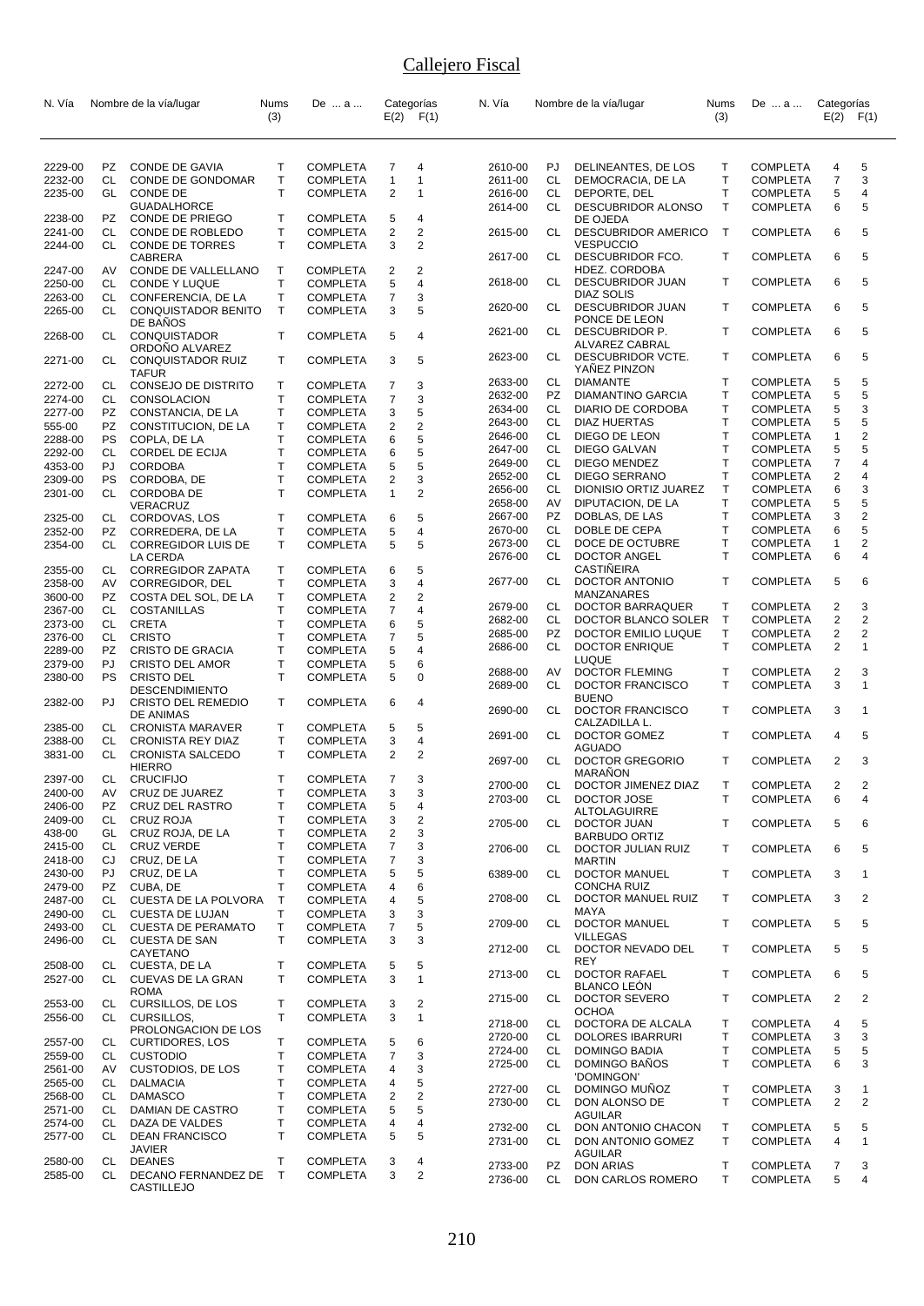| N. Vía             |          | Nombre de la vía/lugar                             | Nums              | De  a                              |                     | Categorías              | N. Vía             |           | Nombre de la vía/lugar                         | <b>Nums</b>  | De  a                              | Categorías     |                |
|--------------------|----------|----------------------------------------------------|-------------------|------------------------------------|---------------------|-------------------------|--------------------|-----------|------------------------------------------------|--------------|------------------------------------|----------------|----------------|
|                    |          |                                                    | (3)               |                                    |                     | $E(2)$ $F(1)$           |                    |           |                                                | (3)          |                                    | $E(2)$ $F(1)$  |                |
|                    |          |                                                    |                   |                                    |                     |                         |                    |           |                                                |              |                                    |                |                |
| 2229-00            | PZ       | <b>CONDE DE GAVIA</b>                              | т                 | <b>COMPLETA</b>                    | 7                   | 4                       | 2610-00            | PJ.       | DELINEANTES, DE LOS                            | Т            | <b>COMPLETA</b>                    | 4              | 5              |
| 2232-00            | CL       | CONDE DE GONDOMAR                                  | т                 | <b>COMPLETA</b>                    | $\mathbf{1}$        | $\mathbf{1}$            | 2611-00            | CL        | DEMOCRACIA, DE LA                              | Τ            | <b>COMPLETA</b>                    | 7              | 3              |
| 2235-00            | GL       | <b>CONDE DE</b>                                    | T                 | <b>COMPLETA</b>                    | $\overline{2}$      | 1                       | 2616-00            | CL        | DEPORTE, DEL                                   | T            | <b>COMPLETA</b>                    | 5              | 4              |
|                    |          | <b>GUADALHORCE</b>                                 |                   |                                    |                     |                         | 2614-00            | CL        | DESCUBRIDOR ALONSO                             | T            | <b>COMPLETA</b>                    | 6              | 5              |
| 2238-00            | PZ.      | CONDE DE PRIEGO                                    | т                 | <b>COMPLETA</b>                    | 5                   | 4                       |                    |           | DE OJEDA                                       |              |                                    |                |                |
| 2241-00<br>2244-00 | CL<br>CL | CONDE DE ROBLEDO<br><b>CONDE DE TORRES</b>         | Т<br>T            | <b>COMPLETA</b><br><b>COMPLETA</b> | 2<br>3              | 2<br>$\overline{2}$     | 2615-00            | CL        | <b>DESCUBRIDOR AMERICO</b><br><b>VESPUCCIO</b> | $\top$       | <b>COMPLETA</b>                    | 6              | 5              |
|                    |          | <b>CABRERA</b>                                     |                   |                                    |                     |                         | 2617-00            | CL        | DESCUBRIDOR FCO.                               | T            | <b>COMPLETA</b>                    | 6              | 5              |
| 2247-00            | AV       | CONDE DE VALLELLANO                                | T                 | <b>COMPLETA</b>                    | 2                   | 2                       |                    |           | HDEZ. CORDOBA                                  |              |                                    |                |                |
| 2250-00            | CL       | CONDE Y LUQUE                                      | Т                 | <b>COMPLETA</b>                    | 5                   | 4                       | 2618-00            | CL        | <b>DESCUBRIDOR JUAN</b>                        | T            | <b>COMPLETA</b>                    | 6              | 5              |
| 2263-00            | CL       | CONFERENCIA, DE LA                                 | т                 | <b>COMPLETA</b>                    | 7                   | 3                       |                    |           | <b>DIAZ SOLIS</b>                              | т            |                                    | 6              | 5              |
| 2265-00            | CL       | CONQUISTADOR BENITO                                | T                 | <b>COMPLETA</b>                    | 3                   | 5                       | 2620-00            | CL        | <b>DESCUBRIDOR JUAN</b><br>PONCE DE LEON       |              | <b>COMPLETA</b>                    |                |                |
| 2268-00            | CL       | DE BANOS<br><b>CONQUISTADOR</b>                    | т                 | <b>COMPLETA</b>                    | 5                   | 4                       | 2621-00            | CL.       | DESCUBRIDOR P.                                 | T            | <b>COMPLETA</b>                    | 6              | 5              |
|                    |          | ORDONO ALVAREZ                                     |                   |                                    |                     |                         |                    |           | ALVAREZ CABRAL                                 |              |                                    |                |                |
| 2271-00            | CL       | CONQUISTADOR RUIZ                                  | т                 | <b>COMPLETA</b>                    | 3                   | 5                       | 2623-00            | CL        | DESCUBRIDOR VCTE.                              | T            | <b>COMPLETA</b>                    | 6              | 5              |
|                    |          | <b>TAFUR</b>                                       |                   |                                    |                     |                         | 2633-00            | CL        | YANEZ PINZON<br><b>DIAMANTE</b>                | Т            | <b>COMPLETA</b>                    | 5              | 5              |
| 2272-00            | CL       | CONSEJO DE DISTRITO                                | т                 | <b>COMPLETA</b>                    | 7                   | 3                       | 2632-00            | PZ        | <b>DIAMANTINO GARCIA</b>                       | T            | <b>COMPLETA</b>                    | 5              | 5              |
| 2274-00<br>2277-00 | CL<br>PZ | <b>CONSOLACION</b><br>CONSTANCIA, DE LA            | Т<br>т            | <b>COMPLETA</b><br><b>COMPLETA</b> | $\overline{7}$<br>3 | 3<br>5                  | 2634-00            | CL.       | DIARIO DE CORDOBA                              | T            | <b>COMPLETA</b>                    | 5              | 3              |
| 555-00             | PZ.      | CONSTITUCION, DE LA                                | T                 | <b>COMPLETA</b>                    | 2                   | $\overline{\mathbf{c}}$ | 2643-00            | CL        | <b>DIAZ HUERTAS</b>                            | T            | <b>COMPLETA</b>                    | 5              | 5              |
| 2288-00            | PS       | COPLA, DE LA                                       | T                 | <b>COMPLETA</b>                    | 6                   | 5                       | 2646-00            | CL.       | DIEGO DE LEON                                  | $\mathsf{T}$ | <b>COMPLETA</b>                    | 1              | 2              |
| 2292-00            | CL.      | CORDEL DE ECIJA                                    | T                 | <b>COMPLETA</b>                    | 6                   | 5                       | 2647-00            | CL        | DIEGO GALVAN                                   | T            | <b>COMPLETA</b>                    | 5              | 5              |
| 4353-00            | PJ.      | <b>CORDOBA</b>                                     | T                 | <b>COMPLETA</b>                    | 5                   | 5                       | 2649-00            | CL        | DIEGO MENDEZ                                   | T            | <b>COMPLETA</b>                    | 7              | 4              |
| 2309-00            | PS       | CORDOBA, DE                                        | Т                 | <b>COMPLETA</b>                    | 2                   | 3                       | 2652-00            | CL        | DIEGO SERRANO                                  | $\mathsf{T}$ | <b>COMPLETA</b>                    | $\overline{2}$ | 4              |
| 2301-00            | CL.      | <b>CORDOBA DE</b>                                  | T                 | <b>COMPLETA</b>                    | 1                   | $\overline{2}$          | 2656-00            | CL        | DIONISIO ORTIZ JUAREZ                          | $\mathsf{T}$ | <b>COMPLETA</b>                    | 6              | 3              |
|                    |          | VERACRUZ                                           |                   |                                    |                     |                         | 2658-00            | AV        | DIPUTACION, DE LA                              | T            | <b>COMPLETA</b>                    | 5              | 5              |
| 2325-00            | CL       | CORDOVAS, LOS                                      | т                 | <b>COMPLETA</b>                    | 6                   | 5                       | 2667-00            | PZ        | DOBLAS, DE LAS                                 | $\top$       | <b>COMPLETA</b>                    | 3              | $\overline{2}$ |
| 2352-00            | PZ       | CORREDERA, DE LA                                   | т                 | <b>COMPLETA</b>                    | 5                   | 4                       | 2670-00            | CL        | DOBLE DE CEPA                                  | $\mathsf{T}$ | <b>COMPLETA</b>                    | 6              | 5              |
| 2354-00            | CL       | <b>CORREGIDOR LUIS DE</b>                          | т                 | <b>COMPLETA</b>                    | 5                   | 5                       | 2673-00<br>2676-00 | CL<br>CL  | DOCE DE OCTUBRE<br><b>DOCTOR ANGEL</b>         | T<br>T       | <b>COMPLETA</b><br><b>COMPLETA</b> | 1<br>6         | 2<br>4         |
| 2355-00            | CL       | LA CERDA<br><b>CORREGIDOR ZAPATA</b>               | т                 | <b>COMPLETA</b>                    | 6                   | 5                       |                    |           | CASTINEIRA                                     |              |                                    |                |                |
| 2358-00            | AV       | CORREGIDOR, DEL                                    | т                 | <b>COMPLETA</b>                    | 3                   | $\overline{4}$          | 2677-00            | CL        | DOCTOR ANTONIO                                 | $\mathsf{T}$ | <b>COMPLETA</b>                    | 5              | 6              |
| 3600-00            | PZ       | COSTA DEL SOL, DE LA                               | т                 | <b>COMPLETA</b>                    | $\overline{c}$      | 2                       |                    |           | MANZANARES                                     |              |                                    |                |                |
| 2367-00            | CL       | COSTANILLAS                                        | т                 | <b>COMPLETA</b>                    | 7                   | 4                       | 2679-00            | CL        | DOCTOR BARRAQUER                               | $\mathsf{T}$ | <b>COMPLETA</b>                    | 2              | 3              |
| 2373-00            | CL       | <b>CRETA</b>                                       | T                 | <b>COMPLETA</b>                    | 6                   | 5                       | 2682-00            | CL        | DOCTOR BLANCO SOLER                            | $\mathsf{T}$ | <b>COMPLETA</b>                    | 2              | 2              |
| 2376-00            | CL       | <b>CRISTO</b>                                      | Т                 | <b>COMPLETA</b>                    | $\overline{7}$      | 5                       | 2685-00            | PZ        | DOCTOR EMILIO LUQUE                            | т            | <b>COMPLETA</b>                    | $\overline{2}$ | 2              |
| 2289-00            | PZ.      | <b>CRISTO DE GRACIA</b>                            | т                 | <b>COMPLETA</b>                    | 5                   | 4                       | 2686-00            | CL        | <b>DOCTOR ENRIQUE</b><br>LUQUE                 | T.           | <b>COMPLETA</b>                    | 2              | 1              |
| 2379-00            | PJ       | <b>CRISTO DEL AMOR</b>                             | т                 | <b>COMPLETA</b>                    | 5                   | 6                       | 2688-00            | AV        | <b>DOCTOR FLEMING</b>                          | $\mathsf{T}$ | <b>COMPLETA</b>                    | $\overline{2}$ | 3              |
| 2380-00            | PS       | <b>CRISTO DEL</b>                                  | T                 | <b>COMPLETA</b>                    | 5                   | 0                       | 2689-00            | CL        | DOCTOR FRANCISCO                               | T.           | <b>COMPLETA</b>                    | 3              | $\mathbf{1}$   |
| 2382-00            | PJ       | <b>DESCENDIMIENTO</b><br><b>CRISTO DEL REMEDIO</b> | т                 | <b>COMPLETA</b>                    | 6                   | 4                       |                    |           | <b>BUENO</b>                                   |              |                                    |                |                |
|                    |          | <b>DE ANIMAS</b>                                   |                   |                                    |                     |                         | 2690-00            | CL        | DOCTOR FRANCISCO                               | Τ            | <b>COMPLETA</b>                    | 3              | 1              |
| 2385-00            | CL       | <b>CRONISTA MARAVER</b>                            | т                 | <b>COMPLETA</b>                    | 5                   | 5                       |                    |           | CALZADILLA L.                                  |              |                                    |                |                |
| 2388-00            | CL       | <b>CRONISTA REY DIAZ</b>                           | T                 | <b>COMPLETA</b>                    | 3                   | 4                       | 2691-00            | CL        | DOCTOR GOMEZ<br><b>AGUADO</b>                  | Τ            | <b>COMPLETA</b>                    | 4              | 5              |
| 3831-00            | CL       | <b>CRONISTA SALCEDO</b>                            | т                 | <b>COMPLETA</b>                    | 2                   | $\overline{2}$          | 2697-00            | <b>CL</b> | <b>DOCTOR GREGORIO</b>                         | Τ            | <b>COMPLETA</b>                    | $\overline{2}$ | 3              |
|                    |          | <b>HIERRO</b>                                      |                   |                                    |                     |                         |                    |           | <b>MARANON</b>                                 |              |                                    |                |                |
| 2397-00            | CL       | <b>CRUCIFIJO</b>                                   | т                 | <b>COMPLETA</b>                    | 7                   | 3                       | 2700-00            | CL.       | DOCTOR JIMENEZ DIAZ                            | т            | COMPLETA                           | 2              | 2              |
| 2400-00<br>2406-00 | AV<br>PZ | CRUZ DE JUAREZ<br><b>CRUZ DEL RASTRO</b>           | т<br>т            | <b>COMPLETA</b><br><b>COMPLETA</b> | 3<br>5              | 3<br>4                  | 2703-00            | CL        | DOCTOR JOSE                                    | T.           | <b>COMPLETA</b>                    | 6              | 4              |
| 2409-00            | CL       | <b>CRUZ ROJA</b>                                   | T                 | <b>COMPLETA</b>                    | 3                   | $\overline{\mathbf{c}}$ |                    |           | <b>ALTOLAGUIRRE</b>                            |              |                                    |                |                |
| 438-00             | GL       | CRUZ ROJA, DE LA                                   | Т                 | <b>COMPLETA</b>                    | 2                   | 3                       | 2705-00            | CL        | <b>DOCTOR JUAN</b><br><b>BARBUDO ORTIZ</b>     | T.           | <b>COMPLETA</b>                    | 5              | 6              |
| 2415-00            | CL       | <b>CRUZ VERDE</b>                                  | Т                 | <b>COMPLETA</b>                    | 7                   | 3                       | 2706-00            | CL.       | DOCTOR JULIAN RUIZ                             | Τ            | <b>COMPLETA</b>                    | 6              | 5              |
| 2418-00            | CJ       | CRUZ, DE LA                                        | Т                 | <b>COMPLETA</b>                    | 7                   | 3                       |                    |           | <b>MARTIN</b>                                  |              |                                    |                |                |
| 2430-00            | PJ       | CRUZ, DE LA                                        | т                 | <b>COMPLETA</b>                    | 5                   | 5                       | 6389-00            | CL        | <b>DOCTOR MANUEL</b>                           | T            | <b>COMPLETA</b>                    | 3              | $\overline{1}$ |
| 2479-00            | PZ       | CUBA, DE                                           | T                 | <b>COMPLETA</b>                    | 4                   | 6                       |                    |           | <b>CONCHA RUIZ</b>                             |              |                                    |                |                |
| 2487-00            | CL       | CUESTA DE LA POLVORA                               | T                 | <b>COMPLETA</b>                    | 4                   | 5                       | 2708-00            | CL        | DOCTOR MANUEL RUIZ                             | T.           | <b>COMPLETA</b>                    | 3              | 2              |
| 2490-00            | CL       | <b>CUESTA DE LUJAN</b>                             | т                 | <b>COMPLETA</b>                    | 3                   | 3                       | 2709-00            | CL        | MAYA<br>DOCTOR MANUEL                          | Τ            | <b>COMPLETA</b>                    | 5              | 5              |
| 2493-00            | CL       | <b>CUESTA DE PERAMATO</b>                          | т<br>T            | <b>COMPLETA</b>                    | 7                   | 5                       |                    |           | <b>VILLEGAS</b>                                |              |                                    |                |                |
| 2496-00            | CL.      | <b>CUESTA DE SAN</b><br>CAYETANO                   |                   | <b>COMPLETA</b>                    | 3                   | 3                       | 2712-00            | CL.       | DOCTOR NEVADO DEL                              | T            | <b>COMPLETA</b>                    | 5              | 5              |
| 2508-00            | CL       | CUESTA, DE LA                                      | т                 | <b>COMPLETA</b>                    | 5                   | 5                       |                    |           | REY                                            |              |                                    |                |                |
| 2527-00            | CL.      | CUEVAS DE LA GRAN                                  | т                 | <b>COMPLETA</b>                    | 3                   | $\mathbf{1}$            | 2713-00            | CL        | <b>DOCTOR RAFAEL</b>                           | T            | <b>COMPLETA</b>                    | 6              | 5              |
|                    |          | ROMA                                               |                   |                                    |                     |                         |                    |           | BLANCO LEÓN                                    | T            |                                    |                | $\overline{2}$ |
| 2553-00            | CL       | CURSILLOS, DE LOS                                  | т                 | <b>COMPLETA</b>                    | 3                   | 2                       | 2715-00            | CL        | DOCTOR SEVERO<br>OCHOA                         |              | <b>COMPLETA</b>                    | 2              |                |
| 2556-00            | CL.      | CURSILLOS,                                         | T                 | <b>COMPLETA</b>                    | 3                   | $\mathbf{1}$            | 2718-00            | CL        | DOCTORA DE ALCALA                              | $\mathsf{T}$ | <b>COMPLETA</b>                    | 4              | 5              |
|                    |          | PROLONGACION DE LOS                                |                   |                                    |                     | 6                       | 2720-00            | CL        | <b>DOLORES IBARRURI</b>                        | Т            | <b>COMPLETA</b>                    | 3              | 3              |
| 2557-00<br>2559-00 | CL<br>CL | <b>CURTIDORES, LOS</b><br><b>CUSTODIO</b>          | Т<br>т            | <b>COMPLETA</b><br><b>COMPLETA</b> | 5<br>$\overline{7}$ | 3                       | 2724-00            | CL.       | DOMINGO BADIA                                  | T.           | <b>COMPLETA</b>                    | 5              | 5              |
| 2561-00            | AV       | <b>CUSTODIOS, DE LOS</b>                           | т                 | <b>COMPLETA</b>                    | 4                   | 3                       | 2725-00            | CL.       | DOMINGO BAÑOS                                  | $\mathsf{T}$ | <b>COMPLETA</b>                    | 6              | 3              |
| 2565-00            | CL       | <b>DALMACIA</b>                                    | т                 | <b>COMPLETA</b>                    | 4                   | 5                       |                    |           | 'DOMINGON'                                     |              |                                    |                |                |
| 2568-00            | CL       | <b>DAMASCO</b>                                     | T                 | <b>COMPLETA</b>                    | 2                   | $\overline{c}$          | 2727-00            | CL        | DOMINGO MUÑOZ                                  | $\mathsf{T}$ | <b>COMPLETA</b>                    | 3              | 1              |
| 2571-00            | CL       | DAMIAN DE CASTRO                                   | т                 | <b>COMPLETA</b>                    | 5                   | 5                       | 2730-00            | CL        | DON ALONSO DE                                  | $\mathsf{T}$ | <b>COMPLETA</b>                    | $\overline{2}$ | 2              |
| 2574-00            | CL       | DAZA DE VALDES                                     | т                 | <b>COMPLETA</b>                    | 4                   | 4                       | 2732-00            | CL        | <b>AGUILAR</b><br>DON ANTONIO CHACON           | Т            | <b>COMPLETA</b>                    | 5              | 5              |
| 2577-00            | CL       | <b>DEAN FRANCISCO</b>                              | т                 | <b>COMPLETA</b>                    | 5                   | 5                       | 2731-00            | CL        | DON ANTONIO GOMEZ                              | T.           | <b>COMPLETA</b>                    | 4              | $\mathbf{1}$   |
|                    |          | JAVIER                                             |                   |                                    |                     |                         |                    |           | <b>AGUILAR</b>                                 |              |                                    |                |                |
| 2580-00            | CL<br>CL | <b>DEANES</b><br>DECANO FERNANDEZ DE               | т<br>$\mathsf{T}$ | <b>COMPLETA</b><br><b>COMPLETA</b> | 3<br>3              | 4<br>$\overline{2}$     | 2733-00            | PZ        | <b>DON ARIAS</b>                               | $\top$       | <b>COMPLETA</b>                    | 7              | 3              |
| 2585-00            |          |                                                    |                   |                                    |                     |                         | 2736-00            | CL        | DON CARLOS ROMERO                              | T.           | <b>COMPLETA</b>                    | 5              | 4              |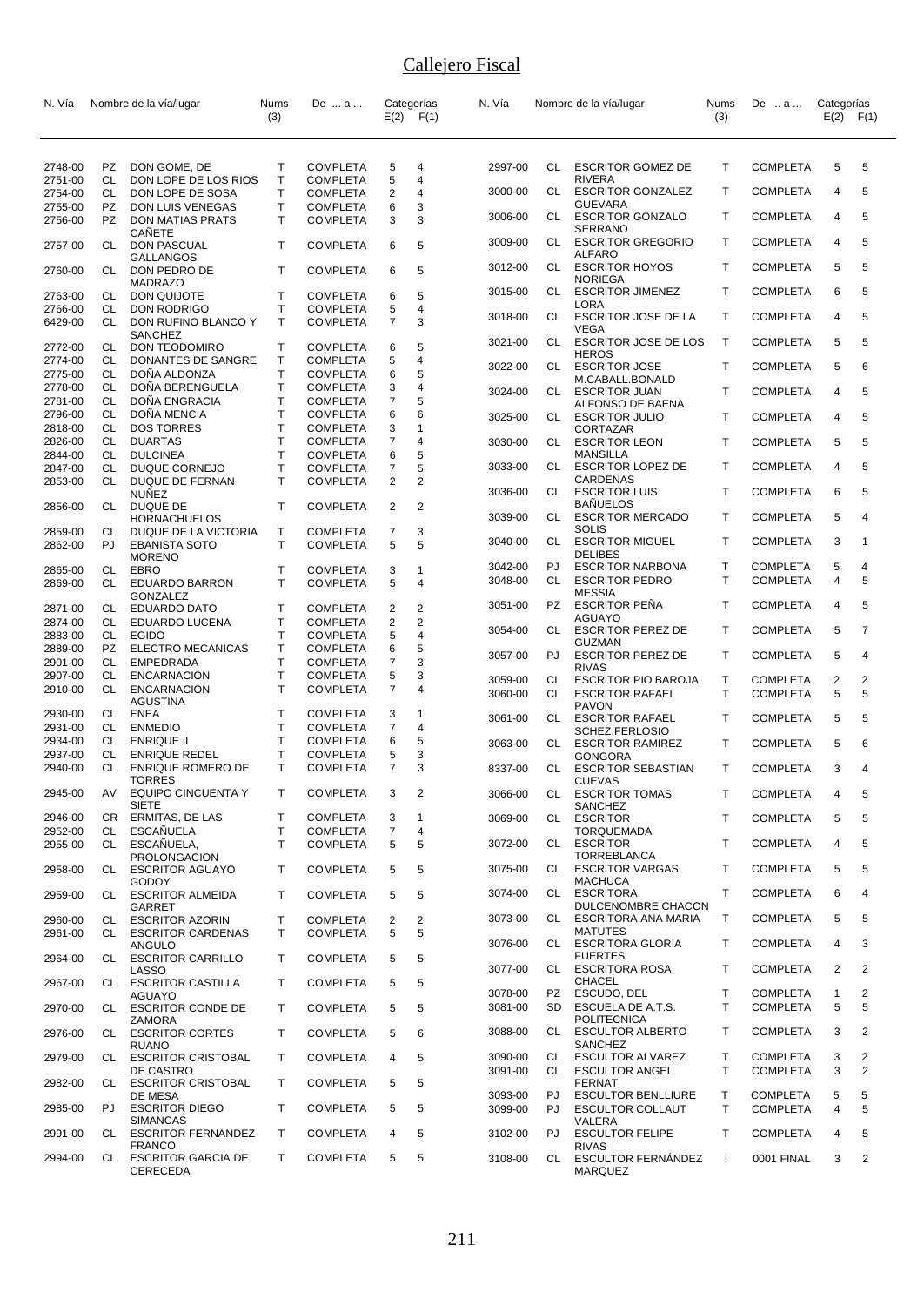| N. Vía             |                  | Nombre de la vía/lugar                       | Nums                        | De  a                              |                              | Categorías          | N. Vía  |      | Nombre de la vía/lugar                        | Nums         | De  a           | Categorías   |                |
|--------------------|------------------|----------------------------------------------|-----------------------------|------------------------------------|------------------------------|---------------------|---------|------|-----------------------------------------------|--------------|-----------------|--------------|----------------|
|                    |                  |                                              | (3)                         |                                    |                              | $E(2)$ $F(1)$       |         |      |                                               | (3)          |                 | E(2)         | F(1)           |
|                    |                  |                                              |                             |                                    |                              |                     |         |      |                                               |              |                 |              |                |
| 2748-00            | PZ               | DON GOME, DE                                 | Т                           | <b>COMPLETA</b>                    | 5                            | 4                   | 2997-00 | CL   | <b>ESCRITOR GOMEZ DE</b>                      | т            | <b>COMPLETA</b> | 5            | 5              |
| 2751-00            | CL               | DON LOPE DE LOS RIOS                         | Т                           | <b>COMPLETA</b>                    | 5                            | $\overline{4}$      |         |      | <b>RIVERA</b>                                 |              |                 |              |                |
| 2754-00<br>2755-00 | <b>CL</b><br>PZ. | DON LOPE DE SOSA<br>DON LUIS VENEGAS         | T<br>Т                      | <b>COMPLETA</b><br><b>COMPLETA</b> | $\overline{\mathbf{c}}$<br>6 | 4<br>3              | 3000-00 | CL   | <b>ESCRITOR GONZALEZ</b><br><b>GUEVARA</b>    | т            | <b>COMPLETA</b> | 4            | 5              |
| 2756-00            | PZ.              | <b>DON MATIAS PRATS</b>                      | $\mathsf{T}$                | <b>COMPLETA</b>                    | 3                            | 3                   | 3006-00 | CL   | <b>ESCRITOR GONZALO</b>                       | Τ            | <b>COMPLETA</b> | 4            | 5              |
|                    |                  | CANETE                                       |                             |                                    |                              |                     |         |      | SERRANO                                       |              |                 |              |                |
| 2757-00            | CL               | DON PASCUAL<br><b>GALLANGOS</b>              | $\mathsf{T}$                | <b>COMPLETA</b>                    | 6                            | 5                   | 3009-00 | CL   | <b>ESCRITOR GREGORIO</b><br><b>ALFARO</b>     | Τ            | <b>COMPLETA</b> | 4            | 5              |
| 2760-00            | CL.              | DON PEDRO DE                                 | $\mathsf{T}$                | <b>COMPLETA</b>                    | 6                            | 5                   | 3012-00 | CL   | <b>ESCRITOR HOYOS</b>                         | Τ            | <b>COMPLETA</b> | 5            | 5              |
|                    |                  | <b>MADRAZO</b>                               |                             |                                    |                              |                     | 3015-00 | CL   | <b>NORIEGA</b><br><b>ESCRITOR JIMENEZ</b>     | $\mathsf{T}$ | <b>COMPLETA</b> | 6            | 5              |
| 2763-00<br>2766-00 | CL<br>CL         | DON QUIJOTE<br><b>DON RODRIGO</b>            | $\mathsf T$<br>$\mathsf T$  | <b>COMPLETA</b><br><b>COMPLETA</b> | 6<br>5                       | 5<br>$\overline{4}$ |         |      | LORA                                          |              |                 |              |                |
| 6429-00            | CL               | DON RUFINO BLANCO Y                          | $\mathsf{T}$                | <b>COMPLETA</b>                    | $\overline{7}$               | 3                   | 3018-00 | CL.  | <b>ESCRITOR JOSE DE LA</b><br><b>VEGA</b>     | Τ            | <b>COMPLETA</b> | 4            | 5              |
| 2772-00            | CL.              | SANCHEZ<br><b>DON TEODOMIRO</b>              | T                           | <b>COMPLETA</b>                    | 6                            | 5                   | 3021-00 | CL   | <b>ESCRITOR JOSE DE LOS</b>                   | $\mathsf{T}$ | <b>COMPLETA</b> | 5            | 5              |
| 2774-00            | CL               | DONANTES DE SANGRE                           | Т                           | <b>COMPLETA</b>                    | 5                            | 4                   |         |      | <b>HEROS</b>                                  |              |                 |              |                |
| 2775-00            | CL               | DONA ALDONZA                                 | Т                           | <b>COMPLETA</b>                    | 6                            | 5                   | 3022-00 | CL   | <b>ESCRITOR JOSE</b><br>M.CABALL.BONALD       | т            | <b>COMPLETA</b> | 5            | 6              |
| 2778-00            | <b>CL</b>        | DOÑA BERENGUELA                              | T                           | <b>COMPLETA</b>                    | 3                            | 4                   | 3024-00 | CL   | <b>ESCRITOR JUAN</b>                          | Τ            | <b>COMPLETA</b> | 4            | 5              |
| 2781-00<br>2796-00 | CL<br><b>CL</b>  | DOÑA ENGRACIA<br>DOÑA MENCIA                 | Т<br>T                      | <b>COMPLETA</b><br><b>COMPLETA</b> | $\overline{7}$<br>6          | 5<br>6              |         |      | ALFONSO DE BAENA                              |              |                 |              | 5              |
| 2818-00            | CL               | <b>DOS TORRES</b>                            | T                           | <b>COMPLETA</b>                    | 3                            | 1                   | 3025-00 | CL   | <b>ESCRITOR JULIO</b><br><b>CORTAZAR</b>      | Τ            | <b>COMPLETA</b> | 4            |                |
| 2826-00            | CL               | <b>DUARTAS</b>                               | T                           | <b>COMPLETA</b>                    | 7                            | 4                   | 3030-00 | CL   | <b>ESCRITOR LEON</b>                          | $\mathsf{T}$ | <b>COMPLETA</b> | 5            | 5              |
| 2844-00            | CL               | <b>DULCINEA</b>                              | T<br>T                      | <b>COMPLETA</b>                    | 6<br>$\overline{7}$          | 5<br>5              | 3033-00 | CL   | <b>MANSILLA</b><br><b>ESCRITOR LOPEZ DE</b>   | Τ            | <b>COMPLETA</b> | 4            | 5              |
| 2847-00<br>2853-00 | CL<br>CL         | DUQUE CORNEJO<br><b>DUQUE DE FERNAN</b>      | $\mathsf{T}$                | <b>COMPLETA</b><br><b>COMPLETA</b> | $\overline{2}$               | $\overline{2}$      |         |      | CARDENAS                                      |              |                 |              |                |
|                    |                  | <b>NUÑEZ</b>                                 |                             |                                    |                              |                     | 3036-00 | CL   | <b>ESCRITOR LUIS</b>                          | $\mathsf{T}$ | <b>COMPLETA</b> | 6            | 5              |
| 2856-00            | CL               | DUQUE DE<br><b>HORNACHUELOS</b>              | $\mathsf{T}$                | <b>COMPLETA</b>                    | 2                            | $\overline{2}$      | 3039-00 | CL   | <b>BANUELOS</b><br><b>ESCRITOR MERCADO</b>    | Τ            | <b>COMPLETA</b> | 5            | 4              |
| 2859-00            | CL               | DUQUE DE LA VICTORIA                         | Т                           | <b>COMPLETA</b>                    | 7                            | 3                   |         |      | SOLIS                                         |              |                 |              |                |
| 2862-00            | PJ               | <b>EBANISTA SOTO</b>                         | $\mathsf{T}$                | <b>COMPLETA</b>                    | 5                            | 5                   | 3040-00 | CL   | <b>ESCRITOR MIGUEL</b>                        | Τ            | <b>COMPLETA</b> | 3            | 1              |
| 2865-00            | CL               | <b>MORENO</b><br>EBRO                        | т                           | <b>COMPLETA</b>                    | 3                            | 1                   | 3042-00 | PJ   | <b>DELIBES</b><br><b>ESCRITOR NARBONA</b>     | T            | <b>COMPLETA</b> | 5            | 4              |
| 2869-00            | CL               | <b>EDUARDO BARRON</b>                        | T                           | <b>COMPLETA</b>                    | 5                            | $\overline{4}$      | 3048-00 | CL   | <b>ESCRITOR PEDRO</b>                         | $\mathsf{T}$ | <b>COMPLETA</b> | 4            | 5              |
|                    |                  | <b>GONZALEZ</b>                              |                             |                                    |                              |                     |         | PZ.  | <b>MESSIA</b>                                 | Τ            |                 |              | 5              |
| 2871-00<br>2874-00 | CL.<br>CL        | <b>EDUARDO DATO</b><br>EDUARDO LUCENA        | T<br>Т                      | <b>COMPLETA</b><br><b>COMPLETA</b> | 2<br>$\overline{\mathbf{c}}$ | 2<br>$\overline{2}$ | 3051-00 |      | <b>ESCRITOR PENA</b><br><b>AGUAYO</b>         |              | <b>COMPLETA</b> | 4            |                |
| 2883-00            | CL               | <b>EGIDO</b>                                 | $\mathsf T$                 | <b>COMPLETA</b>                    | 5                            | $\overline{4}$      | 3054-00 | CL   | <b>ESCRITOR PEREZ DE</b>                      | т            | <b>COMPLETA</b> | 5            | $\overline{7}$ |
| 2889-00            | PZ.              | <b>ELECTRO MECANICAS</b>                     | Т                           | <b>COMPLETA</b>                    | 6                            | 5                   | 3057-00 | PJ   | <b>GUZMAN</b><br><b>ESCRITOR PEREZ DE</b>     | Т            | <b>COMPLETA</b> | 5            | 4              |
| 2901-00            | CL               | <b>EMPEDRADA</b>                             | T.                          | COMPLETA                           | $\overline{7}$               | 3                   |         |      | <b>RIVAS</b>                                  |              |                 |              |                |
| 2907-00<br>2910-00 | CL<br>CL         | <b>ENCARNACION</b><br><b>ENCARNACION</b>     | T<br>$\mathsf{T}$           | <b>COMPLETA</b><br><b>COMPLETA</b> | 5<br>$\overline{7}$          | 3<br>$\overline{4}$ | 3059-00 | CL   | <b>ESCRITOR PIO BAROJA</b>                    | т            | <b>COMPLETA</b> | 2            | $\overline{2}$ |
|                    |                  | <b>AGUSTINA</b>                              |                             |                                    |                              |                     | 3060-00 | CL   | <b>ESCRITOR RAFAEL</b><br><b>PAVON</b>        | T            | <b>COMPLETA</b> | 5            | 5              |
| 2930-00            | CL               | ENEA                                         | Τ                           | <b>COMPLETA</b>                    | 3                            | 1                   | 3061-00 | CL   | <b>ESCRITOR RAFAEL</b>                        | Τ            | <b>COMPLETA</b> | 5            | 5              |
| 2931-00<br>2934-00 | CL<br>CL         | <b>ENMEDIO</b><br><b>ENRIQUE II</b>          | $\mathsf T$<br>$\mathsf{T}$ | <b>COMPLETA</b><br><b>COMPLETA</b> | $\overline{7}$<br>6          | $\overline{4}$<br>5 |         |      | SCHEZ.FERLOSIO                                |              |                 |              |                |
| 2937-00            | CL               | <b>ENRIQUE REDEL</b>                         | T                           | <b>COMPLETA</b>                    | 5                            | 3                   | 3063-00 | CL   | <b>ESCRITOR RAMIREZ</b><br>GONGORA            | т            | <b>COMPLETA</b> | 5            | 6              |
| 2940-00            | CL               | <b>ENRIQUE ROMERO DE</b>                     | т                           | <b>COMPLETA</b>                    | $\overline{7}$               | 3                   | 8337-00 | CL   | <b>ESCRITOR SEBASTIAN</b>                     | Τ            | <b>COMPLETA</b> | 3            | 4              |
| 2945-00            | AV               | <b>TORRES</b><br><b>EQUIPO CINCUENTA Y</b>   | Т                           | <b>COMPLETA</b>                    | 3                            | 2                   | 3066-00 | CL   | <b>CUEVAS</b><br><b>ESCRITOR TOMAS</b>        | Т            | <b>COMPLETA</b> |              | 5              |
|                    |                  | <b>SIETE</b>                                 |                             |                                    |                              |                     |         |      | <b>SANCHEZ</b>                                |              |                 | 4            |                |
| 2946-00            | CR.              | <b>ERMITAS, DE LAS</b>                       | T                           | <b>COMPLETA</b>                    | 3                            | 1                   | 3069-00 | CL   | <b>ESCRITOR</b>                               | т            | <b>COMPLETA</b> | 5            | 5              |
| 2952-00<br>2955-00 | CL.<br>CL.       | ESCAÑUELA<br>ESCAÑUELA,                      | T<br>$\mathsf{T}$           | <b>COMPLETA</b><br><b>COMPLETA</b> | $\overline{7}$<br>5          | $\overline{4}$<br>5 | 3072-00 | CL.  | <b>TORQUEMADA</b><br><b>ESCRITOR</b>          | т            | <b>COMPLETA</b> | 4            | 5              |
|                    |                  | <b>PROLONGACION</b>                          |                             |                                    |                              |                     |         |      | <b>TORREBLANCA</b>                            |              |                 |              |                |
| 2958-00            |                  | CL ESCRITOR AGUAYO                           | T                           | <b>COMPLETA</b>                    | 5                            | 5                   | 3075-00 | CL - | <b>ESCRITOR VARGAS</b>                        | T            | <b>COMPLETA</b> | 5            | 5              |
| 2959-00            | CL.              | <b>GODOY</b><br><b>ESCRITOR ALMEIDA</b>      | T                           | <b>COMPLETA</b>                    | 5                            | 5                   | 3074-00 | CL   | <b>MACHUCA</b><br><b>ESCRITORA</b>            | T            | <b>COMPLETA</b> | 6            | 4              |
|                    |                  | <b>GARRET</b>                                |                             |                                    |                              |                     |         |      | DULCENOMBRE CHACON                            |              |                 |              |                |
| 2960-00            | CL.              | <b>ESCRITOR AZORIN</b>                       | T                           | <b>COMPLETA</b>                    | 2                            | $\overline{2}$      | 3073-00 | CL   | ESCRITORA ANA MARIA<br><b>MATUTES</b>         | Τ            | <b>COMPLETA</b> | 5            | 5              |
| 2961-00            |                  | CL ESCRITOR CARDENAS<br>ANGULO               | T                           | <b>COMPLETA</b>                    | 5                            | 5                   | 3076-00 | CL   | <b>ESCRITORA GLORIA</b>                       | т            | <b>COMPLETA</b> | 4            | 3              |
| 2964-00            | CL.              | <b>ESCRITOR CARRILLO</b>                     | T                           | <b>COMPLETA</b>                    | 5                            | 5                   |         |      | <b>FUERTES</b>                                |              |                 |              |                |
|                    |                  | LASSO<br>CL ESCRITOR CASTILLA                |                             | <b>COMPLETA</b>                    |                              |                     | 3077-00 | CL   | <b>ESCRITORA ROSA</b><br><b>CHACEL</b>        | T            | <b>COMPLETA</b> | 2            | 2              |
| 2967-00            |                  | <b>AGUAYO</b>                                | T                           |                                    | 5                            | 5                   | 3078-00 | PZ   | ESCUDO, DEL                                   | T            | <b>COMPLETA</b> | $\mathbf{1}$ | 2              |
| 2970-00            |                  | CL ESCRITOR CONDE DE                         | T.                          | <b>COMPLETA</b>                    | 5                            | 5                   | 3081-00 | SD.  | ESCUELA DE A.T.S.                             | $\mathsf{T}$ | <b>COMPLETA</b> | 5            | 5              |
| 2976-00            |                  | ZAMORA<br>CL ESCRITOR CORTES                 | $\mathsf{T}$                | <b>COMPLETA</b>                    | 5                            | 6                   | 3088-00 | CL   | <b>POLITECNICA</b><br><b>ESCULTOR ALBERTO</b> | T            | <b>COMPLETA</b> | 3            | 2              |
|                    |                  | <b>RUANO</b>                                 |                             |                                    |                              |                     |         |      | SANCHEZ                                       |              |                 |              |                |
| 2979-00            |                  | CL ESCRITOR CRISTOBAL                        | T                           | <b>COMPLETA</b>                    | 4                            | 5                   | 3090-00 | CL   | <b>ESCULTOR ALVAREZ</b>                       | т            | <b>COMPLETA</b> | 3            | 2              |
| 2982-00            |                  | DE CASTRO<br>CL ESCRITOR CRISTOBAL           | $\mathsf{T}$                | <b>COMPLETA</b>                    | 5                            | 5                   | 3091-00 | CL   | <b>ESCULTOR ANGEL</b><br><b>FERNAT</b>        | $\mathsf{T}$ | <b>COMPLETA</b> | 3            | 2              |
|                    |                  | DE MESA                                      |                             |                                    |                              |                     | 3093-00 | PJ   | <b>ESCULTOR BENLLIURE</b>                     | $\mathsf{T}$ | <b>COMPLETA</b> | 5            | 5              |
| 2985-00            | PJ               | <b>ESCRITOR DIEGO</b>                        | T                           | <b>COMPLETA</b>                    | 5                            | 5                   | 3099-00 | PJ   | <b>ESCULTOR COLLAUT</b>                       | $\mathsf{T}$ | <b>COMPLETA</b> | 4            | 5              |
| 2991-00            | CL               | <b>SIMANCAS</b><br><b>ESCRITOR FERNANDEZ</b> | Τ                           | <b>COMPLETA</b>                    | 4                            | 5                   | 3102-00 | PJ   | VALERA<br><b>ESCULTOR FELIPE</b>              | т            | <b>COMPLETA</b> | 4            | 5              |
|                    |                  | <b>FRANCO</b>                                |                             |                                    |                              |                     |         |      | <b>RIVAS</b>                                  |              |                 |              |                |
| 2994-00            |                  | CL ESCRITOR GARCIA DE<br>CERECEDA            | T                           | <b>COMPLETA</b>                    | 5                            | 5                   | 3108-00 | CL   | <b>ESCULTOR FERNANDEZ</b><br>MARQUEZ          | $\perp$      | 0001 FINAL      | 3            | 2              |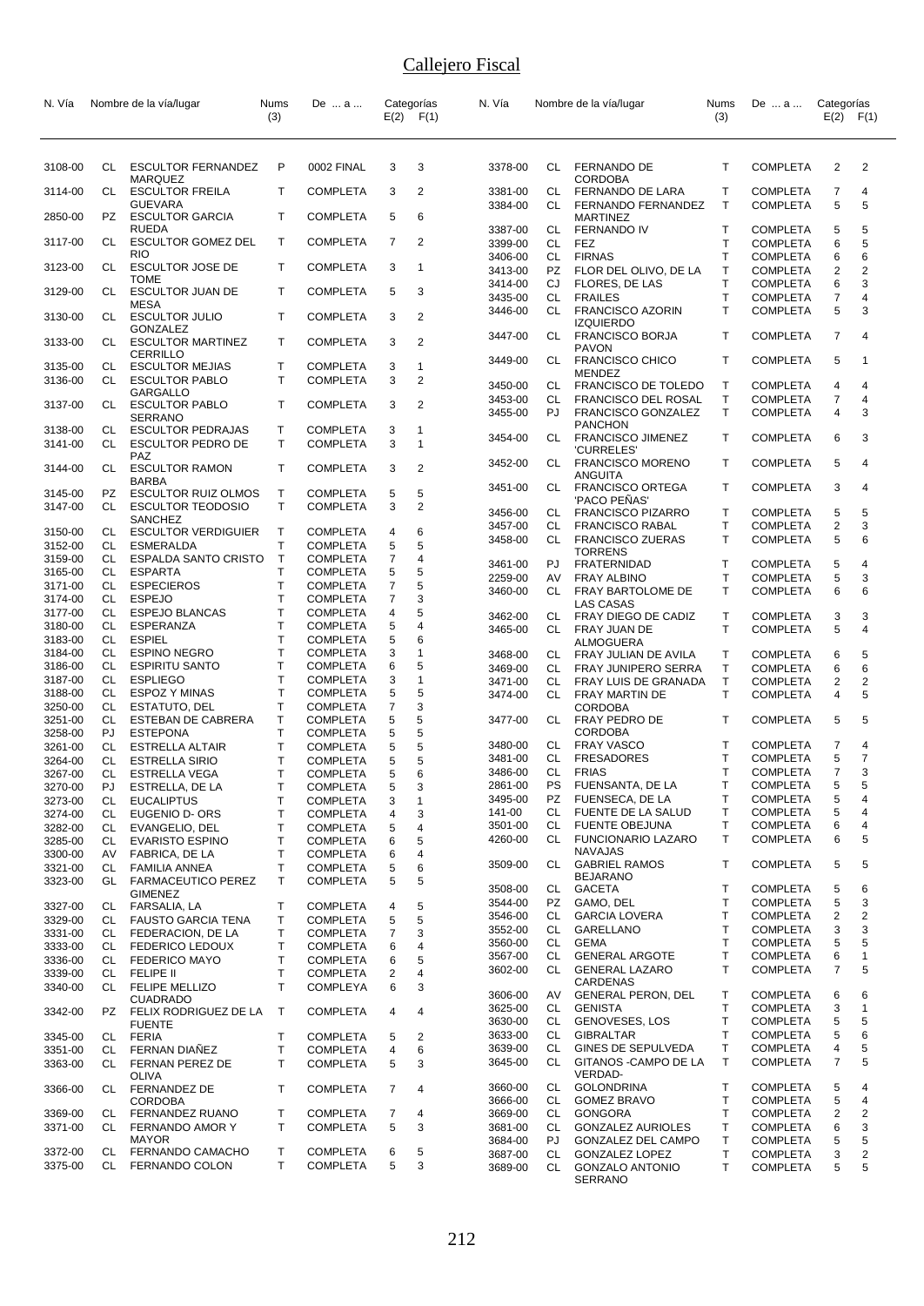| N. Vía             |           | Nombre de la vía/lugar                        | Nums<br>(3)       | De  a                              |                     | Categorías<br>$E(2)$ $F(1)$ | N. Vía             |          | Nombre de la vía/lugar                              | Nums<br>(3)       | De  a                              | Categorías<br>$E(2)$ $F(1)$      |                   |
|--------------------|-----------|-----------------------------------------------|-------------------|------------------------------------|---------------------|-----------------------------|--------------------|----------|-----------------------------------------------------|-------------------|------------------------------------|----------------------------------|-------------------|
| 3108-00            | CL        | <b>ESCULTOR FERNANDEZ</b>                     | P                 | 0002 FINAL                         | 3                   | 3                           | 3378-00            |          | CL FERNANDO DE                                      | T                 | <b>COMPLETA</b>                    | 2                                | $\overline{2}$    |
| 3114-00            | CL        | <b>MARQUEZ</b><br><b>ESCULTOR FREILA</b>      | т                 | <b>COMPLETA</b>                    | 3                   | 2                           | 3381-00            | CL       | <b>CORDOBA</b><br>FERNANDO DE LARA                  | т                 | <b>COMPLETA</b>                    | 7                                | 4                 |
|                    |           | <b>GUEVARA</b>                                |                   |                                    |                     |                             | 3384-00            | CL       | FERNANDO FERNANDEZ                                  | $\mathsf{T}$      | <b>COMPLETA</b>                    | 5                                | 5                 |
| 2850-00            | PZ.       | <b>ESCULTOR GARCIA</b><br><b>RUEDA</b>        | т                 | <b>COMPLETA</b>                    | 5                   | 6                           | 3387-00            | CL       | <b>MARTINEZ</b><br><b>FERNANDO IV</b>               | T                 | <b>COMPLETA</b>                    | 5                                | 5                 |
| 3117-00            | CL        | <b>ESCULTOR GOMEZ DEL</b><br><b>RIO</b>       | T.                | <b>COMPLETA</b>                    | $\overline{7}$      | 2                           | 3399-00            | CL       | FEZ                                                 | T                 | <b>COMPLETA</b>                    | 6                                | 5                 |
| 3123-00            | CL        | <b>ESCULTOR JOSE DE</b>                       | T.                | <b>COMPLETA</b>                    | 3                   | $\mathbf{1}$                | 3406-00<br>3413-00 | CL<br>PZ | <b>FIRNAS</b><br>FLOR DEL OLIVO, DE LA              | T<br>Τ            | <b>COMPLETA</b><br><b>COMPLETA</b> | 6<br>2                           | 6<br>2            |
| 3129-00            | CL        | <b>TOME</b><br><b>ESCULTOR JUAN DE</b>        | т                 | <b>COMPLETA</b>                    | 5                   | 3                           | 3414-00            | CJ       | FLORES, DE LAS                                      | T                 | <b>COMPLETA</b>                    | 6                                | 3                 |
|                    |           | <b>MESA</b>                                   |                   |                                    |                     |                             | 3435-00<br>3446-00 | CL<br>CL | <b>FRAILES</b><br><b>FRANCISCO AZORIN</b>           | T<br>T            | <b>COMPLETA</b><br><b>COMPLETA</b> | 7<br>5                           | 4<br>3            |
| 3130-00            | CL        | <b>ESCULTOR JULIO</b><br>GONZALEZ             | т                 | <b>COMPLETA</b>                    | 3                   | $\overline{2}$              | 3447-00            | CL       | <b>IZQUIERDO</b>                                    | T                 | <b>COMPLETA</b>                    | 7                                | 4                 |
| 3133-00            | CL.       | <b>ESCULTOR MARTINEZ</b><br>CERRILLO          | т                 | <b>COMPLETA</b>                    | 3                   | 2                           |                    |          | <b>FRANCISCO BORJA</b><br><b>PAVON</b>              |                   |                                    |                                  |                   |
| 3135-00            | CL        | <b>ESCULTOR MEJIAS</b>                        | T                 | <b>COMPLETA</b>                    | 3                   | 1                           | 3449-00            | CL       | <b>FRANCISCO CHICO</b><br>MENDEZ                    | T                 | <b>COMPLETA</b>                    | 5                                | 1                 |
| 3136-00            | CL        | <b>ESCULTOR PABLO</b><br><b>GARGALLO</b>      | т                 | <b>COMPLETA</b>                    | 3                   | $\overline{2}$              | 3450-00            | CL       | <b>FRANCISCO DE TOLEDO</b>                          | $\mathsf{T}$      | <b>COMPLETA</b>                    | 4                                | 4                 |
| 3137-00            | CL        | <b>ESCULTOR PABLO</b>                         | т                 | <b>COMPLETA</b>                    | 3                   | 2                           | 3453-00<br>3455-00 | CL<br>PJ | <b>FRANCISCO DEL ROSAL</b><br>FRANCISCO GONZALEZ    | Т<br>T            | <b>COMPLETA</b><br><b>COMPLETA</b> | 7<br>4                           | 4<br>3            |
| 3138-00            | CL        | <b>SERRANO</b><br><b>ESCULTOR PEDRAJAS</b>    | т                 | <b>COMPLETA</b>                    | 3                   | 1                           |                    |          | <b>PANCHON</b>                                      |                   |                                    |                                  |                   |
| 3141-00            | CL        | <b>ESCULTOR PEDRO DE</b><br><b>PAZ</b>        | $\mathsf{T}$      | <b>COMPLETA</b>                    | 3                   | $\mathbf{1}$                | 3454-00            | CL       | <b>FRANCISCO JIMENEZ</b><br>'CURRELES'              | Т                 | <b>COMPLETA</b>                    | 6                                | 3                 |
| 3144-00            | CL        | <b>ESCULTOR RAMON</b>                         | т                 | <b>COMPLETA</b>                    | 3                   | $\overline{2}$              | 3452-00            | CL.      | <b>FRANCISCO MORENO</b><br>ANGUITA                  | Т                 | <b>COMPLETA</b>                    | 5                                | 4                 |
| 3145-00            | PZ        | <b>BARBA</b><br><b>ESCULTOR RUIZ OLMOS</b>    | Т                 | <b>COMPLETA</b>                    | 5                   | 5                           | 3451-00            | CL       | <b>FRANCISCO ORTEGA</b>                             | T                 | <b>COMPLETA</b>                    | 3                                | 4                 |
| 3147-00            | CL        | <b>ESCULTOR TEODOSIO</b>                      | T                 | <b>COMPLETA</b>                    | 3                   | $\overline{2}$              | 3456-00            | CL       | 'PACO PEÑAS'<br><b>FRANCISCO PIZARRO</b>            | Т                 | <b>COMPLETA</b>                    | 5                                | 5                 |
| 3150-00            | CL        | <b>SANCHEZ</b><br><b>ESCULTOR VERDIGUIER</b>  | Т                 | <b>COMPLETA</b>                    | 4                   | 6                           | 3457-00            | CL       | <b>FRANCISCO RABAL</b>                              | T<br>T            | <b>COMPLETA</b>                    | 2<br>5                           | 3<br>6            |
| 3152-00            | CL        | <b>ESMERALDA</b>                              | Т                 | <b>COMPLETA</b>                    | 5                   | 5                           | 3458-00            | CL       | <b>FRANCISCO ZUERAS</b><br><b>TORRENS</b>           |                   | <b>COMPLETA</b>                    |                                  |                   |
| 3159-00<br>3165-00 | CL<br>CL  | <b>ESPALDA SANTO CRISTO</b><br><b>ESPARTA</b> | T<br>T            | COMPLETA<br><b>COMPLETA</b>        | $\overline{7}$<br>5 | 4<br>5                      | 3461-00            | PJ       | FRATERNIDAD                                         | Т                 | <b>COMPLETA</b>                    | 5                                | 4                 |
| 3171-00            | CL        | <b>ESPECIEROS</b>                             | Т                 | <b>COMPLETA</b>                    | 7                   | 5                           | 2259-00<br>3460-00 | AV<br>CL | <b>FRAY ALBINO</b><br>FRAY BARTOLOME DE             | T<br>T            | <b>COMPLETA</b><br><b>COMPLETA</b> | 5<br>6                           | 3<br>6            |
| 3174-00            | CL        | <b>ESPEJO</b>                                 | Т                 | <b>COMPLETA</b>                    | 7                   | 3                           |                    |          | LAS CASAS                                           |                   |                                    |                                  |                   |
| 3177-00<br>3180-00 | CL<br>CL  | <b>ESPEJO BLANCAS</b><br>ESPERANZA            | T<br>T            | <b>COMPLETA</b><br><b>COMPLETA</b> | 4<br>5              | 5<br>$\overline{4}$         | 3462-00            | CL       | FRAY DIEGO DE CADIZ                                 | T                 | <b>COMPLETA</b>                    | 3                                | 3                 |
| 3183-00            | CL        | <b>ESPIEL</b>                                 | Т                 | <b>COMPLETA</b>                    | 5                   | 6                           | 3465-00            | CL.      | FRAY JUAN DE<br>ALMOGUERA                           | T                 | <b>COMPLETA</b>                    | 5                                | 4                 |
| 3184-00            | CL        | <b>ESPINO NEGRO</b>                           | Т                 | <b>COMPLETA</b>                    | 3                   | 1                           | 3468-00            |          | CL FRAY JULIAN DE AVILA                             | T                 | <b>COMPLETA</b>                    | 6                                | 5                 |
| 3186-00            | CL        | <b>ESPIRITU SANTO</b>                         | T<br>$\mathsf{T}$ | COMPLETA                           | 6                   | 5<br>$\mathbf{1}$           | 3469-00            | CL       | <b>FRAY JUNIPERO SERRA</b>                          | т                 | <b>COMPLETA</b>                    | 6                                | 6                 |
| 3187-00<br>3188-00 | CL<br>CL  | <b>ESPLIEGO</b><br>ESPOZ Y MINAS              | $\mathsf{T}$      | <b>COMPLETA</b><br><b>COMPLETA</b> | 3<br>5              | 5                           | 3471-00<br>3474-00 | CL<br>CL | FRAY LUIS DE GRANADA<br><b>FRAY MARTIN DE</b>       | $\mathsf{T}$<br>T | <b>COMPLETA</b><br><b>COMPLETA</b> | $\overline{2}$<br>$\overline{4}$ | 2<br>5            |
| 3250-00            | CL        | ESTATUTO, DEL                                 | Т                 | <b>COMPLETA</b>                    | $\overline{7}$      | 3                           |                    |          | CORDOBA                                             |                   |                                    |                                  |                   |
| 3251-00<br>3258-00 | CL<br>PJ. | ESTEBAN DE CABRERA<br><b>ESTEPONA</b>         | т<br>T            | COMPLETA<br><b>COMPLETA</b>        | 5<br>5              | 5<br>5                      | 3477-00            | CL       | FRAY PEDRO DE<br><b>CORDOBA</b>                     | T                 | <b>COMPLETA</b>                    | 5                                | 5                 |
| 3261-00            | CL        | <b>ESTRELLA ALTAIR</b>                        | T                 | <b>COMPLETA</b>                    | 5                   | 5                           | 3480-00            | CL.      | <b>FRAY VASCO</b>                                   | т                 | <b>COMPLETA</b>                    | 7                                | 4                 |
| 3264-00            | CL        | <b>ESTRELLA SIRIO</b>                         | Т                 | <b>COMPLETA</b>                    | 5                   | 5                           | 3481-00            | CL       | <b>FRESADORES</b>                                   | T                 | <b>COMPLETA</b>                    | 5                                | $\overline{7}$    |
| 3267-00            | CL        | <b>ESTRELLA VEGA</b>                          | Т                 | <b>COMPLETA</b>                    | 5                   | 6                           | 3486-00            | CL       | <b>FRIAS</b>                                        | T                 | <b>COMPLETA</b>                    | 7                                | 3                 |
| 3270-00<br>3273-00 | PJ        | ESTRELLA, DE LA<br><b>EUCALIPTUS</b>          | Т<br>Τ            | COMPLETA<br><b>COMPLETA</b>        | 5                   | 3<br>$\mathbf{1}$           | 2861-00<br>3495-00 | PS       | FUENSANTA, DE LA<br>PZ FUENSECA, DE LA              | Т<br>Т            | <b>COMPLETA</b><br><b>COMPLETA</b> | 5<br>5                           | 5<br>4            |
| 3274-00            | CL<br>CL  | EUGENIO D- ORS                                | т                 | <b>COMPLETA</b>                    | 3<br>4              | 3                           | 141-00             | CL       | FUENTE DE LA SALUD                                  | T                 | <b>COMPLETA</b>                    | 5                                | 4                 |
| 3282-00            | CL        | EVANGELIO, DEL                                | Т                 | <b>COMPLETA</b>                    | 5                   | 4                           | 3501-00            | CL       | <b>FUENTE OBEJUNA</b>                               | T.                | <b>COMPLETA</b>                    | 6                                | 4                 |
| 3285-00            | CL        | <b>EVARISTO ESPINO</b>                        | Т                 | <b>COMPLETA</b>                    | 6                   | 5                           | 4260-00            | CL       | <b>FUNCIONARIO LAZARO</b><br><b>NAVAJAS</b>         | т                 | <b>COMPLETA</b>                    | 6                                | 5                 |
| 3300-00<br>3321-00 | AV<br>CL  | FABRICA, DE LA<br><b>FAMILIA ANNEA</b>        | Т<br>т            | <b>COMPLETA</b><br><b>COMPLETA</b> | 6<br>5              | 4<br>6                      | 3509-00            | CL       | <b>GABRIEL RAMOS</b>                                | т                 | <b>COMPLETA</b>                    | 5                                | 5                 |
| 3323-00            | GL.       | <b>FARMACEUTICO PEREZ</b>                     | Τ                 | <b>COMPLETA</b>                    | 5                   | 5                           |                    |          | <b>BEJARANO</b>                                     |                   |                                    |                                  |                   |
|                    |           | <b>GIMENEZ</b>                                |                   |                                    |                     |                             | 3508-00<br>3544-00 | CL<br>PZ | GACETA<br>GAMO, DEL                                 | т<br>Τ            | <b>COMPLETA</b><br><b>COMPLETA</b> | 5<br>5                           | 6<br>3            |
| 3327-00<br>3329-00 | CL<br>CL  | FARSALIA, LA<br><b>FAUSTO GARCIA TENA</b>     | Т<br>Т            | <b>COMPLETA</b><br><b>COMPLETA</b> | 4<br>5              | 5<br>5                      | 3546-00            |          | CL GARCIA LOVERA                                    | т                 | <b>COMPLETA</b>                    | 2                                | 2                 |
| 3331-00            | CL        | FEDERACION, DE LA                             | Т                 | <b>COMPLETA</b>                    | 7                   | 3                           | 3552-00            | CL       | <b>GARELLANO</b>                                    | Т                 | <b>COMPLETA</b>                    | 3                                | 3                 |
| 3333-00            | CL        | <b>FEDERICO LEDOUX</b>                        | Τ                 | <b>COMPLETA</b>                    | 6                   | 4                           | 3560-00            | CL       | <b>GEMA</b>                                         | T                 | <b>COMPLETA</b>                    | 5                                | 5                 |
| 3336-00            | CL        | <b>FEDERICO MAYO</b>                          | т                 | <b>COMPLETA</b>                    | 6                   | 5                           | 3567-00<br>3602-00 | CL<br>CL | <b>GENERAL ARGOTE</b><br><b>GENERAL LAZARO</b>      | Т<br>T            | <b>COMPLETA</b><br><b>COMPLETA</b> | 6<br>7                           | 1<br>5            |
| 3339-00<br>3340-00 | CL<br>CL. | <b>FELIPE II</b><br><b>FELIPE MELLIZO</b>     | T<br>T            | <b>COMPLETA</b><br><b>COMPLEYA</b> | 2<br>6              | 4<br>3                      |                    |          | CARDENAS                                            |                   |                                    |                                  |                   |
|                    |           | <b>CUADRADO</b>                               |                   |                                    |                     |                             | 3606-00<br>3625-00 | AV<br>CL | <b>GENERAL PERON, DEL</b><br>GENISTA                | Τ<br>T            | <b>COMPLETA</b><br><b>COMPLETA</b> | 6<br>3                           | 6<br>$\mathbf{1}$ |
| 3342-00            | PZ.       | FELIX RODRIGUEZ DE LA<br><b>FUENTE</b>        | $\mathsf{T}$      | <b>COMPLETA</b>                    | 4                   | 4                           | 3630-00            |          | CL GENOVESES, LOS                                   | т                 | <b>COMPLETA</b>                    | 5                                | 5                 |
| 3345-00            | CL        | <b>FERIA</b>                                  | Т                 | <b>COMPLETA</b>                    | 5                   | 2                           | 3633-00            | CL       | <b>GIBRALTAR</b>                                    | Τ                 | <b>COMPLETA</b>                    | 5                                | 6                 |
| 3351-00            | CL        | FERNAN DIAÑEZ                                 | Τ                 | COMPLETA                           | 4                   | 6                           | 3639-00            | CL<br>CL | GINES DE SEPULVEDA<br>GITANOS - CAMPO DE LA         | Т<br>т            | <b>COMPLETA</b>                    | 4                                | 5<br>5            |
| 3363-00            | CL        | FERNAN PEREZ DE<br>OLIVA                      | T                 | <b>COMPLETA</b>                    | 5                   | 3                           | 3645-00            |          | VERDAD-                                             |                   | <b>COMPLETA</b>                    | 7                                |                   |
| 3366-00            | CL        | <b>FERNANDEZ DE</b><br><b>CORDOBA</b>         | T.                | <b>COMPLETA</b>                    | 7                   | 4                           | 3660-00<br>3666-00 | CL<br>CL | GOLONDRINA<br><b>GOMEZ BRAVO</b>                    | Т<br>Τ            | <b>COMPLETA</b><br><b>COMPLETA</b> | 5<br>5                           | 4<br>4            |
| 3369-00            | CL        | FERNANDEZ RUANO                               | Т                 | <b>COMPLETA</b>                    | 7                   | 4                           | 3669-00            | CL       | GONGORA                                             | T                 | <b>COMPLETA</b>                    | 2                                | 2                 |
| 3371-00            | CL.       | FERNANDO AMOR Y                               | Τ                 | <b>COMPLETA</b>                    | 5                   | 3                           | 3681-00            | CL       | <b>GONZALEZ AURIOLES</b>                            | т                 | <b>COMPLETA</b>                    | 6                                | 3                 |
| 3372-00            | CL        | <b>MAYOR</b><br>FERNANDO CAMACHO              | Т                 | <b>COMPLETA</b>                    | 6                   | 5                           | 3684-00            | PJ<br>CL | GONZALEZ DEL CAMPO                                  | T<br>Т            | <b>COMPLETA</b>                    | 5<br>3                           | 5                 |
| 3375-00            | CL        | FERNANDO COLON                                | T                 | COMPLETA                           | 5                   | 3                           | 3687-00<br>3689-00 | CL       | GONZALEZ LOPEZ<br><b>GONZALO ANTONIO</b><br>SERRANO | т                 | <b>COMPLETA</b><br><b>COMPLETA</b> | 5                                | 2<br>5            |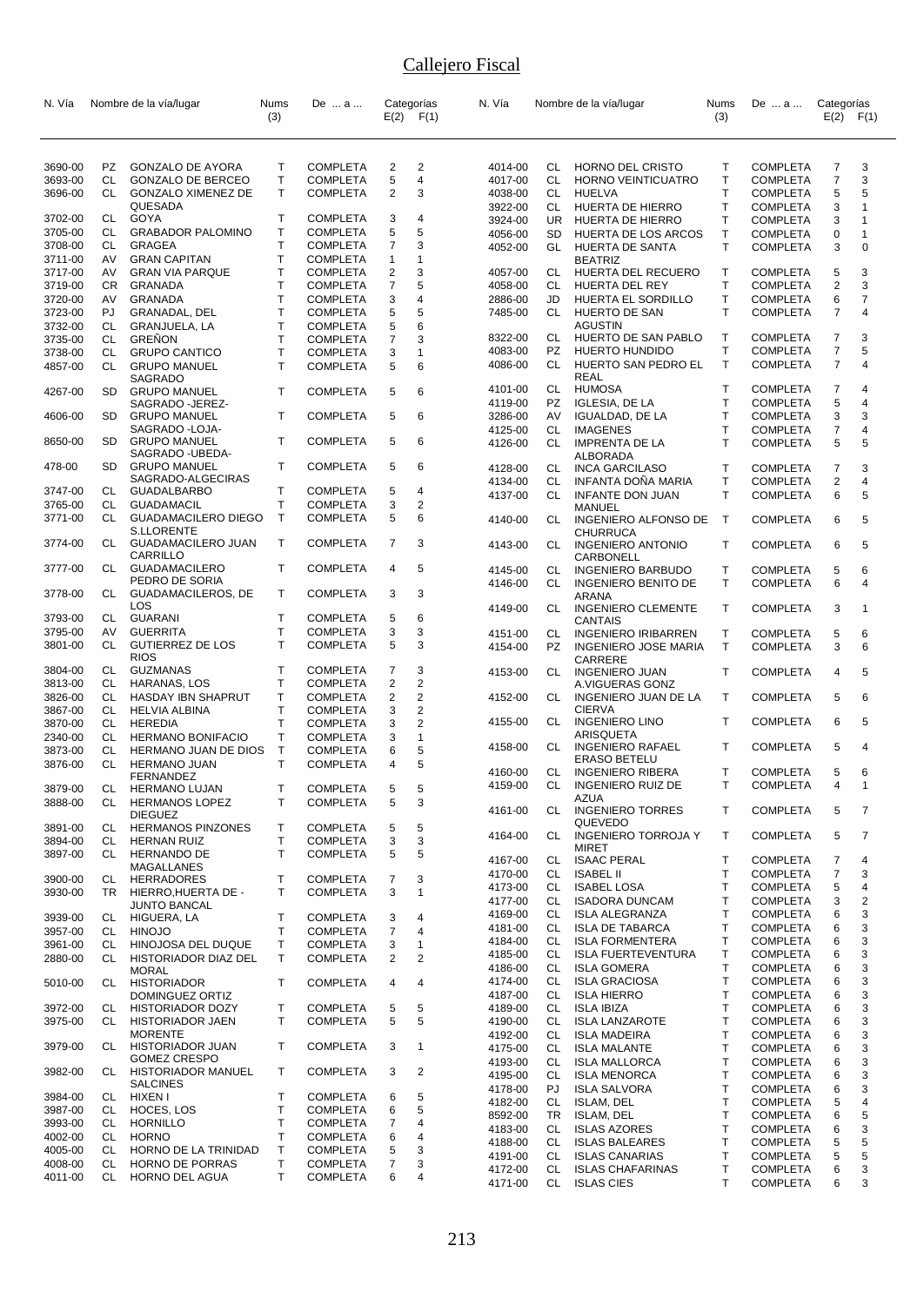| N. Vía             |           | Nombre de la vía/lugar                  | Nums   | De  a                              |                | Categorías              | N. Vía             |           | Nombre de la vía/lugar                          | <b>Nums</b>  | De  a                              | Categorías     |                |
|--------------------|-----------|-----------------------------------------|--------|------------------------------------|----------------|-------------------------|--------------------|-----------|-------------------------------------------------|--------------|------------------------------------|----------------|----------------|
|                    |           |                                         | (3)    |                                    |                | $E(2)$ $F(1)$           |                    |           |                                                 | (3)          |                                    | E(2)           | F(1)           |
| 3690-00            | PZ        | <b>GONZALO DE AYORA</b>                 | т      | <b>COMPLETA</b>                    | 2              | 2                       | 4014-00            | CL        | HORNO DEL CRISTO                                | Т            | <b>COMPLETA</b>                    | 7              | 3              |
| 3693-00            | CL.       | <b>GONZALO DE BERCEO</b>                | т      | <b>COMPLETA</b>                    | 5              | 4                       | 4017-00            | CL        | HORNO VEINTICUATRO                              | $\mathsf{T}$ | <b>COMPLETA</b>                    | $\overline{7}$ | 3              |
| 3696-00            | CL        | <b>GONZALO XIMENEZ DE</b>               | Τ      | <b>COMPLETA</b>                    | $\overline{2}$ | 3                       | 4038-00            | CL.       | <b>HUELVA</b>                                   | T            | <b>COMPLETA</b>                    | 5              | 5              |
|                    |           | QUESADA                                 |        |                                    |                |                         | 3922-00            | CL        | HUERTA DE HIERRO                                | Τ            | <b>COMPLETA</b>                    | 3              | $\mathbf{1}$   |
| 3702-00            | CL        | GOYA                                    | т      | <b>COMPLETA</b>                    | 3              | 4                       | 3924-00            | <b>UR</b> | HUERTA DE HIERRO                                | T            | <b>COMPLETA</b>                    | 3              | $\overline{1}$ |
| 3705-00            | CL        | <b>GRABADOR PALOMINO</b>                | т      | <b>COMPLETA</b>                    | 5              | 5                       | 4056-00            | <b>SD</b> | HUERTA DE LOS ARCOS                             | $\mathsf{T}$ | <b>COMPLETA</b>                    | 0              | $\mathbf{1}$   |
| 3708-00            | CL        | GRAGEA                                  | Т      | <b>COMPLETA</b>                    | $\overline{7}$ | 3                       | 4052-00            | GL        | HUERTA DE SANTA                                 | T.           | <b>COMPLETA</b>                    | 3              | $\mathbf 0$    |
| 3711-00            | AV        | <b>GRAN CAPITAN</b>                     | T      | <b>COMPLETA</b>                    | $\mathbf{1}$   | $\mathbf{1}$            |                    |           | <b>BEATRIZ</b>                                  |              |                                    |                |                |
| 3717-00            | AV        | <b>GRAN VIA PARQUE</b>                  | т      | <b>COMPLETA</b>                    | $\overline{2}$ | 3                       | 4057-00            | CL        | HUERTA DEL RECUERO                              | Т            | <b>COMPLETA</b>                    | 5              | 3              |
| 3719-00            | CR.       | GRANADA                                 | Τ      | <b>COMPLETA</b>                    | $\overline{7}$ | 5                       | 4058-00            | CL        | HUERTA DEL REY                                  | T            | <b>COMPLETA</b>                    | 2              | 3              |
| 3720-00            | AV        | <b>GRANADA</b>                          | T.     | <b>COMPLETA</b>                    | 3              | 4                       | 2886-00            | JD        | HUERTA EL SORDILLO                              | Τ            | <b>COMPLETA</b>                    | 6              | $\overline{7}$ |
| 3723-00            | PJ        | GRANADAL, DEL                           | T      | <b>COMPLETA</b>                    | 5              | 5                       | 7485-00            | CL        | HUERTO DE SAN<br><b>AGUSTIN</b>                 | $\mathsf{T}$ | <b>COMPLETA</b>                    | 7              | 4              |
| 3732-00<br>3735-00 | CL<br>CL  | GRANJUELA, LA<br>GRENON                 | Τ<br>т | <b>COMPLETA</b><br><b>COMPLETA</b> | 5<br>7         | 6<br>3                  | 8322-00            | CL        | HUERTO DE SAN PABLO                             | Τ            | <b>COMPLETA</b>                    | 7              | 3              |
| 3738-00            | <b>CL</b> | <b>GRUPO CANTICO</b>                    | T      | <b>COMPLETA</b>                    | 3              | $\mathbf{1}$            | 4083-00            | PZ        | HUERTO HUNDIDO                                  | T            | <b>COMPLETA</b>                    | 7              | 5              |
| 4857-00            | CL        | <b>GRUPO MANUEL</b>                     | T      | <b>COMPLETA</b>                    | 5              | 6                       | 4086-00            | CL        | HUERTO SAN PEDRO EL<br><b>REAL</b>              | $\mathsf{T}$ | <b>COMPLETA</b>                    | 7              | 4              |
| 4267-00            | SD.       | SAGRADO<br><b>GRUPO MANUEL</b>          | т      | <b>COMPLETA</b>                    | 5              | 6                       | 4101-00            | CL        | <b>HUMOSA</b>                                   | $\top$       | <b>COMPLETA</b>                    | $\overline{7}$ | 4              |
|                    |           | SAGRADO - JEREZ-                        |        |                                    |                |                         | 4119-00            | PZ        | <b>IGLESIA, DE LA</b>                           | $\mathsf{T}$ | <b>COMPLETA</b>                    | 5              | 4              |
| 4606-00            | SD.       | <b>GRUPO MANUEL</b>                     | т      | <b>COMPLETA</b>                    | 5              | 6                       | 3286-00            | AV        | <b>IGUALDAD, DE LA</b>                          | T            | <b>COMPLETA</b>                    | 3              | 3              |
|                    |           | SAGRADO - LOJA-                         |        |                                    |                |                         | 4125-00            | CL        | <b>IMAGENES</b>                                 | T            | <b>COMPLETA</b>                    | 7              | 4              |
| 8650-00            | SD.       | <b>GRUPO MANUEL</b>                     | т      | <b>COMPLETA</b>                    | 5              | 6                       | 4126-00            | CL        | <b>IMPRENTA DE LA</b>                           | $\mathsf{T}$ | <b>COMPLETA</b>                    | 5              | 5              |
|                    |           | SAGRADO - UBEDA-                        |        |                                    |                |                         |                    |           | ALBORADA                                        |              |                                    |                |                |
| 478-00             | SD        | <b>GRUPO MANUEL</b>                     | т      | <b>COMPLETA</b>                    | 5              | 6                       | 4128-00            | CL        | <b>INCA GARCILASO</b>                           | Τ            | <b>COMPLETA</b>                    | 7              | 3              |
| 3747-00            |           | SAGRADO-ALGECIRAS<br><b>GUADALBARBO</b> | т      |                                    |                | 4                       | 4134-00            | CL        | <b>INFANTA DONA MARIA</b>                       | T            | <b>COMPLETA</b>                    | 2              | 4              |
| 3765-00            | CL<br>CL  | GUADAMACIL                              | Т      | <b>COMPLETA</b><br><b>COMPLETA</b> | 5<br>3         | $\overline{2}$          | 4137-00            | CL        | <b>INFANTE DON JUAN</b>                         | $\mathsf{T}$ | <b>COMPLETA</b>                    | 6              | 5              |
| 3771-00            | CL.       | <b>GUADAMACILERO DIEGO</b>              | T      | <b>COMPLETA</b>                    | 5              | 6                       |                    | CL        | MANUEL<br><b>INGENIERO ALFONSO DE</b>           | $\top$       |                                    | 6              | 5              |
|                    |           | <b>S.LLORENTE</b>                       |        |                                    |                |                         | 4140-00            |           | CHURRUCA                                        |              | <b>COMPLETA</b>                    |                |                |
| 3774-00            | CL        | <b>GUADAMACILERO JUAN</b><br>CARRILLO   | т      | <b>COMPLETA</b>                    | 7              | 3                       | 4143-00            | CL        | <b>INGENIERO ANTONIO</b><br>CARBONELL           | T            | <b>COMPLETA</b>                    | 6              | 5              |
| 3777-00            | CL        | <b>GUADAMACILERO</b>                    | т      | <b>COMPLETA</b>                    | 4              | 5                       | 4145-00            | CL        | <b>INGENIERO BARBUDO</b>                        | т            | <b>COMPLETA</b>                    | 5              | 6              |
|                    |           | PEDRO DE SORIA                          |        |                                    |                |                         | 4146-00            | CL        | <b>INGENIERO BENITO DE</b>                      | T.           | <b>COMPLETA</b>                    | 6              | 4              |
| 3778-00            | CL        | <b>GUADAMACILEROS, DE</b>               | т      | <b>COMPLETA</b>                    | 3              | 3                       |                    |           | <b>ARANA</b>                                    |              |                                    |                |                |
|                    |           | LOS                                     |        |                                    |                |                         | 4149-00            | CL        | <b>INGENIERO CLEMENTE</b>                       | $\mathsf{T}$ | <b>COMPLETA</b>                    | 3              | 1              |
| 3793-00            | CL        | GUARANI                                 | т      | <b>COMPLETA</b>                    | 5              | 6                       |                    |           | CANTAIS                                         |              |                                    |                |                |
| 3795-00            | AV        | <b>GUERRITA</b>                         | T      | <b>COMPLETA</b>                    | 3              | 3                       | 4151-00            | CL        | <b>INGENIERO IRIBARREN</b>                      | Τ            | <b>COMPLETA</b>                    | 5              | 6              |
| 3801-00            | CL        | <b>GUTIERREZ DE LOS</b><br><b>RIOS</b>  | T      | <b>COMPLETA</b>                    | 5              | 3                       | 4154-00            | PZ        | <b>INGENIERO JOSE MARIA</b>                     | $\mathsf{T}$ | <b>COMPLETA</b>                    | 3              | 6              |
| 3804-00            | CL        | <b>GUZMANAS</b>                         | Т      | <b>COMPLETA</b>                    | 7              | 3                       |                    |           | CARRERE                                         |              |                                    |                |                |
| 3813-00            | CL        | HARANAS, LOS                            | т      | <b>COMPLETA</b>                    | 2              | $\overline{\mathbf{c}}$ | 4153-00            | CL        | <b>INGENIERO JUAN</b><br>A.VIGUERAS GONZ        | T            | <b>COMPLETA</b>                    | 4              | 5              |
| 3826-00            | CL        | HASDAY IBN SHAPRUT                      | т      | <b>COMPLETA</b>                    | $\overline{2}$ | $\overline{2}$          | 4152-00            | CL.       | INGENIERO JUAN DE LA                            | $\mathsf{T}$ | <b>COMPLETA</b>                    | 5              | 6              |
| 3867-00            | CL        | <b>HELVIA ALBINA</b>                    | Т      | <b>COMPLETA</b>                    | 3              | $\overline{2}$          |                    |           | <b>CIERVA</b>                                   |              |                                    |                |                |
| 3870-00            | CL        | <b>HEREDIA</b>                          | Τ      | <b>COMPLETA</b>                    | 3              | $\overline{2}$          | 4155-00            | CL        | <b>INGENIERO LINO</b>                           | T            | <b>COMPLETA</b>                    | 6              | 5              |
| 2340-00            | CL        | <b>HERMANO BONIFACIO</b>                | Т      | <b>COMPLETA</b>                    | 3              | $\mathbf{1}$            |                    |           | ARISQUETA                                       |              |                                    |                |                |
| 3873-00            | CL        | HERMANO JUAN DE DIOS                    | Τ      | <b>COMPLETA</b>                    | 6              | 5                       | 4158-00            | CL        | <b>INGENIERO RAFAEL</b>                         | T            | <b>COMPLETA</b>                    | 5              | 4              |
| 3876-00            | CL        | <b>HERMANO JUAN</b>                     | T      | <b>COMPLETA</b>                    | $\overline{4}$ | 5                       |                    |           | <b>ERASO BETELU</b>                             |              |                                    |                |                |
|                    |           | FERNANDEZ                               |        |                                    |                |                         | 4160-00            | CL        | <b>INGENIERO RIBERA</b>                         | T            | <b>COMPLETA</b>                    | 5              | 6              |
| 3879-00            | CL        | <b>HERMANO LUJAN</b>                    | T.     | <b>COMPLETA</b>                    | 5              | 5                       | 4159-00            | СL        | <b>INGENIERO RUIZ DE</b><br><b>AZUA</b>         | T            | <b>COMPLETA</b>                    | 4              | 1              |
| 3888-00            | CL        | <b>HERMANOS LOPEZ</b>                   | т      | <b>COMPLETA</b>                    | 5              | 3                       | 4161-00            | CL        | <b>INGENIERO TORRES</b>                         | т            | <b>COMPLETA</b>                    | 5              | 7              |
|                    |           | <b>DIEGUEZ</b>                          |        |                                    |                |                         |                    |           | QUEVEDO                                         |              |                                    |                |                |
| 3891-00            | СL        | <b>HERMANOS PINZONES</b>                | Τ      | <b>COMPLETA</b>                    | 5              | 5                       | 4164-00            | CL        | <b>INGENIERO TORROJA Y</b>                      | Τ            | <b>COMPLETA</b>                    | 5              | 7              |
| 3894-00            | СL<br>CL  | <b>HERNAN RUIZ</b>                      | Т<br>T | <b>COMPLETA</b><br><b>COMPLETA</b> | 3              | 3                       |                    |           | <b>MIRET</b>                                    |              |                                    |                |                |
| 3897-00            |           | <b>HERNANDO DE</b><br>MAGALLANES        |        |                                    | 5              | 5                       | 4167-00            | CL        | <b>ISAAC PERAL</b>                              | Т            | <b>COMPLETA</b>                    | 7              | 4              |
| 3900-00            | CL        | <b>HERRADORES</b>                       | т      | <b>COMPLETA</b>                    | 7              | 3                       | 4170-00            | CL        | <b>ISABEL II</b>                                | Τ            | <b>COMPLETA</b>                    | 7              | 3              |
| 3930-00            | <b>TR</b> | HIERRO, HUERTA DE -                     | T      | <b>COMPLETA</b>                    | 3              | 1                       | 4173-00            | CL        | <b>ISABEL LOSA</b>                              | Τ            | <b>COMPLETA</b>                    | 5              | 4              |
|                    |           | <b>JUNTO BANCAL</b>                     |        |                                    |                |                         | 4177-00            | CL        | <b>ISADORA DUNCAM</b>                           | T            | <b>COMPLETA</b>                    | 3              | 2              |
| 3939-00            | CL        | HIGUERA, LA                             | т      | <b>COMPLETA</b>                    | 3              | 4                       | 4169-00            | CL        | <b>ISLA ALEGRANZA</b>                           | Τ            | <b>COMPLETA</b>                    | 6              | 3              |
| 3957-00            | CL        | <b>HINOJO</b>                           | Т      | <b>COMPLETA</b>                    | 7              | $\overline{4}$          | 4181-00            | CL        | <b>ISLA DE TABARCA</b>                          | T            | <b>COMPLETA</b>                    | 6              | 3              |
| 3961-00            | СL        | HINOJOSA DEL DUQUE                      | т      | <b>COMPLETA</b>                    | 3              | 1                       | 4184-00            | CL        | <b>ISLA FORMENTERA</b>                          | Τ            | <b>COMPLETA</b>                    | 6              | 3              |
| 2880-00            | <b>CL</b> | HISTORIADOR DIAZ DEL                    | T      | <b>COMPLETA</b>                    | $\overline{2}$ | $\overline{2}$          | 4185-00            | CL<br>CL  | <b>ISLA FUERTEVENTURA</b><br><b>ISLA GOMERA</b> | Τ<br>T       | <b>COMPLETA</b>                    | 6<br>6         | 3<br>3         |
|                    |           | <b>MORAL</b>                            |        |                                    |                |                         | 4186-00            |           |                                                 | Т            | <b>COMPLETA</b>                    |                | 3              |
| 5010-00            | CL        | <b>HISTORIADOR</b><br>DOMINGUEZ ORTIZ   | т      | <b>COMPLETA</b>                    | 4              | 4                       | 4174-00<br>4187-00 | CL<br>CL  | <b>ISLA GRACIOSA</b><br><b>ISLA HIERRO</b>      | T            | <b>COMPLETA</b><br><b>COMPLETA</b> | 6<br>6         | 3              |
| 3972-00            | СL        | <b>HISTORIADOR DOZY</b>                 | т      | <b>COMPLETA</b>                    | 5              | 5                       | 4189-00            | CL        | <b>ISLA IBIZA</b>                               | Τ            | <b>COMPLETA</b>                    | 6              | 3              |
| 3975-00            | CL        | <b>HISTORIADOR JAEN</b>                 | т      | <b>COMPLETA</b>                    | 5              | 5                       | 4190-00            | CL        | <b>ISLA LANZAROTE</b>                           | T            | <b>COMPLETA</b>                    | 6              | 3              |
|                    |           | <b>MORENTE</b>                          |        |                                    |                |                         | 4192-00            | CL        | <b>ISLA MADEIRA</b>                             | Τ            | <b>COMPLETA</b>                    | 6              | 3              |
| 3979-00            | CL        | <b>HISTORIADOR JUAN</b>                 | т      | <b>COMPLETA</b>                    | 3              | 1                       | 4175-00            | CL        | <b>ISLA MALANTE</b>                             | Т            | <b>COMPLETA</b>                    | 6              | 3              |
|                    |           | <b>GOMEZ CRESPO</b>                     |        |                                    |                |                         | 4193-00            | CL        | <b>ISLA MALLORCA</b>                            | Τ            | <b>COMPLETA</b>                    | 6              | 3              |
| 3982-00            | CL        | <b>HISTORIADOR MANUEL</b>               | т      | <b>COMPLETA</b>                    | 3              | 2                       | 4195-00            | CL        | <b>ISLA MENORCA</b>                             | Т            | <b>COMPLETA</b>                    | 6              | 3              |
|                    |           | <b>SALCINES</b>                         |        |                                    |                |                         | 4178-00            | PJ        | <b>ISLA SALVORA</b>                             | T            | <b>COMPLETA</b>                    | 6              | 3              |
| 3984-00            | CL        | HIXEN I                                 | т      | <b>COMPLETA</b>                    | 6              | 5                       | 4182-00            | CL        | ISLAM, DEL                                      | Τ            | <b>COMPLETA</b>                    | 5              | 4              |
| 3987-00            | CL        | HOCES, LOS                              | Т      | <b>COMPLETA</b>                    | 6              | 5                       | 8592-00            | TR        | <b>ISLAM, DEL</b>                               | T            | <b>COMPLETA</b>                    | 6              | 5              |
| 3993-00            | CL        | HORNILLO                                | Т      | <b>COMPLETA</b>                    | 7              | 4                       | 4183-00            | CL        | <b>ISLAS AZORES</b>                             | Τ            | <b>COMPLETA</b>                    | 6              | 3              |
| 4002-00            | CL        | <b>HORNO</b>                            | Т      | <b>COMPLETA</b>                    | 6              | 4                       | 4188-00            | CL        | <b>ISLAS BALEARES</b>                           | T            | <b>COMPLETA</b>                    | 5              | 5              |
| 4005-00            | CL        | HORNO DE LA TRINIDAD                    | т      | <b>COMPLETA</b>                    | 5              | 3                       | 4191-00            | CL        | <b>ISLAS CANARIAS</b>                           | Τ            | <b>COMPLETA</b>                    | 5              | 5              |
| 4008-00            | CL        | HORNO DE PORRAS                         | Τ      | <b>COMPLETA</b>                    | 7              | 3                       | 4172-00            | CL        | <b>ISLAS CHAFARINAS</b>                         | Τ            | <b>COMPLETA</b>                    | 6              | 3              |
| 4011-00            | CL        | HORNO DEL AGUA                          | т      | <b>COMPLETA</b>                    | 6              | 4                       | 4171-00            | CL        | <b>ISLAS CIES</b>                               | T            | <b>COMPLETA</b>                    | 6              | 3              |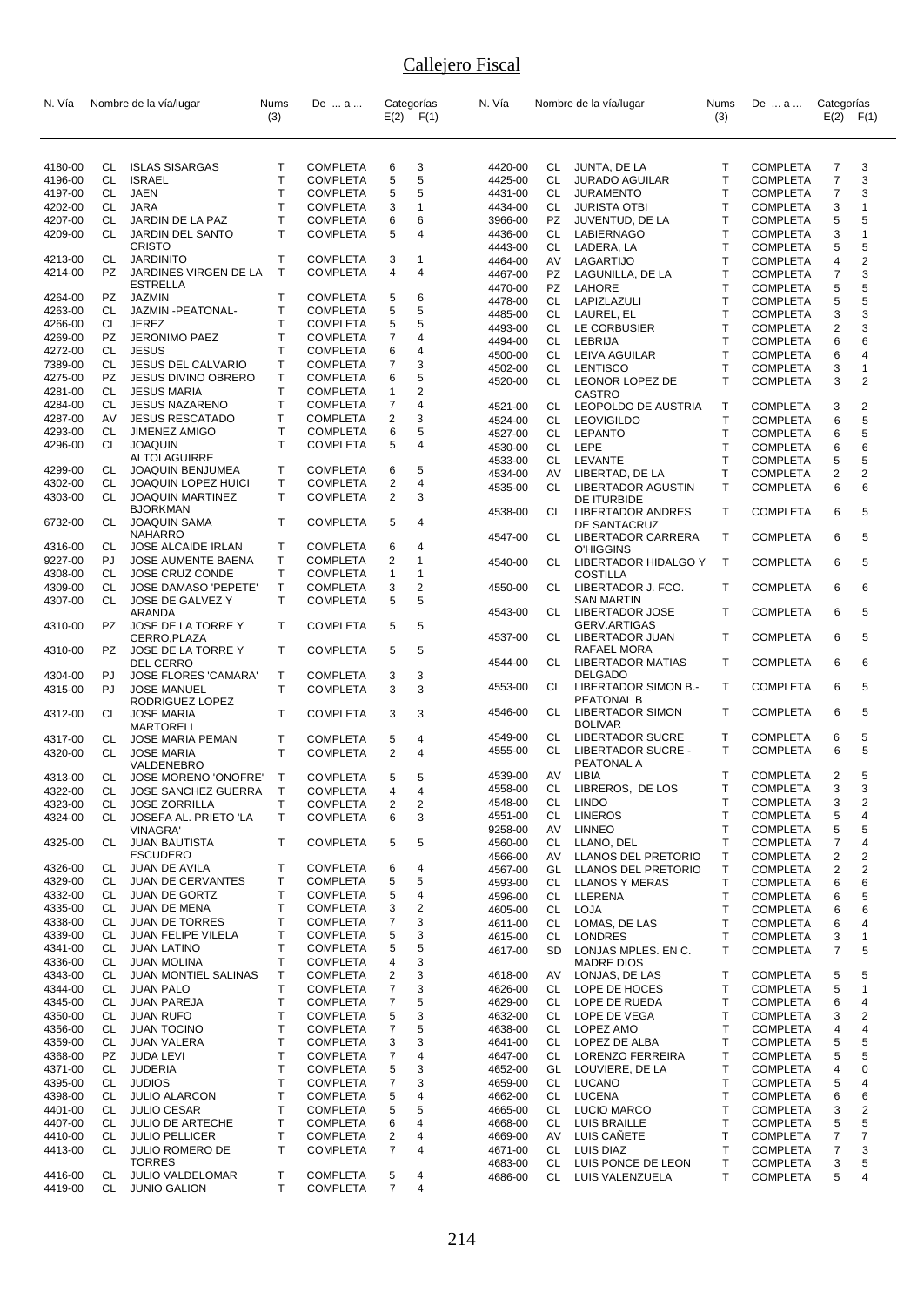| N. Vía  |           | Nombre de la vía/lugar                          | Nums         | De  a           |                         | Categorías              | N. Vía             |          | Nombre de la vía/lugar              | Nums                         | De  a                              | Categorías     |                |
|---------|-----------|-------------------------------------------------|--------------|-----------------|-------------------------|-------------------------|--------------------|----------|-------------------------------------|------------------------------|------------------------------------|----------------|----------------|
|         |           |                                                 | (3)          |                 |                         | $E(2)$ $F(1)$           |                    |          |                                     | (3)                          |                                    | E(2)           | F(1)           |
|         |           |                                                 |              |                 |                         |                         |                    |          |                                     |                              |                                    |                |                |
| 4180-00 | CL        | <b>ISLAS SISARGAS</b>                           | Т            | <b>COMPLETA</b> | 6                       | 3                       | 4420-00            | CL       | JUNTA, DE LA                        | Т                            | <b>COMPLETA</b>                    | 7              | 3              |
| 4196-00 | CL        | <b>ISRAEL</b>                                   | $\mathsf{T}$ | <b>COMPLETA</b> | 5                       | 5                       | 4425-00            | CL       | <b>JURADO AGUILAR</b>               | T                            | <b>COMPLETA</b>                    | $\overline{7}$ | 3              |
| 4197-00 | CL        | JAEN                                            | T            | <b>COMPLETA</b> | 5                       | 5                       | 4431-00            | CL       | <b>JURAMENTO</b>                    | T                            | <b>COMPLETA</b>                    | 7              | 3              |
| 4202-00 | CL        | <b>JARA</b>                                     | Т            | <b>COMPLETA</b> | 3                       | 1                       | 4434-00            | CL       | <b>JURISTA OTBI</b>                 | Τ                            | <b>COMPLETA</b>                    | 3              | $\mathbf{1}$   |
| 4207-00 | CL        | JARDIN DE LA PAZ                                | T            | <b>COMPLETA</b> | 6                       | 6                       | 3966-00            | PZ       | JUVENTUD, DE LA                     | T                            | <b>COMPLETA</b>                    | 5              | 5              |
| 4209-00 | CL        | JARDIN DEL SANTO                                | T            | <b>COMPLETA</b> | 5                       | 4                       | 4436-00            | CL       | LABIERNAGO                          | T                            | <b>COMPLETA</b>                    | 3              | $\mathbf{1}$   |
| 4213-00 | CL        | <b>CRISTO</b><br><b>JARDINITO</b>               | Т            | <b>COMPLETA</b> |                         | 1                       | 4443-00            | CL       | LADERA, LA                          | T                            | <b>COMPLETA</b>                    | 5              | 5              |
| 4214-00 | PZ        | JARDINES VIRGEN DE LA                           | T            | <b>COMPLETA</b> | 3<br>4                  | 4                       | 4464-00            | AV       | LAGARTIJO                           | T                            | <b>COMPLETA</b>                    | 4              | 2              |
|         |           | <b>ESTRELLA</b>                                 |              |                 |                         |                         | 4467-00            | PZ<br>PZ | LAGUNILLA, DE LA                    | $\mathsf{T}$<br>$\mathsf{T}$ | <b>COMPLETA</b><br><b>COMPLETA</b> | 7<br>5         | 3<br>5         |
| 4264-00 | PZ        | <b>JAZMIN</b>                                   | т            | <b>COMPLETA</b> | 5                       | 6                       | 4470-00<br>4478-00 | CL       | LAHORE<br>LAPIZLAZULI               | T                            | <b>COMPLETA</b>                    | 5              | 5              |
| 4263-00 | CL        | JAZMIN-PEATONAL-                                | Т            | <b>COMPLETA</b> | 5                       | 5                       | 4485-00            | CL       | LAUREL, EL                          | $\mathsf{T}$                 | <b>COMPLETA</b>                    | 3              | 3              |
| 4266-00 | CL        | <b>JEREZ</b>                                    | $\mathsf{T}$ | <b>COMPLETA</b> | 5                       | 5                       | 4493-00            | CL       | LE CORBUSIER                        | Τ                            | <b>COMPLETA</b>                    | 2              | 3              |
| 4269-00 | PZ        | <b>JERONIMO PAEZ</b>                            | T            | <b>COMPLETA</b> | 7                       | 4                       | 4494-00            | CL       | LEBRIJA                             | T                            | <b>COMPLETA</b>                    | 6              | 6              |
| 4272-00 | CL        | <b>JESUS</b>                                    | Т            | <b>COMPLETA</b> | 6                       | 4                       | 4500-00            | CL       | LEIVA AGUILAR                       | T                            | <b>COMPLETA</b>                    | 6              | 4              |
| 7389-00 | CL        | <b>JESUS DEL CALVARIO</b>                       | т            | <b>COMPLETA</b> | 7                       | 3                       | 4502-00            | CL       | <b>LENTISCO</b>                     | T                            | <b>COMPLETA</b>                    | 3              | 1              |
| 4275-00 | <b>PZ</b> | <b>JESUS DIVINO OBRERO</b>                      | Т            | <b>COMPLETA</b> | 6                       | 5                       | 4520-00            | CL       | LEONOR LOPEZ DE                     | T                            | <b>COMPLETA</b>                    | 3              | $\overline{2}$ |
| 4281-00 | CL        | <b>JESUS MARIA</b>                              | Т            | <b>COMPLETA</b> | $\mathbf{1}$            | $\overline{2}$          |                    |          | <b>CASTRO</b>                       |                              |                                    |                |                |
| 4284-00 | CL        | <b>JESUS NAZARENO</b>                           | т            | <b>COMPLETA</b> | 7                       | 4                       | 4521-00            | CL       | LEOPOLDO DE AUSTRIA                 | $\mathsf{T}$                 | <b>COMPLETA</b>                    | 3              | 2              |
| 4287-00 | AV        | <b>JESUS RESCATADO</b>                          | T            | <b>COMPLETA</b> | 2                       | 3                       | 4524-00            | CL       | <b>LEOVIGILDO</b>                   | $\mathsf{T}$                 | <b>COMPLETA</b>                    | 6              | 5              |
| 4293-00 | CL        | <b>JIMENEZ AMIGO</b>                            | $\mathsf{T}$ | <b>COMPLETA</b> | 6                       | 5                       | 4527-00            | CL       | LEPANTO                             | T                            | <b>COMPLETA</b>                    | 6              | 5              |
| 4296-00 | CL        | <b>JOAQUIN</b>                                  | T.           | <b>COMPLETA</b> | 5                       | 4                       | 4530-00            | CL       | LEPE                                | T                            | <b>COMPLETA</b>                    | 6              | 6              |
|         |           | ALTOLAGUIRRE                                    |              |                 |                         |                         | 4533-00            | CL       | LEVANTE                             | T                            | <b>COMPLETA</b>                    | 5              | 5              |
| 4299-00 | CL        | JOAQUIN BENJUMEA                                | т            | <b>COMPLETA</b> | 6                       | 5                       | 4534-00            | AV       | LIBERTAD, DE LA                     | T                            | <b>COMPLETA</b>                    | $\overline{2}$ | $\overline{c}$ |
| 4302-00 | СL        | JOAQUIN LOPEZ HUICI                             | Т            | <b>COMPLETA</b> | $\overline{\mathbf{c}}$ | 4                       | 4535-00            | CL       | LIBERTADOR AGUSTIN                  | T                            | <b>COMPLETA</b>                    | 6              | 6              |
| 4303-00 | CL        | <b>JOAQUIN MARTINEZ</b>                         | T.           | <b>COMPLETA</b> | 2                       | 3                       |                    |          | DE ITURBIDE                         |                              |                                    |                |                |
| 6732-00 | CL        | <b>BJORKMAN</b><br><b>JOAQUIN SAMA</b>          | T            | <b>COMPLETA</b> | 5                       | 4                       | 4538-00            | CL       | LIBERTADOR ANDRES                   | T                            | <b>COMPLETA</b>                    | 6              | 5              |
|         |           | NAHARRO                                         |              |                 |                         |                         |                    |          | DE SANTACRUZ                        |                              |                                    |                |                |
| 4316-00 | CL        | JOSE ALCAIDE IRLAN                              | Τ            | <b>COMPLETA</b> | 6                       | 4                       | 4547-00            | CL       | LIBERTADOR CARRERA<br>O'HIGGINS     | T                            | <b>COMPLETA</b>                    | 6              | 5              |
| 9227-00 | PJ        | JOSE AUMENTE BAENA                              | Т            | <b>COMPLETA</b> | $\overline{2}$          | 1                       | 4540-00            | CL       | LIBERTADOR HIDALGO Y                | $\top$                       | <b>COMPLETA</b>                    | 6              | 5              |
| 4308-00 | CL        | JOSE CRUZ CONDE                                 | T.           | <b>COMPLETA</b> | 1                       | 1                       |                    |          | <b>COSTILLA</b>                     |                              |                                    |                |                |
| 4309-00 | CL        | JOSE DAMASO 'PEPETE'                            | Т            | <b>COMPLETA</b> | 3                       | 2                       | 4550-00            | CL       | LIBERTADOR J. FCO.                  | $\mathsf{T}$                 | <b>COMPLETA</b>                    | 6              | 6              |
| 4307-00 | CL        | JOSE DE GALVEZ Y                                | T.           | <b>COMPLETA</b> | 5                       | 5                       |                    |          | SAN MARTIN                          |                              |                                    |                |                |
|         |           | ARANDA                                          |              |                 |                         |                         | 4543-00            | CL       | LIBERTADOR JOSE                     | T                            | <b>COMPLETA</b>                    | 6              | 5              |
| 4310-00 | PZ        | JOSE DE LA TORRE Y                              | T            | <b>COMPLETA</b> | 5                       | 5                       |                    |          | <b>GERV.ARTIGAS</b>                 |                              |                                    |                |                |
|         |           | CERRO, PLAZA                                    |              |                 |                         |                         | 4537-00            | CL       | LIBERTADOR JUAN                     | T                            | <b>COMPLETA</b>                    | 6              | 5              |
| 4310-00 | PZ        | JOSE DE LA TORRE Y                              | T            | <b>COMPLETA</b> | 5                       | 5                       | 4544-00            | CL       | RAFAEL MORA                         | T                            | <b>COMPLETA</b>                    | 6              | 6              |
| 4304-00 | PJ        | <b>DEL CERRO</b><br><b>JOSE FLORES 'CAMARA'</b> | Τ            | <b>COMPLETA</b> | 3                       | 3                       |                    |          | LIBERTADOR MATIAS<br><b>DELGADO</b> |                              |                                    |                |                |
| 4315-00 | PJ        | <b>JOSE MANUEL</b>                              | T            | <b>COMPLETA</b> | 3                       | 3                       | 4553-00            | CL       | LIBERTADOR SIMON B.-                | $\mathsf{T}$                 | <b>COMPLETA</b>                    | 6              | 5              |
|         |           | RODRIGUEZ LOPEZ                                 |              |                 |                         |                         |                    |          | PEATONAL B                          |                              |                                    |                |                |
| 4312-00 | CL        | <b>JOSE MARIA</b>                               | Т            | <b>COMPLETA</b> | 3                       | 3                       | 4546-00            | CL       | LIBERTADOR SIMON                    | Т                            | <b>COMPLETA</b>                    | 6              | 5              |
|         |           | MARTORELL                                       |              |                 |                         |                         |                    |          | <b>BOLIVAR</b>                      |                              |                                    |                |                |
| 4317-00 | CL        | <b>JOSE MARIA PEMAN</b>                         | т            | <b>COMPLETA</b> | 5                       | 4                       | 4549-00            | CL       | <b>LIBERTADOR SUCRE</b>             | T                            | <b>COMPLETA</b>                    | 6              | 5              |
| 4320-00 | CL        | <b>JOSE MARIA</b>                               | $\mathsf{T}$ | <b>COMPLETA</b> | $\overline{2}$          | 4                       | 4555-00            | СL       | LIBERTADOR SUCRE -                  | T                            | <b>COMPLETA</b>                    | 6              | 5              |
|         |           | VALDENEBRO                                      |              |                 |                         |                         |                    |          | PEATONAL A                          |                              |                                    |                |                |
| 4313-00 | CL        | <b>JOSE MORENO 'ONOFRE'</b>                     | $\mathsf{T}$ | <b>COMPLETA</b> | 5                       | 5                       | 4539-00            | AV       | LIBIA                               | т                            | <b>COMPLETA</b>                    | 2              | 5              |
| 4322-00 | CL        | JOSE SANCHEZ GUERRA                             | $\top$       | <b>COMPLETA</b> | $\overline{4}$          | 4                       | 4558-00            | CL       | LIBREROS, DE LOS                    | Τ                            | <b>COMPLETA</b>                    | 3              | 3              |
| 4323-00 | CL        | <b>JOSE ZORRILLA</b>                            | т            | <b>COMPLETA</b> | 2                       | $\overline{\mathbf{c}}$ | 4548-00            | CL       | <b>LINDO</b><br><b>LINEROS</b>      | Т<br>T                       | <b>COMPLETA</b>                    | 3              | 2<br>4         |
| 4324-00 | CL        | JOSEFA AL. PRIETO 'LA                           | T            | <b>COMPLETA</b> | 6                       | 3                       | 4551-00<br>9258-00 | CL<br>AV | <b>LINNEO</b>                       | Τ                            | <b>COMPLETA</b>                    | 5<br>5         | 5              |
| 4325-00 | CL        | <b>VINAGRA'</b><br><b>JUAN BAUTISTA</b>         | Т            | <b>COMPLETA</b> | 5                       | 5                       | 4560-00            | CL       | LLANO, DEL                          | T                            | <b>COMPLETA</b><br><b>COMPLETA</b> |                | 4              |
|         |           | <b>ESCUDERO</b>                                 |              |                 |                         |                         | 4566-00            | AV       | LLANOS DEL PRETORIO                 | Т                            | <b>COMPLETA</b>                    | 7<br>2         | 2              |
| 4326-00 | CL        | JUAN DE AVILA                                   | Т            | <b>COMPLETA</b> | 6                       | 4                       | 4567-00            | GL       | LLANOS DEL PRETORIO                 | Т                            | <b>COMPLETA</b>                    | 2              | 2              |
| 4329-00 | CL        | <b>JUAN DE CERVANTES</b>                        | Т            | <b>COMPLETA</b> | 5                       | 5                       | 4593-00            | CL       | <b>LLANOS Y MERAS</b>               | T                            | <b>COMPLETA</b>                    | 6              | 6              |
| 4332-00 | CL        | <b>JUAN DE GORTZ</b>                            | Τ            | <b>COMPLETA</b> | 5                       | 4                       | 4596-00            | CL       | LLERENA                             | Т                            | <b>COMPLETA</b>                    | 6              | 5              |
| 4335-00 | CL        | <b>JUAN DE MENA</b>                             | т            | <b>COMPLETA</b> | 3                       | 2                       | 4605-00            | CL       | LOJA                                | $\mathsf{T}$                 | <b>COMPLETA</b>                    | 6              | 6              |
| 4338-00 | CL        | <b>JUAN DE TORRES</b>                           | т            | <b>COMPLETA</b> | $\overline{7}$          | 3                       | 4611-00            | CL       | LOMAS, DE LAS                       | T                            | <b>COMPLETA</b>                    | 6              | 4              |
| 4339-00 | CL        | JUAN FELIPE VILELA                              | т            | <b>COMPLETA</b> | 5                       | 3                       | 4615-00            | CL       | <b>LONDRES</b>                      | T                            | <b>COMPLETA</b>                    | 3              | 1              |
| 4341-00 | CL        | <b>JUAN LATINO</b>                              | T            | <b>COMPLETA</b> | 5                       | 5                       | 4617-00            | SD       | LONJAS MPLES. EN C.                 | т                            | <b>COMPLETA</b>                    | 7              | 5              |
| 4336-00 | CL        | <b>JUAN MOLINA</b>                              | т            | <b>COMPLETA</b> | 4                       | 3                       |                    |          | <b>MADRE DIOS</b>                   |                              |                                    |                |                |
| 4343-00 | CL        | JUAN MONTIEL SALINAS                            | Τ            | <b>COMPLETA</b> | 2                       | 3                       | 4618-00            | AV       | LONJAS, DE LAS                      | Т                            | <b>COMPLETA</b>                    | 5              | 5              |
| 4344-00 | CL        | <b>JUAN PALO</b>                                | Τ            | <b>COMPLETA</b> | 7                       | 3                       | 4626-00            | CL       | LOPE DE HOCES                       | Т                            | <b>COMPLETA</b>                    | 5              | 1              |
| 4345-00 | CL        | <b>JUAN PAREJA</b>                              | Т            | <b>COMPLETA</b> | 7                       | 5                       | 4629-00            | CL       | LOPE DE RUEDA                       | т                            | <b>COMPLETA</b>                    | 6              | 4              |
| 4350-00 | CL        | <b>JUAN RUFO</b>                                | Т            | <b>COMPLETA</b> | 5                       | 3                       | 4632-00            |          | CL LOPE DE VEGA                     | Т                            | <b>COMPLETA</b>                    | 3              | 2              |
| 4356-00 | CL        | <b>JUAN TOCINO</b>                              | Т            | <b>COMPLETA</b> | 7                       | 5                       | 4638-00            |          | CL LOPEZ AMO                        | т                            | <b>COMPLETA</b>                    | 4              | 4              |
| 4359-00 | CL        | JUAN VALERA                                     | Т            | <b>COMPLETA</b> | 3                       | 3                       | 4641-00            | CL       | LOPEZ DE ALBA                       | Т                            | <b>COMPLETA</b>                    | 5              | 5              |
| 4368-00 | PZ        | <b>JUDA LEVI</b>                                | T            | <b>COMPLETA</b> | 7                       | 4                       | 4647-00            | CL       | LORENZO FERREIRA                    | т                            | <b>COMPLETA</b>                    | 5              | 5              |
| 4371-00 | CL        | <b>JUDERIA</b>                                  | Т            | <b>COMPLETA</b> | 5                       | 3                       | 4652-00            |          | GL LOUVIERE, DE LA                  | T                            | <b>COMPLETA</b>                    | 4              | 0              |
| 4395-00 | CL        | <b>JUDIOS</b>                                   | T            | <b>COMPLETA</b> | 7                       | 3                       | 4659-00            |          | CL LUCANO                           | T                            | <b>COMPLETA</b>                    | 5              | 4              |
| 4398-00 | CL        | <b>JULIO ALARCON</b>                            | Т            | <b>COMPLETA</b> | 5                       | 4                       | 4662-00            | CL       | LUCENA                              | T                            | <b>COMPLETA</b>                    | 6              | 6              |
| 4401-00 | CL        | <b>JULIO CESAR</b>                              | т            | <b>COMPLETA</b> | 5                       | 5                       | 4665-00            | CL       | <b>LUCIO MARCO</b>                  | Τ                            | <b>COMPLETA</b>                    | 3              | 2              |
| 4407-00 | CL        | <b>JULIO DE ARTECHE</b>                         | Т            | <b>COMPLETA</b> | 6                       | 4                       | 4668-00            | CL       | <b>LUIS BRAILLE</b>                 | $\mathsf{T}$                 | <b>COMPLETA</b>                    | 5              | 5              |
| 4410-00 | CL        | <b>JULIO PELLICER</b>                           | т            | <b>COMPLETA</b> | 2                       | 4                       | 4669-00            | AV       | LUIS CAÑETE                         | Τ                            | <b>COMPLETA</b>                    | 7              | 7              |
| 4413-00 | CL        | <b>JULIO ROMERO DE</b>                          | Т            | <b>COMPLETA</b> | 7                       | 4                       | 4671-00            |          | CL LUIS DIAZ                        | т                            | <b>COMPLETA</b>                    | 7              | 3              |
| 4416-00 | CL        | <b>TORRES</b><br><b>JULIO VALDELOMAR</b>        | Т            | <b>COMPLETA</b> | 5                       | 4                       | 4683-00            | CL       | LUIS PONCE DE LEON                  | T                            | <b>COMPLETA</b>                    | 3              | 5              |
| 4419-00 | CL        | <b>JUNIO GALION</b>                             | T.           | <b>COMPLETA</b> | $\overline{7}$          | 4                       | 4686-00            | CL       | LUIS VALENZUELA                     | Т                            | <b>COMPLETA</b>                    | 5              | 4              |
|         |           |                                                 |              |                 |                         |                         |                    |          |                                     |                              |                                    |                |                |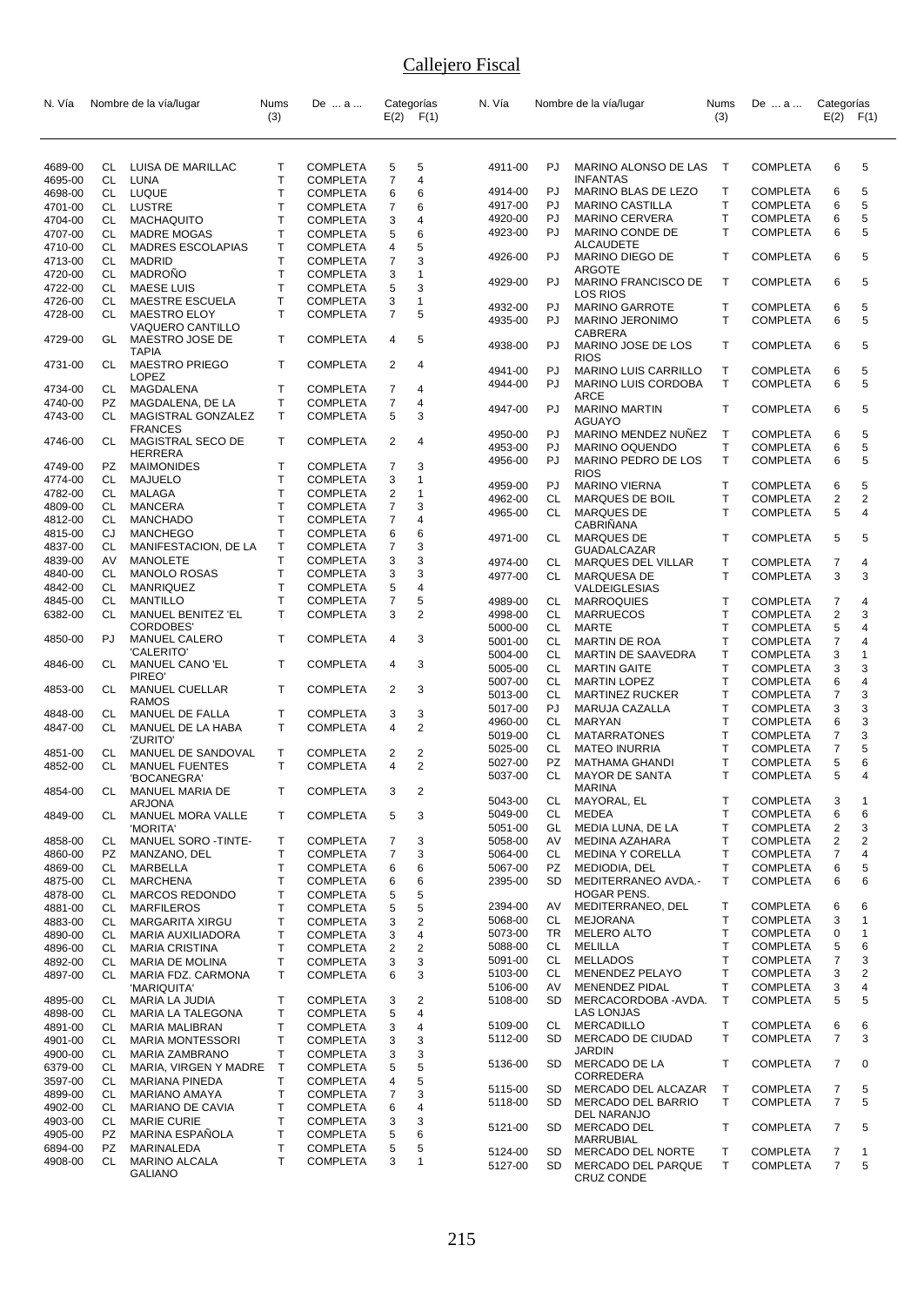| N. Vía             |          | Nombre de la vía/lugar                 | <b>Nums</b><br>(3) | De  a                              |                         | Categorías<br>$E(2)$ $F(1)$ | N. Vía             |          | Nombre de la vía/lugar                                       | <b>Nums</b><br>(3) | De  a                              | Categorías     | $E(2)$ $F(1)$ |
|--------------------|----------|----------------------------------------|--------------------|------------------------------------|-------------------------|-----------------------------|--------------------|----------|--------------------------------------------------------------|--------------------|------------------------------------|----------------|---------------|
|                    |          |                                        |                    |                                    |                         |                             |                    |          |                                                              |                    |                                    |                |               |
| 4689-00<br>4695-00 | CL<br>CL | LUISA DE MARILLAC<br>LUNA              | т<br>T             | <b>COMPLETA</b><br><b>COMPLETA</b> | 5<br>$\overline{7}$     | 5<br>4                      | 4911-00            | PJ.      | MARINO ALONSO DE LAS<br><b>INFANTAS</b>                      | $\top$             | <b>COMPLETA</b>                    | 6              | 5             |
| 4698-00            | CL       | <b>LUQUE</b>                           | $\mathsf{T}$       | <b>COMPLETA</b>                    | 6                       | 6                           | 4914-00            | PJ       | MARINO BLAS DE LEZO                                          | Т                  | <b>COMPLETA</b>                    | 6              | 5             |
| 4701-00            | CL       | LUSTRE                                 | T                  | <b>COMPLETA</b>                    | 7                       | 6                           | 4917-00            | PJ       | <b>MARINO CASTILLA</b>                                       | T                  | <b>COMPLETA</b>                    | 6              | 5             |
| 4704-00            | CL       | <b>MACHAQUITO</b>                      | Т                  | <b>COMPLETA</b>                    | 3                       | 4                           | 4920-00            | PJ       | <b>MARINO CERVERA</b>                                        | T                  | <b>COMPLETA</b>                    | 6              | 5             |
| 4707-00            | CL       | MADRE MOGAS                            | Т                  | <b>COMPLETA</b>                    | 5                       | 6                           | 4923-00            | PJ.      | MARINO CONDE DE                                              | T                  | <b>COMPLETA</b>                    | 6              | 5             |
| 4710-00            | CL       | <b>MADRES ESCOLAPIAS</b>               | Т                  | <b>COMPLETA</b>                    | 4                       | 5                           |                    |          | <b>ALCAUDETE</b>                                             |                    |                                    |                |               |
| 4713-00            | CL       | <b>MADRID</b>                          | $\mathsf{T}$       | <b>COMPLETA</b>                    | 7                       | 3                           | 4926-00            | PJ       | MARINO DIEGO DE                                              | T                  | <b>COMPLETA</b>                    | 6              | 5             |
| 4720-00            | CL       | <b>MADRONO</b>                         | $\mathsf{T}$       | <b>COMPLETA</b>                    | 3                       | 1                           |                    |          | <b>ARGOTE</b>                                                |                    |                                    |                |               |
| 4722-00            | CL       | <b>MAESE LUIS</b>                      | Т                  | <b>COMPLETA</b>                    | 5                       | 3                           | 4929-00            | PJ       | MARINO FRANCISCO DE                                          | $\mathsf{T}$       | <b>COMPLETA</b>                    | 6              | 5             |
| 4726-00            | CL       | MAESTRE ESCUELA                        | т                  | <b>COMPLETA</b>                    | 3                       | 1                           | 4932-00            | PJ       | LOS RIOS<br><b>MARINO GARROTE</b>                            | $\mathsf{T}$       | <b>COMPLETA</b>                    | 6              | 5             |
| 4728-00            | CL       | <b>MAESTRO ELOY</b>                    | $\mathsf{T}$       | <b>COMPLETA</b>                    | 7                       | 5                           | 4935-00            | PJ.      | <b>MARINO JERONIMO</b>                                       | T                  | <b>COMPLETA</b>                    | 6              | 5             |
| 4729-00            | GL       | VAQUERO CANTILLO<br>MAESTRO JOSE DE    | Т                  | <b>COMPLETA</b>                    | 4                       | 5                           | 4938-00            | PJ       | CABRERA                                                      | T                  |                                    |                | 5             |
| 4731-00            | CL       | TAPIA<br><b>MAESTRO PRIEGO</b>         | T                  | <b>COMPLETA</b>                    | 2                       | 4                           |                    |          | MARINO JOSE DE LOS<br><b>RIOS</b>                            |                    | <b>COMPLETA</b>                    | 6              |               |
|                    |          | <b>LOPEZ</b>                           |                    |                                    |                         |                             | 4941-00            | PJ       | <b>MARINO LUIS CARRILLO</b>                                  | Т                  | <b>COMPLETA</b>                    | 6              | 5             |
| 4734-00            | CL       | MAGDALENA                              | т                  | <b>COMPLETA</b>                    | 7                       | 4                           | 4944-00            | PJ       | MARINO LUIS CORDOBA                                          | $\mathsf{T}$       | <b>COMPLETA</b>                    | 6              | 5             |
| 4740-00            | PZ.      | MAGDALENA, DE LA                       | Т                  | <b>COMPLETA</b>                    | 7                       | 4                           | 4947-00            | PJ.      | ARCE<br><b>MARINO MARTIN</b>                                 | T                  | <b>COMPLETA</b>                    | 6              | 5             |
| 4743-00            | CL       | MAGISTRAL GONZALEZ<br><b>FRANCES</b>   | T                  | <b>COMPLETA</b>                    | 5                       | 3                           |                    |          | AGUAYO                                                       |                    |                                    |                |               |
| 4746-00            | CL       | MAGISTRAL SECO DE                      | T                  | <b>COMPLETA</b>                    | 2                       | 4                           | 4950-00            | PJ       | MARINO MENDEZ NUNEZ                                          | $\mathsf{T}$       | <b>COMPLETA</b>                    | 6              | 5             |
|                    |          | <b>HERRERA</b>                         |                    |                                    |                         |                             | 4953-00            | PJ       | <b>MARINO OQUENDO</b>                                        | T                  | <b>COMPLETA</b>                    | 6              | 5             |
| 4749-00            | PZ       | MAIMONIDES                             | Т                  | <b>COMPLETA</b>                    | 7                       | 3                           | 4956-00            | PJ       | MARINO PEDRO DE LOS                                          | $\mathsf{T}$       | <b>COMPLETA</b>                    | 6              | 5             |
| 4774-00            | CL       | MAJUELO                                | T                  | <b>COMPLETA</b>                    | 3                       | 1                           | 4959-00            | PJ       | <b>RIOS</b><br><b>MARINO VIERNA</b>                          | т                  | <b>COMPLETA</b>                    | 6              | 5             |
| 4782-00            | CL       | MALAGA                                 | $\mathsf{T}$       | <b>COMPLETA</b>                    | $\overline{\mathbf{c}}$ | 1                           | 4962-00            | CL       | MARQUES DE BOIL                                              | T                  | <b>COMPLETA</b>                    | 2              | 2             |
| 4809-00            | CL       | <b>MANCERA</b>                         | T                  | <b>COMPLETA</b>                    | 7                       | 3                           | 4965-00            | CL       | MARQUES DE                                                   | $\mathsf{T}$       | <b>COMPLETA</b>                    | 5              | 4             |
| 4812-00            | CL       | <b>MANCHADO</b>                        | Т                  | <b>COMPLETA</b>                    | 7                       | 4                           |                    |          | CABRIÑANA                                                    |                    |                                    |                |               |
| 4815-00            | CJ       | <b>MANCHEGO</b>                        | Т                  | <b>COMPLETA</b>                    | 6                       | 6                           | 4971-00            | CL       | <b>MARQUES DE</b>                                            | $\mathsf{T}$       | <b>COMPLETA</b>                    | 5              | 5             |
| 4837-00            | CL       | MANIFESTACION, DE LA                   | Т                  | <b>COMPLETA</b>                    | 7                       | 3                           |                    |          | <b>GUADALCAZAR</b>                                           |                    |                                    |                |               |
| 4839-00            | AV       | <b>MANOLETE</b>                        | Т                  | <b>COMPLETA</b>                    | 3                       | 3                           | 4974-00            | CL       | MARQUES DEL VILLAR                                           | т                  | <b>COMPLETA</b>                    | 7              | 4             |
| 4840-00            | CL       | <b>MANOLO ROSAS</b>                    | T                  | <b>COMPLETA</b>                    | 3                       | 3                           | 4977-00            | CL       | MARQUESA DE                                                  | $\mathsf{T}$       | <b>COMPLETA</b>                    | 3              | 3             |
| 4842-00            | CL       | MANRIQUEZ                              | T                  | <b>COMPLETA</b>                    | 5                       | 4                           |                    |          | VALDEIGLESIAS                                                |                    |                                    |                |               |
| 4845-00            | CL       | <b>MANTILLO</b>                        | T                  | <b>COMPLETA</b>                    | 7                       | 5                           | 4989-00            | CL       | <b>MARROQUIES</b>                                            | $\top$             | <b>COMPLETA</b>                    | 7              | 4             |
| 6382-00            | CL.      | MANUEL BENITEZ 'EL                     | T.                 | <b>COMPLETA</b>                    | 3                       | 2                           | 4998-00            | CL       | <b>MARRUECOS</b>                                             | T                  | <b>COMPLETA</b>                    | 2              | 3             |
| 4850-00            | PJ       | CORDOBES'<br><b>MANUEL CALERO</b>      | T                  | <b>COMPLETA</b>                    | 4                       | 3                           | 5000-00            | CL       | MARTE                                                        | T                  | <b>COMPLETA</b>                    | 5              | 4             |
|                    |          | 'CALERITO'                             |                    |                                    |                         |                             | 5001-00            | CL       | <b>MARTIN DE ROA</b>                                         | T                  | <b>COMPLETA</b>                    | 7              | 4<br>1        |
| 4846-00            | CL       | <b>MANUEL CANO 'EL</b>                 | Т                  | <b>COMPLETA</b>                    | 4                       | 3                           | 5004-00            | CL       | MARTIN DE SAAVEDRA                                           | T                  | <b>COMPLETA</b>                    | 3              |               |
|                    |          | PIREO'                                 |                    |                                    |                         |                             | 5005-00            | CL       | <b>MARTIN GAITE</b>                                          | T<br>T             | <b>COMPLETA</b>                    | 3              | 3             |
| 4853-00            | CL       | <b>MANUEL CUELLAR</b>                  | T                  | <b>COMPLETA</b>                    | 2                       | 3                           | 5007-00<br>5013-00 | CL<br>CL | <b>MARTIN LOPEZ</b>                                          | T                  | <b>COMPLETA</b><br><b>COMPLETA</b> | 6<br>7         | 4<br>3        |
|                    |          | <b>RAMOS</b>                           |                    |                                    |                         |                             | 5017-00            | PJ       | <b>MARTINEZ RUCKER</b><br>MARUJA CAZALLA                     | Τ                  | <b>COMPLETA</b>                    | 3              | 3             |
| 4848-00            | СL       | MANUEL DE FALLA                        | Т                  | <b>COMPLETA</b>                    | 3                       | 3                           | 4960-00            | CL       | <b>MARYAN</b>                                                | $\mathsf{T}$       | <b>COMPLETA</b>                    | 6              | 3             |
| 4847-00            | CL       | MANUEL DE LA HABA                      | T.                 | <b>COMPLETA</b>                    | 4                       | 2                           | 5019-00            | CL       | <b>MATARRATONES</b>                                          | T                  | <b>COMPLETA</b>                    | 7              | 3             |
|                    |          | 'ZURITO'                               |                    |                                    |                         |                             | 5025-00            | CL.      | <b>MATEO INURRIA</b>                                         | T                  | <b>COMPLETA</b>                    | 7              | 5             |
| 4851-00            | СL       | MANUEL DE SANDOVAL                     | т                  | <b>COMPLETA</b>                    | 2                       | 2                           | 5027-00            | PZ       | MATHAMA GHANDI                                               | Τ                  | <b>COMPLETA</b>                    | 5              | 6             |
| 4852-00            | CL       | <b>MANUEL FUENTES</b><br>'BOCANEGRA'   | T.                 | <b>COMPLETA</b>                    | 4                       | 2                           | 5037-00            | СL       | <b>MAYOR DE SANTA</b>                                        | T                  | <b>COMPLETA</b>                    | 5              | 4             |
| 4854-00            | СL       | MANUEL MARIA DE                        | T                  | COMPLETA                           | 3                       | 2                           |                    |          | <b>MARINA</b>                                                |                    |                                    |                |               |
|                    |          | <b>ARJONA</b>                          |                    |                                    |                         |                             | 5043-00            | CL       | MAYORAL, EL                                                  | T                  | <b>COMPLETA</b>                    | 3              | $\mathbf{1}$  |
| 4849-00            | CL       | MANUEL MORA VALLE                      | T                  | <b>COMPLETA</b>                    | 5                       | 3                           | 5049-00            | CL       | <b>MEDEA</b>                                                 | T                  | <b>COMPLETA</b>                    | 6              | 6             |
|                    |          | 'MORITA'                               |                    |                                    |                         |                             | 5051-00            | GL       | MEDIA LUNA, DE LA                                            | Т                  | <b>COMPLETA</b>                    | 2              | 3             |
| 4858-00            | CL.      | MANUEL SORO -TINTE-                    | Т                  | <b>COMPLETA</b>                    | 7                       | 3                           | 5058-00            | AV       | MEDINA AZAHARA                                               | T                  | <b>COMPLETA</b>                    | 2              | 2             |
| 4860-00            | PZ.      | MANZANO, DEL                           | Т                  | <b>COMPLETA</b>                    | $\overline{7}$          | 3                           | 5064-00            | CL       | <b>MEDINA Y CORELLA</b>                                      | Т                  | <b>COMPLETA</b>                    | 7              | 4             |
| 4869-00            | CL       | MARBELLA                               | Т                  | <b>COMPLETA</b>                    | 6                       | 6                           | 5067-00            | PZ       | MEDIODIA, DEL                                                | T                  | <b>COMPLETA</b>                    | 6              | 5             |
| 4875-00            | CL       | <b>MARCHENA</b>                        | T                  | <b>COMPLETA</b>                    | 6                       | 6                           | 2395-00            | SD       | MEDITERRANEO AVDA.-                                          | T                  | <b>COMPLETA</b>                    | 6              | 6             |
| 4878-00            | CL       | <b>MARCOS REDONDO</b>                  | Τ                  | <b>COMPLETA</b>                    | 5                       | 5                           |                    |          | HOGAR PENS.                                                  |                    |                                    |                |               |
| 4881-00            | CL       | <b>MARFILEROS</b>                      | T                  | <b>COMPLETA</b>                    | 5                       | 5                           | 2394-00            | AV       | MEDITERRANEO, DEL                                            | Т                  | <b>COMPLETA</b>                    | 6              | 6             |
| 4883-00            | CL       | MARGARITA XIRGU                        | Т                  | <b>COMPLETA</b>                    | 3                       | $\overline{\mathbf{c}}$     | 5068-00            | CL       | MEJORANA                                                     | T                  | <b>COMPLETA</b>                    | 3              | 1             |
| 4890-00            | CL       | MARIA AUXILIADORA                      | Τ                  | <b>COMPLETA</b>                    | 3                       | 4                           | 5073-00            | TR       | <b>MELERO ALTO</b>                                           | Т                  | <b>COMPLETA</b>                    | 0              | 1             |
| 4896-00            | CL       | <b>MARIA CRISTINA</b>                  | Т                  | <b>COMPLETA</b>                    | 2                       | $\overline{\mathbf{c}}$     | 5088-00            | CL       | MELILLA                                                      | T                  | <b>COMPLETA</b>                    | 5              | 6             |
| 4892-00            | CL       | <b>MARIA DE MOLINA</b>                 | т                  | <b>COMPLETA</b>                    | 3                       | 3                           | 5091-00            | CL       | <b>MELLADOS</b>                                              | Τ                  | <b>COMPLETA</b>                    | 7              | 3             |
| 4897-00            | CL       | MARIA FDZ. CARMONA                     | T.                 | <b>COMPLETA</b>                    | 6                       | 3                           | 5103-00            | CL       | MENENDEZ PELAYO                                              | T                  | <b>COMPLETA</b>                    | 3              | 2             |
|                    |          | 'MARIQUITA'                            |                    |                                    |                         |                             | 5106-00            | AV       | <b>MENENDEZ PIDAL</b>                                        | T                  | <b>COMPLETA</b>                    | 3              | 4             |
| 4895-00            | CL       | MARIA LA JUDIA                         | Т                  | <b>COMPLETA</b>                    | 3                       | 2                           | 5108-00            | SD.      | MERCACORDOBA - AVDA.<br><b>LAS LONJAS</b>                    | $\mathsf{T}$       | <b>COMPLETA</b>                    | 5              | 5             |
| 4898-00            | CL       | MARIA LA TALEGONA                      | Τ                  | <b>COMPLETA</b>                    | 5                       | 4                           | 5109-00            | CL       | MERCADILLO                                                   | Т                  | <b>COMPLETA</b>                    | 6              | 6             |
| 4891-00            | CL       | <b>MARIA MALIBRAN</b>                  | Т                  | <b>COMPLETA</b>                    | 3                       | 4                           | 5112-00            | SD       | MERCADO DE CIUDAD                                            | T                  | <b>COMPLETA</b>                    | 7              | 3             |
| 4901-00            | CL       | <b>MARIA MONTESSORI</b>                | Т                  | <b>COMPLETA</b>                    | 3                       | 3                           |                    |          | JARDIN                                                       |                    |                                    |                |               |
| 4900-00            | CL       | <b>MARIA ZAMBRANO</b>                  | Т                  | <b>COMPLETA</b>                    | 3                       | 3                           | 5136-00            | SD       | MERCADO DE LA                                                | Τ                  | <b>COMPLETA</b>                    | $\overline{7}$ | 0             |
| 6379-00            | CL       | MARIA, VIRGEN Y MADRE                  | Τ                  | <b>COMPLETA</b>                    | 5                       | 5                           |                    |          | CORREDERA                                                    |                    |                                    |                |               |
| 3597-00            | CL       | <b>MARIANA PINEDA</b>                  | Τ                  | <b>COMPLETA</b>                    | 4                       | 5                           | 5115-00            | SD       | MERCADO DEL ALCAZAR                                          | $\top$             | <b>COMPLETA</b>                    | 7              | 5             |
| 4899-00            | CL       | <b>MARIANO AMAYA</b>                   | Т                  | <b>COMPLETA</b>                    | 7                       | 3                           | 5118-00            | SD       | MERCADO DEL BARRIO                                           | т                  | <b>COMPLETA</b>                    | $\overline{7}$ | 5             |
| 4902-00            | CL       | MARIANO DE CAVIA                       | Т                  | <b>COMPLETA</b>                    | 6                       | 4                           |                    |          | DEL NARANJO                                                  |                    |                                    |                |               |
| 4903-00<br>4905-00 | CL<br>PZ | <b>MARIE CURIE</b><br>MARINA ESPAÑOLA  | Τ<br>Т             | <b>COMPLETA</b><br><b>COMPLETA</b> | 3<br>5                  | 3<br>6                      | 5121-00            | SD       | MERCADO DEL                                                  | Т                  | <b>COMPLETA</b>                    | 7              | 5             |
| 6894-00            | PZ       | MARINALEDA                             | Т                  | <b>COMPLETA</b>                    | 5                       | 5                           |                    |          | MARRUBIAL                                                    |                    |                                    |                |               |
| 4908-00            | CL       | <b>MARINO ALCALA</b><br><b>GALIANO</b> | T.                 | <b>COMPLETA</b>                    | 3                       | 1                           | 5124-00<br>5127-00 | SD<br>SD | MERCADO DEL NORTE<br>MERCADO DEL PARQUE<br><b>CRUZ CONDE</b> | Т<br>T             | <b>COMPLETA</b><br><b>COMPLETA</b> | 7<br>7         | 1<br>5        |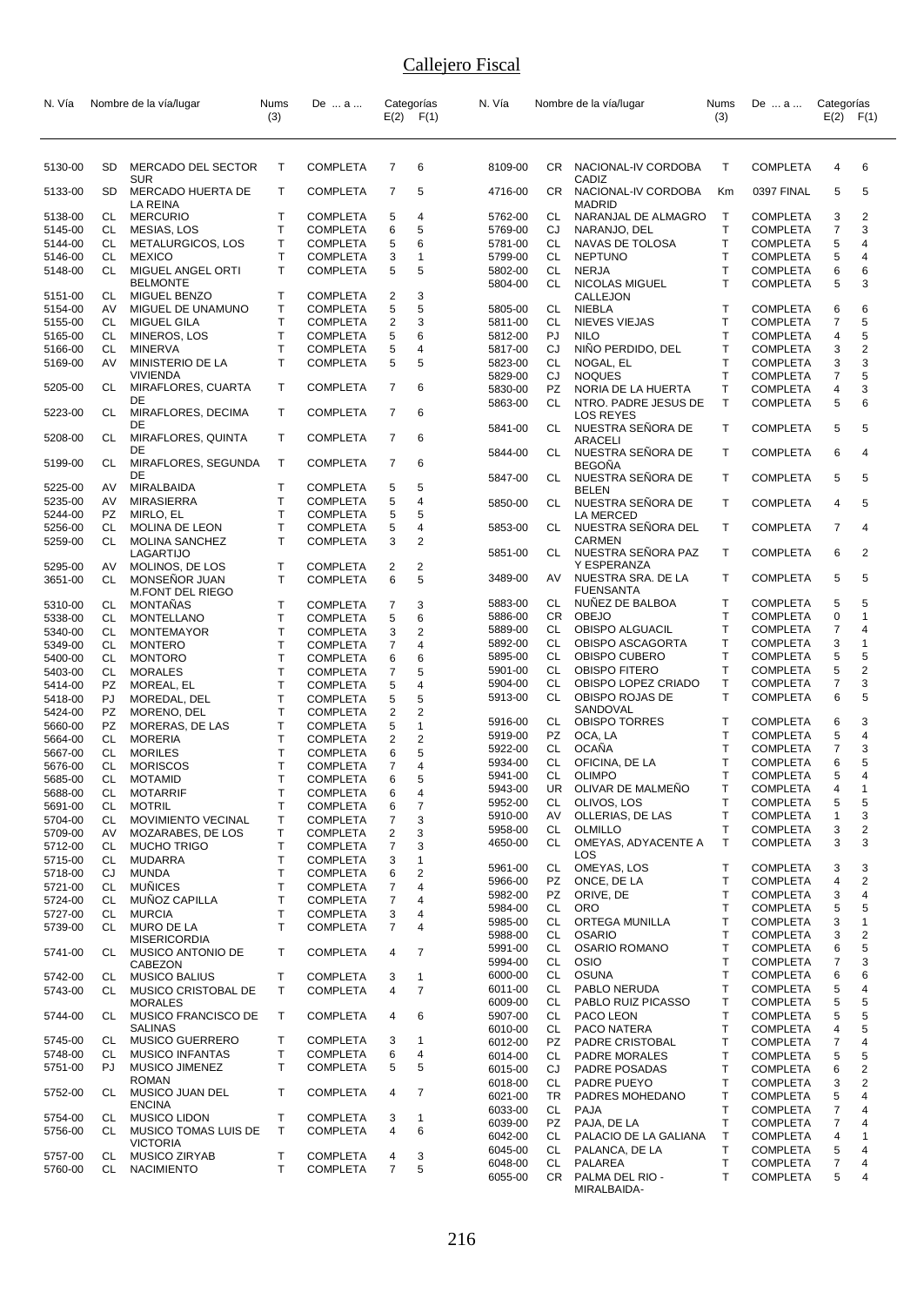| N. Vía             |          | Nombre de la vía/lugar                 | Nums<br>(3)                  | De  a                              |                         | Categorías<br>$E(2)$ $F(1)$ | N. Vía             |           | Nombre de la vía/lugar               | Nums<br>(3)  | De  a                              | Categorías<br>E(2) | F(1)           |
|--------------------|----------|----------------------------------------|------------------------------|------------------------------------|-------------------------|-----------------------------|--------------------|-----------|--------------------------------------|--------------|------------------------------------|--------------------|----------------|
| 5130-00            | SD       | MERCADO DEL SECTOR                     | T                            | <b>COMPLETA</b>                    | 7                       | 6                           | 8109-00            | CR .      | NACIONAL-IV CORDOBA                  | Τ            | <b>COMPLETA</b>                    | 4                  | 6              |
| 5133-00            | SD       | <b>SUR</b><br><b>MERCADO HUERTA DE</b> | Τ                            | <b>COMPLETA</b>                    | 7                       | 5                           | 4716-00            | CR        | CADIZ<br>NACIONAL-IV CORDOBA         | Кm           | 0397 FINAL                         | 5                  | 5              |
| 5138-00            | CL       | LA REINA<br><b>MERCURIO</b>            | Т                            | <b>COMPLETA</b>                    | 5                       | 4                           | 5762-00            | CL        | <b>MADRID</b><br>NARANJAL DE ALMAGRO | $\top$       | <b>COMPLETA</b>                    | 3                  | $\overline{2}$ |
| 5145-00            | CL       | MESIAS, LOS                            | Т                            | <b>COMPLETA</b>                    | 6                       | 5                           | 5769-00            | CJ        | NARANJO, DEL                         | T            | <b>COMPLETA</b>                    | $\overline{7}$     | 3              |
| 5144-00            | CL       | METALURGICOS, LOS                      | т                            | <b>COMPLETA</b>                    | 5                       | 6                           | 5781-00            | CL        | NAVAS DE TOLOSA                      | $\mathsf{T}$ | <b>COMPLETA</b>                    | 5                  | 4              |
| 5146-00            | CL       | <b>MEXICO</b>                          | T.                           | <b>COMPLETA</b>                    | 3                       | 1                           | 5799-00            | CL        | <b>NEPTUNO</b>                       | T            | <b>COMPLETA</b>                    | 5                  | 4              |
| 5148-00            | CL       | MIGUEL ANGEL ORTI                      | T                            | <b>COMPLETA</b>                    | 5                       | 5                           | 5802-00            | CL        | <b>NERJA</b>                         | T            | <b>COMPLETA</b>                    | 6                  | 6              |
|                    |          | <b>BELMONTE</b>                        |                              |                                    |                         |                             | 5804-00            | CL        | NICOLAS MIGUEL                       | T            | <b>COMPLETA</b>                    | 5                  | 3              |
| 5151-00            | CL       | <b>MIGUEL BENZO</b>                    | Т                            | <b>COMPLETA</b>                    | 2                       | 3                           |                    |           | CALLEJON                             |              |                                    |                    |                |
| 5154-00            | AV       | MIGUEL DE UNAMUNO                      | $\mathsf{T}$                 | <b>COMPLETA</b>                    | 5                       | 5                           | 5805-00            | CL        | NIEBLA                               | $\mathsf{T}$ | <b>COMPLETA</b>                    | 6                  | 6              |
| 5155-00            | CL       | <b>MIGUEL GILA</b>                     | T                            | <b>COMPLETA</b>                    | $\overline{\mathbf{c}}$ | 3                           | 5811-00            | <b>CL</b> | NIEVES VIEJAS                        | T            | <b>COMPLETA</b>                    | $\overline{7}$     | 5              |
| 5165-00            | CL       | MINEROS, LOS                           | Т                            | <b>COMPLETA</b>                    | 5                       | 6                           | 5812-00            | PJ        | <b>NILO</b>                          | $\mathsf{T}$ | <b>COMPLETA</b>                    | 4                  | 5              |
| 5166-00            | CL       | <b>MINERVA</b>                         | T                            | <b>COMPLETA</b>                    | 5                       | 4                           | 5817-00            | CJ        | NIÑO PERDIDO, DEL                    | $\mathsf{T}$ | <b>COMPLETA</b>                    | 3                  | 2              |
| 5169-00            | AV       | MINISTERIO DE LA                       | T                            | <b>COMPLETA</b>                    | 5                       | 5                           | 5823-00            | <b>CL</b> | NOGAL, EL                            | T            | <b>COMPLETA</b>                    | 3                  | 3              |
|                    |          | <b>VIVIENDA</b>                        |                              |                                    |                         |                             | 5829-00            | CJ        | <b>NOQUES</b>                        | T            | <b>COMPLETA</b>                    | 7                  | 5              |
| 5205-00            | CL       | MIRAFLORES, CUARTA                     | Т                            | <b>COMPLETA</b>                    | 7                       | 6                           | 5830-00            | <b>PZ</b> | NORIA DE LA HUERTA                   | Τ            | <b>COMPLETA</b>                    | 4                  | 3              |
| 5223-00            | CL       | DE<br>MIRAFLORES, DECIMA               | Т                            | <b>COMPLETA</b>                    | 7                       | 6                           | 5863-00            | CL        | NTRO. PADRE JESUS DE                 | т            | <b>COMPLETA</b>                    | 5                  | 6              |
|                    |          | DE                                     |                              |                                    |                         |                             |                    |           | <b>LOS REYES</b>                     | T            |                                    |                    | 5              |
| 5208-00            | CL       | MIRAFLORES, QUINTA                     | T                            | <b>COMPLETA</b>                    | 7                       | 6                           | 5841-00            | CL        | NUESTRA SEÑORA DE<br>ARACELI         |              | <b>COMPLETA</b>                    | 5                  |                |
|                    |          | DE                                     |                              |                                    |                         |                             | 5844-00            | CL        | NUESTRA SEÑORA DE                    | $\mathsf{T}$ | <b>COMPLETA</b>                    | 6                  | 4              |
| 5199-00            | CL       | MIRAFLORES, SEGUNDA                    | Т                            | <b>COMPLETA</b>                    | 7                       | 6                           |                    |           | <b>BEGONA</b>                        |              |                                    |                    |                |
|                    |          | DE                                     |                              |                                    |                         |                             | 5847-00            | CL        | NUESTRA SEÑORA DE                    | $\mathsf{T}$ | <b>COMPLETA</b>                    | 5                  | 5              |
| 5225-00            | AV       | MIRALBAIDA                             | т                            | <b>COMPLETA</b>                    | 5                       | 5                           |                    |           | <b>BELEN</b>                         |              |                                    |                    |                |
| 5235-00            | AV       | <b>MIRASIERRA</b>                      | Т                            | <b>COMPLETA</b>                    | 5                       | 4                           | 5850-00            | CL        | NUESTRA SEÑORA DE                    | Τ            | <b>COMPLETA</b>                    | 4                  | 5              |
| 5244-00            | PZ.      | MIRLO, EL                              | $\mathsf{T}$                 | <b>COMPLETA</b>                    | 5                       | 5                           |                    |           | LA MERCED                            |              |                                    |                    |                |
| 5256-00            | CL       | MOLINA DE LEON                         | T                            | <b>COMPLETA</b>                    | 5                       | 4                           | 5853-00            | CL        | NUESTRA SEÑORA DEL                   | Т            | <b>COMPLETA</b>                    | $\overline{7}$     | 4              |
| 5259-00            | CL       | <b>MOLINA SANCHEZ</b>                  | $\mathsf{T}$                 | <b>COMPLETA</b>                    | 3                       | 2                           | 5851-00            | CL        | <b>CARMEN</b><br>NUESTRA SEÑORA PAZ  | Τ            | <b>COMPLETA</b>                    | 6                  | 2              |
| 5295-00            | AV       | LAGARTIJO<br>MOLINOS, DE LOS           | т                            | <b>COMPLETA</b>                    | 2                       | 2                           |                    |           | Y ESPERANZA                          |              |                                    |                    |                |
| 3651-00            | CL       | MONSEÑOR JUAN                          | $\mathsf{T}$                 | <b>COMPLETA</b>                    | 6                       | 5                           | 3489-00            | AV        | NUESTRA SRA. DE LA                   | T            | <b>COMPLETA</b>                    | 5                  | 5              |
|                    |          | <b>M.FONT DEL RIEGO</b>                |                              |                                    |                         |                             |                    |           | <b>FUENSANTA</b>                     |              |                                    |                    |                |
| 5310-00            | CL       | MONTANAS                               | Τ                            | <b>COMPLETA</b>                    | 7                       | 3                           | 5883-00            | CL        | NUNEZ DE BALBOA                      | т            | <b>COMPLETA</b>                    | 5                  | 5              |
| 5338-00            | CL       | MONTELLANO                             | T                            | <b>COMPLETA</b>                    | 5                       | 6                           | 5886-00            | CR        | <b>OBEJO</b>                         | T            | <b>COMPLETA</b>                    | 0                  | 1              |
| 5340-00            | CL       | <b>MONTEMAYOR</b>                      | T.                           | <b>COMPLETA</b>                    | 3                       | 2                           | 5889-00            | CL        | OBISPO ALGUACIL                      | T            | <b>COMPLETA</b>                    | $\overline{7}$     | 4              |
| 5349-00            | CL       | <b>MONTERO</b>                         | Т                            | <b>COMPLETA</b>                    | 7                       | 4                           | 5892-00            | CL        | OBISPO ASCAGORTA                     | T            | <b>COMPLETA</b>                    | 3                  | $\overline{1}$ |
| 5400-00            | CL       | <b>MONTORO</b>                         | T                            | <b>COMPLETA</b>                    | 6                       | 6                           | 5895-00            | CL        | OBISPO CUBERO                        | T            | <b>COMPLETA</b>                    | 5                  | 5              |
| 5403-00            | CL       | <b>MORALES</b>                         | $\mathsf{T}$                 | <b>COMPLETA</b>                    | $\overline{7}$          | 5                           | 5901-00            | CL        | <b>OBISPO FITERO</b>                 | Τ            | <b>COMPLETA</b>                    | 5                  | 2              |
| 5414-00            | PZ.      | MOREAL, EL                             | Т                            | <b>COMPLETA</b>                    | 5                       | 4                           | 5904-00            | CL.       | OBISPO LOPEZ CRIADO                  | T            | <b>COMPLETA</b>                    | 7                  | 3              |
| 5418-00            | PJ       | MOREDAL, DEL                           | Т                            | <b>COMPLETA</b>                    | 5                       | 5                           | 5913-00            | CL        | OBISPO ROJAS DE                      | $\mathsf{T}$ | <b>COMPLETA</b>                    | 6                  | 5              |
| 5424-00            | PZ       | MORENO, DEL                            | T                            | <b>COMPLETA</b>                    | 2                       | $\overline{2}$              | 5916-00            | CL        | SANDOVAL<br><b>OBISPO TORRES</b>     | Т            | <b>COMPLETA</b>                    | 6                  | 3              |
| 5660-00            | PZ       | MORERAS, DE LAS                        | Т                            | <b>COMPLETA</b>                    | 5                       | $\mathbf{1}$                | 5919-00            | PZ        | OCA, LA                              | $\mathsf{T}$ | <b>COMPLETA</b>                    | 5                  | 4              |
| 5664-00            | CL       | <b>MORERIA</b>                         | T.                           | <b>COMPLETA</b>                    | 2                       | $\overline{2}$              | 5922-00            | CL        | <b>OCAÑA</b>                         | T            | <b>COMPLETA</b>                    | 7                  | 3              |
| 5667-00            | СL       | <b>MORILES</b>                         | T                            | <b>COMPLETA</b>                    | 6                       | 5                           | 5934-00            | CL        | OFICINA, DE LA                       | Τ            | <b>COMPLETA</b>                    | 6                  | 5              |
| 5676-00            | СL       | <b>MORISCOS</b>                        | $\mathsf{T}$<br>$\mathsf{T}$ | <b>COMPLETA</b>                    | 7<br>6                  | 4<br>5                      | 5941-00            | CL        | <b>OLIMPO</b>                        | T            | <b>COMPLETA</b>                    | 5                  | 4              |
| 5685-00<br>5688-00 | CL       | <b>MOTAMID</b><br><b>MOTARRIF</b>      | Τ                            | <b>COMPLETA</b><br><b>COMPLETA</b> | 6                       | 4                           | 5943-00            | <b>UR</b> | OLIVAR DE MALMEÑO                    | Τ            | COMPLETA                           | 4                  | $\overline{A}$ |
| 5691-00            | CL<br>CL | <b>MOTRIL</b>                          | T                            | <b>COMPLETA</b>                    | 6                       | $\overline{7}$              | 5952-00            | CL        | OLIVOS, LOS                          | Т            | <b>COMPLETA</b>                    | 5                  | 5              |
| 5704-00            | CL       | MOVIMIENTO VECINAL                     | Т                            | <b>COMPLETA</b>                    | 7                       | 3                           | 5910-00            | AV        | OLLERIAS, DE LAS                     | T            | <b>COMPLETA</b>                    | 1                  | 3              |
| 5709-00            | AV       | MOZARABES, DE LOS                      | T                            | <b>COMPLETA</b>                    | 2                       | 3                           | 5958-00            | CL        | <b>OLMILLO</b>                       | Т            | <b>COMPLETA</b>                    | 3                  | 2              |
| 5712-00            | CL       | <b>MUCHO TRIGO</b>                     | T.                           | <b>COMPLETA</b>                    | $\overline{7}$          | 3                           | 4650-00            | CL        | OMEYAS, ADYACENTE A                  | $\mathsf{T}$ | <b>COMPLETA</b>                    | 3                  | 3              |
| 5715-00            | CL       | <b>MUDARRA</b>                         | Τ                            | <b>COMPLETA</b>                    | 3                       | 1                           |                    |           | <b>LOS</b>                           |              |                                    |                    |                |
| 5718-00            | CJ       | <b>MUNDA</b>                           | Т                            | <b>COMPLETA</b>                    | 6                       | $\overline{\mathbf{c}}$     | 5961-00            | CL        | OMEYAS, LOS                          | Т            | <b>COMPLETA</b>                    | 3                  | 3              |
| 5721-00            | CL       | <b>MUÑICES</b>                         | Т                            | <b>COMPLETA</b>                    | 7                       | 4                           | 5966-00            | PZ        | ONCE, DE LA                          | T            | <b>COMPLETA</b>                    | 4                  | 2              |
| 5724-00            | CL       | MUÑOZ CAPILLA                          | T                            | <b>COMPLETA</b>                    | $\overline{7}$          | 4                           | 5982-00            | PZ        | ORIVE, DE                            | T            | <b>COMPLETA</b>                    | 3                  | 4              |
| 5727-00            | CL       | <b>MURCIA</b>                          | T                            | <b>COMPLETA</b>                    | 3                       | 4                           | 5984-00            | CL        | <b>ORO</b>                           | T            | <b>COMPLETA</b>                    | 5                  | 5              |
| 5739-00            | CL       | MURO DE LA                             | $\mathsf{T}$                 | <b>COMPLETA</b>                    | 7                       | 4                           | 5985-00            | CL        | ORTEGA MUNILLA                       | Τ            | <b>COMPLETA</b>                    | 3                  | 1              |
|                    |          | <b>MISERICORDIA</b>                    |                              |                                    |                         |                             | 5988-00            | CL        | <b>OSARIO</b>                        | T            | <b>COMPLETA</b>                    | 3                  | 2              |
| 5741-00            | CL       | MUSICO ANTONIO DE                      | T                            | COMPLETA                           | 4                       | 7                           | 5991-00            | CL        | <b>OSARIO ROMANO</b>                 | T            | <b>COMPLETA</b>                    | 6                  | 5              |
|                    |          | CABEZON                                |                              |                                    |                         |                             | 5994-00            | CL        | <b>OSIO</b>                          | T            | <b>COMPLETA</b>                    | 7                  | 3              |
| 5742-00            | CL       | <b>MUSICO BALIUS</b>                   | т                            | <b>COMPLETA</b>                    | 3                       | 1                           | 6000-00            | CL        | <b>OSUNA</b>                         | T            | <b>COMPLETA</b>                    | 6                  | 6              |
| 5743-00            | CL       | MUSICO CRISTOBAL DE                    | T                            | <b>COMPLETA</b>                    | 4                       | $\overline{7}$              | 6011-00            | CL        | PABLO NERUDA                         | Т<br>Т       | <b>COMPLETA</b>                    | 5                  | 4<br>5         |
|                    |          | <b>MORALES</b>                         |                              |                                    |                         |                             | 6009-00            | CL        | PABLO RUIZ PICASSO                   |              | <b>COMPLETA</b>                    | 5                  | 5              |
| 5744-00            | CL       | MUSICO FRANCISCO DE<br><b>SALINAS</b>  | Τ                            | <b>COMPLETA</b>                    | 4                       | 6                           | 5907-00<br>6010-00 | CL<br>CL  | PACO LEON<br>PACO NATERA             | Т<br>T       | <b>COMPLETA</b><br><b>COMPLETA</b> | 5<br>4             | 5              |
| 5745-00            | CL       | <b>MUSICO GUERRERO</b>                 | Τ                            | <b>COMPLETA</b>                    | 3                       | 1                           | 6012-00            | PZ        | PADRE CRISTOBAL                      | Τ            | <b>COMPLETA</b>                    | 7                  | 4              |
| 5748-00            | CL       | <b>MUSICO INFANTAS</b>                 | Т                            | <b>COMPLETA</b>                    | 6                       | 4                           | 6014-00            | CL        | <b>PADRE MORALES</b>                 | т            | <b>COMPLETA</b>                    | 5                  | 5              |
| 5751-00            | PJ.      | MUSICO JIMENEZ                         | Т                            | <b>COMPLETA</b>                    | 5                       | 5                           | 6015-00            | CJ        | PADRE POSADAS                        | Τ            | <b>COMPLETA</b>                    | 6                  | 2              |
|                    |          | <b>ROMAN</b>                           |                              |                                    |                         |                             | 6018-00            | CL        | PADRE PUEYO                          | Т            | <b>COMPLETA</b>                    | 3                  | $\overline{2}$ |
| 5752-00            | CL       | MUSICO JUAN DEL                        | т                            | <b>COMPLETA</b>                    | 4                       | 7                           | 6021-00            | TR        | PADRES MOHEDANO                      | т            | <b>COMPLETA</b>                    | 5                  | 4              |
|                    |          | <b>ENCINA</b>                          |                              |                                    |                         |                             | 6033-00            | CL        | PAJA                                 | T            | <b>COMPLETA</b>                    | 7                  | 4              |
| 5754-00            | CL       | <b>MUSICO LIDON</b>                    | Τ                            | <b>COMPLETA</b>                    | 3                       | 1                           | 6039-00            | PZ        | PAJA, DE LA                          | T            | <b>COMPLETA</b>                    | 7                  | 4              |
| 5756-00            | CL       | MUSICO TOMAS LUIS DE                   | T.                           | <b>COMPLETA</b>                    | 4                       | 6                           | 6042-00            | CL        | PALACIO DE LA GALIANA                | Τ            | <b>COMPLETA</b>                    | 4                  | 1              |
|                    |          | <b>VICTORIA</b>                        |                              |                                    |                         |                             | 6045-00            | CL        | PALANCA, DE LA                       | T            | <b>COMPLETA</b>                    | 5                  | 4              |
| 5757-00            | CL       | <b>MUSICO ZIRYAB</b>                   | т                            | <b>COMPLETA</b>                    | 4                       | 3                           | 6048-00            | CL        | <b>PALAREA</b>                       | Т            | <b>COMPLETA</b>                    | 7                  | 4              |
| 5760-00            | CL       | <b>NACIMIENTO</b>                      | Τ                            | COMPLETA                           | 7                       | 5                           | 6055-00            | CR        | PALMA DEL RIO -<br>MIRALBAIDA-       | T            | <b>COMPLETA</b>                    | 5                  | 4              |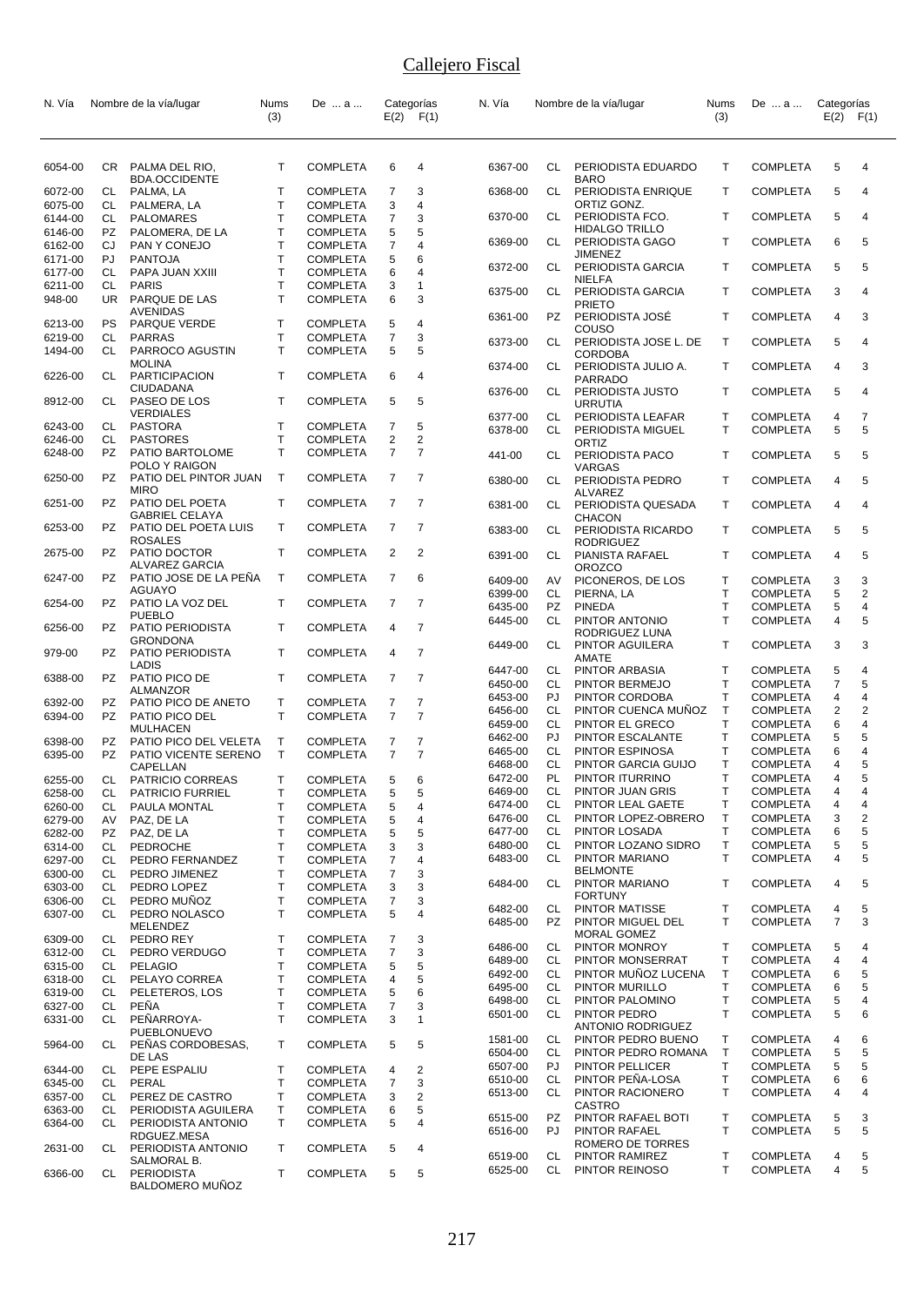| N. Vía             |           | Nombre de la vía/lugar                        | Nums               | De  a                              |                     | Categorías                       | N. Vía             |                 | Nombre de la vía/lugar                         | Nums              | De  a                              | Categorías          | F(1)                    |
|--------------------|-----------|-----------------------------------------------|--------------------|------------------------------------|---------------------|----------------------------------|--------------------|-----------------|------------------------------------------------|-------------------|------------------------------------|---------------------|-------------------------|
|                    |           |                                               | (3)                |                                    |                     | $E(2)$ $F(1)$                    |                    |                 |                                                | (3)               |                                    | E(2)                |                         |
| 6054-00            |           | CR PALMA DEL RIO,                             | Т                  | <b>COMPLETA</b>                    | 6                   | 4                                | 6367-00            | CL              | PERIODISTA EDUARDO                             | т                 | <b>COMPLETA</b>                    | 5                   | 4                       |
| 6072-00            | CL        | <b>BDA.OCCIDENTE</b><br>PALMA, LA             | Т                  | <b>COMPLETA</b>                    | 7                   | 3                                | 6368-00            | CL              | <b>BARO</b><br>PERIODISTA ENRIQUE              | Τ                 | <b>COMPLETA</b>                    | 5                   | 4                       |
| 6075-00            | CL        | PALMERA, LA                                   | Т                  | <b>COMPLETA</b>                    | 3                   | 4                                |                    |                 | ORTIZ GONZ.                                    |                   |                                    |                     |                         |
| 6144-00            | CL        | PALOMARES                                     | Т                  | <b>COMPLETA</b>                    | 7                   | 3                                | 6370-00            | CL              | PERIODISTA FCO.                                | Τ                 | <b>COMPLETA</b>                    | 5                   | 4                       |
| 6146-00            | PZ        | PALOMERA, DE LA                               | Т<br>$\mathsf{T}$  | <b>COMPLETA</b>                    | 5<br>$\overline{7}$ | 5<br>4                           | 6369-00            | CL              | <b>HIDALGO TRILLO</b><br>PERIODISTA GAGO       | Τ                 | <b>COMPLETA</b>                    | 6                   | 5                       |
| 6162-00<br>6171-00 | CJ<br>PJ  | PAN Y CONEJO<br><b>PANTOJA</b>                | T                  | <b>COMPLETA</b><br><b>COMPLETA</b> | 5                   | 6                                |                    |                 | JIMENEZ                                        |                   |                                    |                     |                         |
| 6177-00            | CL.       | PAPA JUAN XXIII                               | $\mathsf{T}$       | <b>COMPLETA</b>                    | 6                   | 4                                | 6372-00            | CL              | PERIODISTA GARCIA                              | т                 | <b>COMPLETA</b>                    | 5                   | 5                       |
| 6211-00<br>948-00  | CL<br>UR. | <b>PARIS</b><br>PARQUE DE LAS                 | Т<br>$\mathsf{T}$  | <b>COMPLETA</b><br><b>COMPLETA</b> | 3<br>6              | 1<br>3                           | 6375-00            | CL              | <b>NIELFA</b><br>PERIODISTA GARCIA             | T                 | <b>COMPLETA</b>                    | 3                   | 4                       |
| 6213-00            | <b>PS</b> | <b>AVENIDAS</b><br><b>PARQUE VERDE</b>        | т                  | <b>COMPLETA</b>                    | 5                   | 4                                | 6361-00            | PZ              | PRIETO<br>PERIODISTA JOSÉ                      | T                 | <b>COMPLETA</b>                    | 4                   | 3                       |
| 6219-00            | CL<br>CL  | <b>PARRAS</b>                                 | T<br>т             | <b>COMPLETA</b>                    | 7<br>5              | 3<br>5                           | 6373-00            | CL              | COUSO<br>PERIODISTA JOSE L. DE                 | $\mathsf{T}$      | <b>COMPLETA</b>                    | 5                   | 4                       |
| 1494-00            |           | PARROCO AGUSTIN<br><b>MOLINA</b>              |                    | <b>COMPLETA</b>                    |                     |                                  | 6374-00            | CL              | <b>CORDOBA</b><br>PERIODISTA JULIO A.          | т                 | <b>COMPLETA</b>                    | 4                   | 3                       |
| 6226-00            | CL        | <b>PARTICIPACION</b><br>CIUDADANA             | T                  | <b>COMPLETA</b>                    | 6                   | 4                                | 6376-00            | CL              | PARRADO<br>PERIODISTA JUSTO                    | T                 | <b>COMPLETA</b>                    | 5                   | 4                       |
| 8912-00            | CL        | PASEO DE LOS<br><b>VERDIALES</b>              | T                  | <b>COMPLETA</b>                    | 5                   | 5                                | 6377-00            | CL              | <b>URRUTIA</b><br>PERIODISTA LEAFAR            | т                 | <b>COMPLETA</b>                    | 4                   | 7                       |
| 6243-00            | CL        | <b>PASTORA</b>                                | т                  | <b>COMPLETA</b>                    | 7                   | 5                                | 6378-00            | CL              | PERIODISTA MIGUEL                              | т                 | <b>COMPLETA</b>                    | 5                   | 5                       |
| 6246-00            | CL        | <b>PASTORES</b>                               | Т                  | <b>COMPLETA</b>                    | 2                   | 2                                |                    |                 | ORTIZ                                          |                   |                                    |                     |                         |
| 6248-00            | <b>PZ</b> | PATIO BARTOLOME<br>POLO Y RAIGON              | $\mathsf{T}$       | <b>COMPLETA</b>                    | $\overline{7}$      | $\overline{7}$                   | 441-00             | CL              | PERIODISTA PACO<br>VARGAS                      | T                 | <b>COMPLETA</b>                    | 5                   | 5                       |
| 6250-00            | PZ.       | PATIO DEL PINTOR JUAN<br><b>MIRO</b>          | T                  | <b>COMPLETA</b>                    | $\overline{7}$      | $\overline{7}$                   | 6380-00            | CL              | PERIODISTA PEDRO<br><b>ALVAREZ</b>             | T                 | <b>COMPLETA</b>                    | 4                   | 5                       |
| 6251-00            | PZ        | PATIO DEL POETA<br><b>GABRIEL CELAYA</b>      | T                  | <b>COMPLETA</b>                    | $\overline{7}$      | 7                                | 6381-00            | CL              | PERIODISTA QUESADA<br>CHACON                   | T                 | <b>COMPLETA</b>                    | 4                   | 4                       |
| 6253-00            | PZ        | PATIO DEL POETA LUIS<br><b>ROSALES</b>        | T                  | <b>COMPLETA</b>                    | 7                   | $\overline{7}$                   | 6383-00            | CL              | PERIODISTA RICARDO<br><b>RODRIGUEZ</b>         | т                 | <b>COMPLETA</b>                    | 5                   | 5                       |
| 2675-00            | PZ.       | PATIO DOCTOR<br>ALVAREZ GARCIA                | T                  | <b>COMPLETA</b>                    | 2                   | 2                                | 6391-00            | CL              | PIANISTA RAFAEL                                | т                 | <b>COMPLETA</b>                    | 4                   | 5                       |
| 6247-00            | PZ -      | PATIO JOSE DE LA PEÑA                         | T                  | <b>COMPLETA</b>                    | 7                   | 6                                | 6409-00            | AV              | <b>OROZCO</b><br>PICONEROS, DE LOS             | T                 | <b>COMPLETA</b>                    | 3                   | 3                       |
| 6254-00            | PZ        | AGUAYO<br>PATIO LA VOZ DEL                    | T                  | <b>COMPLETA</b>                    | 7                   | 7                                | 6399-00<br>6435-00 | CL<br>PZ        | PIERNA, LA<br><b>PINEDA</b>                    | T<br>T            | <b>COMPLETA</b><br><b>COMPLETA</b> | 5<br>5              | 2<br>4                  |
| 6256-00            | PZ.       | <b>PUEBLO</b><br>PATIO PERIODISTA             | Т                  | <b>COMPLETA</b>                    | 4                   | $\overline{7}$                   | 6445-00            | CL              | PINTOR ANTONIO<br>RODRIGUEZ LUNA               | $\mathsf{T}$      | <b>COMPLETA</b>                    | 4                   | 5                       |
| 979-00             |           | <b>GRONDONA</b><br>PZ PATIO PERIODISTA        | T                  | <b>COMPLETA</b>                    | 4                   | $\overline{7}$                   | 6449-00            | CL              | PINTOR AGUILERA<br>AMATE                       | T                 | <b>COMPLETA</b>                    | 3                   | 3                       |
|                    |           | LADIS                                         |                    |                                    |                     |                                  | 6447-00            | CL              | PINTOR ARBASIA                                 | т                 | <b>COMPLETA</b>                    | 5                   | 4                       |
| 6388-00            | PZ        | PATIO PICO DE<br><b>ALMANZOR</b>              | T                  | <b>COMPLETA</b>                    | 7                   | 7                                | 6450-00            | CL              | PINTOR BERMEJO                                 | T                 | <b>COMPLETA</b>                    | 7                   | 5                       |
| 6392-00            | PZ        | PATIO PICO DE ANETO                           | т                  | <b>COMPLETA</b>                    | 7                   | 7                                | 6453-00            | PJ              | PINTOR CORDOBA                                 | T                 | <b>COMPLETA</b>                    | 4                   | 4                       |
| 6394-00            | PZ.       | PATIO PICO DEL                                | T.                 | <b>COMPLETA</b>                    | $\overline{7}$      | $\overline{7}$                   | 6456-00<br>6459-00 | CL<br>CL        | PINTOR CUENCA MUÑOZ<br>PINTOR EL GRECO         | $\mathsf{T}$<br>T | <b>COMPLETA</b><br><b>COMPLETA</b> | 2<br>6              | $\overline{2}$<br>4     |
|                    |           | <b>MULHACEN</b>                               |                    |                                    |                     |                                  | 6462-00            | PJ              | PINTOR ESCALANTE                               | T                 | <b>COMPLETA</b>                    | 5                   | 5                       |
| 6398-00<br>6395-00 | PZ<br>PZ  | PATIO PICO DEL VELETA<br>PATIO VICENTE SERENO | Т<br>T.            | <b>COMPLETA</b><br><b>COMPLETA</b> | 7<br>$\overline{7}$ | $\overline{7}$<br>$\overline{7}$ | 6465-00            | CL              | PINTOR ESPINOSA                                | Τ                 | COMPLETA                           | 6                   | 4                       |
|                    |           | CAPELLAN                                      |                    |                                    |                     |                                  | 6468-00            | СL              | PINTOR GARCIA GUIJO                            | T                 | <b>COMPLETA</b>                    | 4                   | 5                       |
| 6255-00            | CL        | PATRICIO CORREAS                              | т                  | <b>COMPLETA</b>                    | 5                   | 6                                | 6472-00            | PL              | PINTOR ITURRINO                                | T                 | <b>COMPLETA</b>                    | 4                   | 5                       |
| 6258-00            | CL.       | PATRICIO FURRIEL                              | T                  | <b>COMPLETA</b>                    | 5                   | 5                                | 6469-00            | СL              | PINTOR JUAN GRIS                               | Т                 | <b>COMPLETA</b>                    | 4                   | 4                       |
| 6260-00            | CL        | PAULA MONTAL                                  | Т                  | <b>COMPLETA</b>                    | 5                   | 4                                | 6474-00            | <b>CL</b>       | PINTOR LEAL GAETE                              | Τ                 | <b>COMPLETA</b>                    | 4                   | $\overline{\mathbf{4}}$ |
| 6279-00            | AV        | PAZ, DE LA                                    | Т                  | <b>COMPLETA</b>                    | 5                   | 4                                | 6476-00            | CL              | PINTOR LOPEZ-OBRERO                            | T                 | <b>COMPLETA</b>                    | 3                   | $\overline{\mathbf{c}}$ |
| 6282-00            | PZ        | PAZ, DE LA                                    | $\mathsf{T}$       | <b>COMPLETA</b>                    | 5                   | 5                                | 6477-00            | CL              | PINTOR LOSADA                                  | T                 | <b>COMPLETA</b>                    | 6                   | 5                       |
| 6314-00            | CL        | PEDROCHE                                      | T                  | <b>COMPLETA</b>                    | 3                   | 3                                | 6480-00            | CL              | PINTOR LOZANO SIDRO                            | Τ                 | <b>COMPLETA</b>                    | 5                   | 5                       |
| 6297-00            | CL        | PEDRO FERNANDEZ                               | T                  | <b>COMPLETA</b>                    | 7                   | 4                                | 6483-00            | CL              | PINTOR MARIANO                                 | T                 | <b>COMPLETA</b>                    | 4                   | 5                       |
| 6300-00            | CL        | PEDRO JIMENEZ                                 | $\mathsf{T}$       | <b>COMPLETA</b>                    | 7                   | 3                                |                    |                 | <b>BELMONTE</b>                                |                   | <b>COMPLETA</b>                    |                     |                         |
| 6303-00            | CL        | PEDRO LOPEZ                                   | $\mathsf{T}$       | <b>COMPLETA</b>                    | 3                   | 3                                | 6484-00            | CL              | PINTOR MARIANO<br><b>FORTUNY</b>               | Τ                 |                                    | 4                   | 5                       |
| 6306-00<br>6307-00 | CL<br>CL  | PEDRO MUÑOZ<br>PEDRO NOLASCO                  | $\mathsf{T}$<br>T. | <b>COMPLETA</b><br><b>COMPLETA</b> | 7<br>5              | 3<br>4                           | 6482-00<br>6485-00 | <b>CL</b><br>PZ | PINTOR MATISSE<br>PINTOR MIGUEL DEL            | T<br>$\mathsf{T}$ | <b>COMPLETA</b><br><b>COMPLETA</b> | 4<br>$\overline{7}$ | 5<br>3                  |
|                    |           | <b>MELENDEZ</b><br>PEDRO REY                  | T                  | <b>COMPLETA</b>                    |                     |                                  |                    |                 | MORAL GOMEZ                                    |                   |                                    |                     |                         |
| 6309-00<br>6312-00 | CL<br>CL  | PEDRO VERDUGO                                 | Т                  | <b>COMPLETA</b>                    | 7<br>7              | 3<br>3                           | 6486-00            | CL              | PINTOR MONROY                                  | $\mathsf{T}$      | <b>COMPLETA</b>                    | 5                   | 4                       |
| 6315-00            | CL        | <b>PELAGIO</b>                                | Т                  | <b>COMPLETA</b>                    | 5                   | 5                                | 6489-00            | CL              | PINTOR MONSERRAT                               | $\mathsf{T}$      | <b>COMPLETA</b>                    | 4                   | $\overline{4}$          |
| 6318-00            | CL.       | PELAYO CORREA                                 | Т                  |                                    | 4                   | 5                                | 6492-00            | CL              | PINTOR MUÑOZ LUCENA                            | T                 | <b>COMPLETA</b>                    | 6                   | 5                       |
| 6319-00            | CL        | PELETEROS, LOS                                | Т                  | <b>COMPLETA</b><br><b>COMPLETA</b> | 5                   | 6                                | 6495-00            | CL              | PINTOR MURILLO                                 | T                 | <b>COMPLETA</b>                    | 6                   | 5                       |
|                    |           |                                               |                    |                                    |                     |                                  | 6498-00            | CL              | PINTOR PALOMINO                                | T                 | <b>COMPLETA</b>                    | 5                   | 4                       |
| 6327-00<br>6331-00 | CL<br>CL  | <b>PEÑA</b><br>PEÑARROYA-                     | Т<br>$\mathsf{T}$  | <b>COMPLETA</b><br><b>COMPLETA</b> | 7<br>3              | 3<br>1                           | 6501-00            | CL              | PINTOR PEDRO                                   | $\mathsf{T}$      | <b>COMPLETA</b>                    | 5                   | 6                       |
|                    |           | PUEBLONUEVO                                   |                    |                                    |                     |                                  | 1581-00            | CL              | <b>ANTONIO RODRIGUEZ</b><br>PINTOR PEDRO BUENO | $\mathsf T$       | <b>COMPLETA</b>                    | 4                   | 6                       |
| 5964-00            | CL        | PENAS CORDOBESAS,<br>DE LAS                   | T                  | <b>COMPLETA</b>                    | 5                   | 5                                | 6504-00            | CL              | PINTOR PEDRO ROMANA                            | T                 | <b>COMPLETA</b>                    | 5                   | 5                       |
| 6344-00            | CL        | PEPE ESPALIU                                  | т                  | <b>COMPLETA</b>                    | 4                   | $\overline{2}$                   | 6507-00            | PJ              | PINTOR PELLICER                                | T                 | <b>COMPLETA</b>                    | 5                   | 5                       |
| 6345-00            | CL        | PERAL                                         | Т                  | <b>COMPLETA</b>                    | 7                   | 3                                | 6510-00            | CL              | PINTOR PEÑA-LOSA                               | Т                 | <b>COMPLETA</b>                    | 6                   | 6                       |
| 6357-00            | CL        | PEREZ DE CASTRO                               | Т                  | <b>COMPLETA</b>                    | 3                   | $\overline{2}$                   | 6513-00            | CL.             | PINTOR RACIONERO                               | T                 | <b>COMPLETA</b>                    | 4                   | 4                       |
| 6363-00            | CL.       | PERIODISTA AGUILERA                           | т                  | <b>COMPLETA</b>                    | 6                   | 5                                |                    |                 | CASTRO                                         |                   |                                    |                     |                         |
| 6364-00            | CL        | PERIODISTA ANTONIO                            | T.                 | <b>COMPLETA</b>                    | 5                   | 4                                | 6515-00<br>6516-00 | PZ<br>PJ        | PINTOR RAFAEL BOTI<br>PINTOR RAFAEL            | т<br>T            | <b>COMPLETA</b><br><b>COMPLETA</b> | 5<br>5              | 3<br>5                  |
| 2631-00            | CL        | RDGUEZ.MESA<br>PERIODISTA ANTONIO             | Τ                  | <b>COMPLETA</b>                    | 5                   | 4                                |                    |                 | ROMERO DE TORRES                               |                   |                                    |                     |                         |
|                    |           | SALMORAL B.                                   |                    |                                    |                     |                                  | 6519-00<br>6525-00 | CL<br>CL        | PINTOR RAMIREZ<br>PINTOR REINOSO               | Τ<br>T            | <b>COMPLETA</b><br><b>COMPLETA</b> | 4<br>4              | 5<br>5                  |
| 6366-00            | CL        | PERIODISTA<br>BALDOMERO MUNOZ                 | T                  | <b>COMPLETA</b>                    | 5                   | 5                                |                    |                 |                                                |                   |                                    |                     |                         |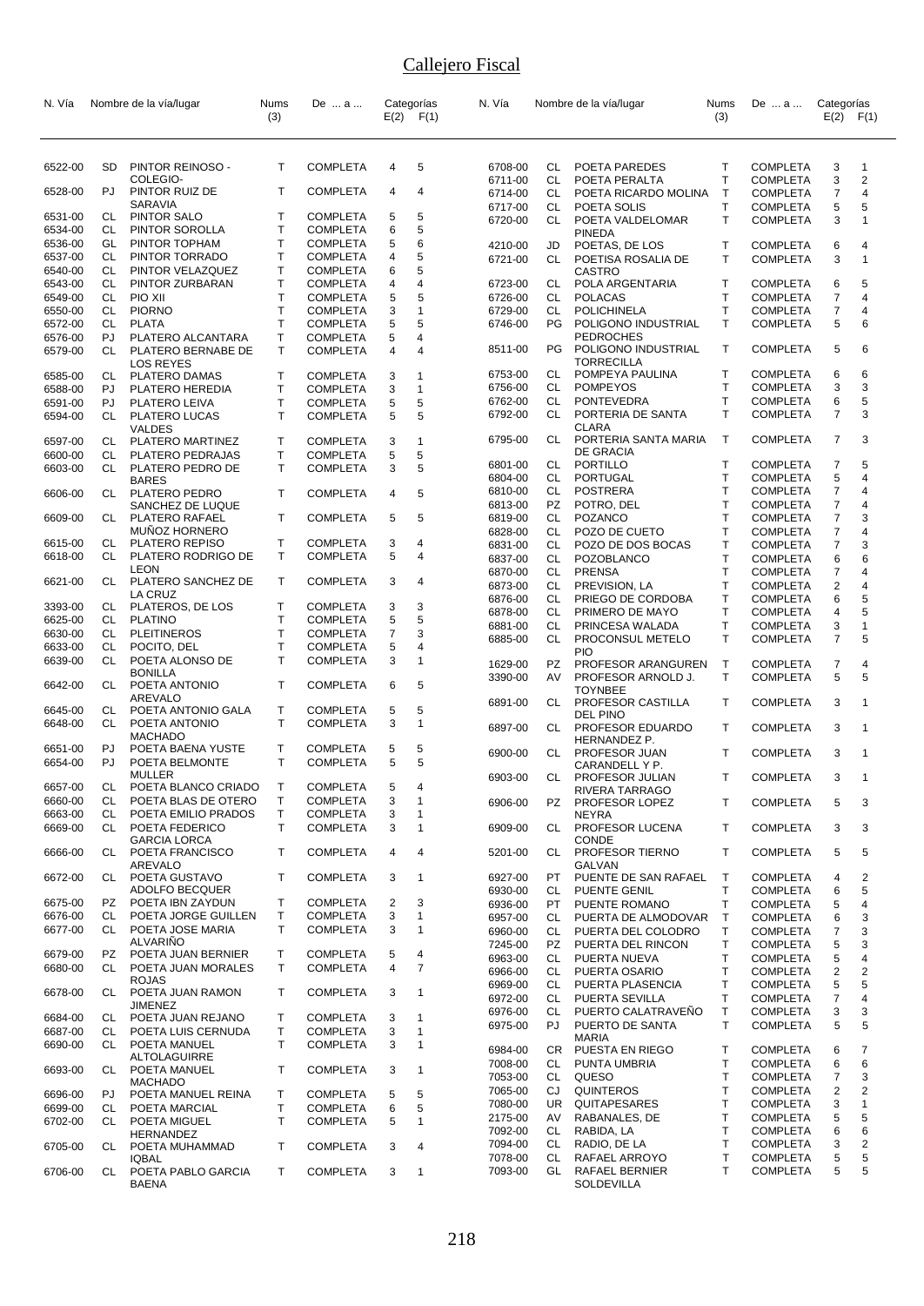| N. Vía             |                 | Nombre de la vía/lugar                     | Nums<br>(3)                  | De  a                              |                     | Categorías<br>$E(2)$ $F(1)$ | N. Vía             |           | Nombre de la vía/lugar                    | <b>Nums</b><br>(3) | De  a                              | Categorías<br>$E(2)$ $F(1)$ |                     |
|--------------------|-----------------|--------------------------------------------|------------------------------|------------------------------------|---------------------|-----------------------------|--------------------|-----------|-------------------------------------------|--------------------|------------------------------------|-----------------------------|---------------------|
|                    |                 |                                            |                              |                                    |                     |                             |                    |           |                                           |                    |                                    |                             |                     |
| 6522-00            | SD              | PINTOR REINOSO -                           | т                            | <b>COMPLETA</b>                    | 4                   | 5                           | 6708-00            | CL.       | POETA PAREDES                             | $\mathsf{T}$       | <b>COMPLETA</b>                    | 3                           | $\overline{1}$      |
|                    |                 | COLEGIO-                                   |                              |                                    |                     |                             | 6711-00            | CL        | POETA PERALTA                             | $\mathsf{T}$       | <b>COMPLETA</b>                    | 3                           | $\overline{2}$      |
| 6528-00            | PJ              | PINTOR RUIZ DE                             | Τ                            | <b>COMPLETA</b>                    | 4                   | 4                           | 6714-00            | CL        | POETA RICARDO MOLINA                      | $\mathsf{T}$       | <b>COMPLETA</b>                    | 7                           | 4                   |
| 6531-00            | CL              | SARAVIA<br>PINTOR SALO                     | т                            | <b>COMPLETA</b>                    | 5                   | 5                           | 6717-00<br>6720-00 | CL.<br>CL | POETA SOLIS<br>POETA VALDELOMAR           | $\mathsf{T}$<br>T. | <b>COMPLETA</b><br><b>COMPLETA</b> | 5<br>3                      | 5<br>1              |
| 6534-00            | CL              | PINTOR SOROLLA                             | Τ                            | <b>COMPLETA</b>                    | 6                   | 5                           |                    |           | PINEDA                                    |                    |                                    |                             |                     |
| 6536-00            | GL              | PINTOR TOPHAM                              | т                            | <b>COMPLETA</b>                    | 5                   | 6                           | 4210-00            | JD        | POETAS, DE LOS                            | Τ                  | <b>COMPLETA</b>                    | 6                           | 4                   |
| 6537-00            | CL              | PINTOR TORRADO                             | Т                            | <b>COMPLETA</b>                    | 4                   | 5                           | 6721-00            | CL        | POETISA ROSALIA DE                        | Τ                  | <b>COMPLETA</b>                    | 3                           | 1                   |
| 6540-00<br>6543-00 | CL<br><b>CL</b> | PINTOR VELAZQUEZ<br>PINTOR ZURBARAN        | Т<br>T.                      | <b>COMPLETA</b><br><b>COMPLETA</b> | 6<br>4              | 5<br>4                      | 6723-00            | CL        | CASTRO<br>POLA ARGENTARIA                 | T                  | <b>COMPLETA</b>                    | 6                           | 5                   |
| 6549-00            | CL              | PIO XII                                    | T                            | <b>COMPLETA</b>                    | 5                   | 5                           | 6726-00            | CL        | <b>POLACAS</b>                            | T                  | <b>COMPLETA</b>                    | 7                           | 4                   |
| 6550-00            | CL              | <b>PIORNO</b>                              | T                            | <b>COMPLETA</b>                    | 3                   | $\mathbf{1}$                | 6729-00            | CL        | <b>POLICHINELA</b>                        | T                  | <b>COMPLETA</b>                    | 7                           | 4                   |
| 6572-00            | CL              | <b>PLATA</b>                               | Τ                            | <b>COMPLETA</b>                    | 5                   | 5                           | 6746-00            | PG.       | POLIGONO INDUSTRIAL                       | Τ                  | <b>COMPLETA</b>                    | 5                           | 6                   |
| 6576-00<br>6579-00 | PJ<br>CL        | PLATERO ALCANTARA<br>PLATERO BERNABE DE    | т<br>T                       | <b>COMPLETA</b><br><b>COMPLETA</b> | 5<br>$\overline{4}$ | 4<br>4                      | 8511-00            | PG.       | <b>PEDROCHES</b><br>POLIGONO INDUSTRIAL   | T                  | <b>COMPLETA</b>                    | 5                           | 6                   |
|                    |                 | LOS REYES                                  |                              |                                    |                     |                             |                    |           | TORRECILLA                                |                    |                                    |                             |                     |
| 6585-00            | CL              | PLATERO DAMAS                              | т                            | <b>COMPLETA</b>                    | 3                   | 1                           | 6753-00            | CL        | POMPEYA PAULINA                           | Т                  | <b>COMPLETA</b>                    | 6                           | 6                   |
| 6588-00            | PJ              | PLATERO HEREDIA                            | т<br>T.                      | <b>COMPLETA</b>                    | 3                   | 1                           | 6756-00<br>6762-00 | CL<br>CL  | <b>POMPEYOS</b><br><b>PONTEVEDRA</b>      | $\mathsf{T}$<br>Τ  | <b>COMPLETA</b><br><b>COMPLETA</b> | 3<br>6                      | 3<br>5              |
| 6591-00<br>6594-00 | PJ<br>CL        | PLATERO LEIVA<br>PLATERO LUCAS             | T                            | <b>COMPLETA</b><br><b>COMPLETA</b> | 5<br>5              | 5<br>5                      | 6792-00            | CL        | PORTERIA DE SANTA                         | $\mathsf{T}$       | <b>COMPLETA</b>                    | 7                           | 3                   |
|                    |                 | <b>VALDES</b>                              |                              |                                    |                     |                             |                    |           | CLARA                                     |                    |                                    |                             |                     |
| 6597-00            | CL              | PLATERO MARTINEZ                           | т                            | <b>COMPLETA</b>                    | 3                   | $\mathbf{1}$                | 6795-00            | CL        | PORTERIA SANTA MARIA<br>DE GRACIA         | $\mathsf{T}$       | <b>COMPLETA</b>                    | $\overline{7}$              | 3                   |
| 6600-00<br>6603-00 | CL<br>CL        | PLATERO PEDRAJAS<br>PLATERO PEDRO DE       | т<br>т                       | <b>COMPLETA</b><br><b>COMPLETA</b> | 5<br>3              | 5<br>5                      | 6801-00            | CL        | PORTILLO                                  | T                  | <b>COMPLETA</b>                    | 7                           | 5                   |
|                    |                 | <b>BARES</b>                               |                              |                                    |                     |                             | 6804-00            | CL        | PORTUGAL                                  | T                  | <b>COMPLETA</b>                    | 5                           | 4                   |
| 6606-00            | CL              | PLATERO PEDRO                              | т                            | <b>COMPLETA</b>                    | 4                   | 5                           | 6810-00            | CL        | <b>POSTRERA</b>                           | T                  | <b>COMPLETA</b>                    | 7                           | 4                   |
| 6609-00            | CL              | SANCHEZ DE LUQUE<br>PLATERO RAFAEL         | Τ                            | <b>COMPLETA</b>                    | 5                   | 5                           | 6813-00<br>6819-00 | PZ<br>CL. | POTRO, DEL<br>POZANCO                     | T<br>$\mathsf{T}$  | <b>COMPLETA</b><br><b>COMPLETA</b> | 7<br>7                      | 4<br>3              |
|                    |                 | <b>MUNOZ HORNERO</b>                       |                              |                                    |                     |                             | 6828-00            | CL        | POZO DE CUETO                             | Τ                  | <b>COMPLETA</b>                    | 7                           | 4                   |
| 6615-00            | CL              | PLATERO REPISO                             | т                            | <b>COMPLETA</b>                    | 3                   | 4                           | 6831-00            | CL        | POZO DE DOS BOCAS                         | T                  | <b>COMPLETA</b>                    | 7                           | 3                   |
| 6618-00            | CL              | PLATERO RODRIGO DE                         | т                            | <b>COMPLETA</b>                    | 5                   | 4                           | 6837-00            | CL        | POZOBLANCO                                | T                  | <b>COMPLETA</b>                    | 6                           | 6                   |
| 6621-00            | CL              | LEON<br>PLATERO SANCHEZ DE                 | т                            | <b>COMPLETA</b>                    | 3                   | 4                           | 6870-00            | CL        | <b>PRENSA</b>                             | T                  | <b>COMPLETA</b>                    | 7                           | 4                   |
|                    |                 | LA CRUZ                                    |                              |                                    |                     |                             | 6873-00<br>6876-00 | CL<br>CL  | PREVISION, LA<br>PRIEGO DE CORDOBA        | Τ<br>T             | <b>COMPLETA</b><br><b>COMPLETA</b> | 2<br>6                      | 4<br>5              |
| 3393-00            | CL              | PLATEROS, DE LOS                           | т                            | <b>COMPLETA</b>                    | 3                   | 3                           | 6878-00            | CL        | PRIMERO DE MAYO                           | T                  | <b>COMPLETA</b>                    | 4                           | 5                   |
| 6625-00<br>6630-00 | CL<br>CL        | <b>PLATINO</b><br><b>PLEITINEROS</b>       | Т<br>т                       | <b>COMPLETA</b>                    | 5<br>7              | 5<br>3                      | 6881-00            | CL        | PRINCESA WALADA                           | T                  | <b>COMPLETA</b>                    | 3                           | 1                   |
| 6633-00            | CL.             | POCITO, DEL                                | T                            | <b>COMPLETA</b><br><b>COMPLETA</b> | 5                   | 4                           | 6885-00            | CL        | PROCONSUL METELO                          | $\mathsf{T}$       | <b>COMPLETA</b>                    | 7                           | 5                   |
| 6639-00            | CL              | POETA ALONSO DE                            | т                            | <b>COMPLETA</b>                    | 3                   | $\mathbf{1}$                | 1629-00            | PZ        | <b>PIO</b><br>PROFESOR ARANGUREN          | $\mathsf{T}$       | <b>COMPLETA</b>                    | 7                           | 4                   |
|                    |                 | <b>BONILLA</b>                             |                              |                                    |                     |                             | 3390-00            | AV        | PROFESOR ARNOLD J.                        | T.                 | <b>COMPLETA</b>                    | 5                           | 5                   |
| 6642-00            | CL              | POETA ANTONIO<br>AREVALO                   | т                            | <b>COMPLETA</b>                    | 6                   | 5                           |                    |           | <b>TOYNBEE</b>                            |                    |                                    |                             |                     |
| 6645-00            | CL              | POETA ANTONIO GALA                         | т                            | <b>COMPLETA</b>                    | 5                   | 5                           | 6891-00            | CL        | PROFESOR CASTILLA<br>DEL PINO             | $\mathsf{T}$       | <b>COMPLETA</b>                    | 3                           | 1                   |
| 6648-00            | CL              | POETA ANTONIO                              | T                            | <b>COMPLETA</b>                    | 3                   | 1                           | 6897-00            | CL        | PROFESOR EDUARDO                          | Τ                  | <b>COMPLETA</b>                    | 3                           | 1                   |
| 6651-00            | PJ              | <b>MACHADO</b><br>POETA BAENA YUSTE        | т                            | <b>COMPLETA</b>                    | 5                   | 5                           |                    |           | <b>HERNANDEZ P.</b>                       |                    |                                    |                             |                     |
| 6654-00            | PJ              | POETA BELMONTE                             | т                            | <b>COMPLETA</b>                    | 5                   | 5                           | 6900-00            | CL        | PROFESOR JUAN<br>CARANDELL Y P.           | Τ                  | <b>COMPLETA</b>                    | 3                           | $\mathbf{1}$        |
|                    |                 | MULLER                                     |                              |                                    |                     |                             | 6903-00            | CL        | PROFESOR JULIAN                           | Τ                  | <b>COMPLETA</b>                    | 3                           | $\overline{1}$      |
| 6657-00            | СL              | POETA BLANCO CRIADO                        | $\mathsf{T}$<br>$\mathsf{T}$ | <b>COMPLETA</b>                    | 5                   | 4                           |                    |           | RIVERA TARRAGO                            |                    |                                    |                             |                     |
| 6660-00<br>6663-00 | CL<br>CL        | POETA BLAS DE OTERO<br>POETA EMILIO PRADOS | T                            | <b>COMPLETA</b><br><b>COMPLETA</b> | 3<br>3              | 1<br>1                      | 6906-00            | PZ        | PROFESOR LOPEZ<br>NEYRA                   | т                  | <b>COMPLETA</b>                    | 5                           | 3                   |
| 6669-00            | CL              | POETA FEDERICO                             | т                            | <b>COMPLETA</b>                    | 3                   | 1                           | 6909-00            | CL        | PROFESOR LUCENA                           | T                  | <b>COMPLETA</b>                    | 3                           | 3                   |
|                    |                 | <b>GARCIA LORCA</b>                        |                              |                                    |                     |                             |                    |           | CONDE                                     |                    |                                    |                             |                     |
| 6666-00            | CL              | POETA FRANCISCO<br>AREVALO                 | т                            | <b>COMPLETA</b>                    | 4                   | 4                           | 5201-00            | CL        | PROFESOR TIERNO<br>GALVAN                 | Т                  | <b>COMPLETA</b>                    | 5                           | 5                   |
| 6672-00            | CL              | POETA GUSTAVO                              | т                            | <b>COMPLETA</b>                    | 3                   | $\mathbf{1}$                | 6927-00            | PT        | PUENTE DE SAN RAFAEL                      | $\top$             | COMPLETA                           | 4                           | 2                   |
|                    |                 | ADOLFO BECQUER                             |                              |                                    |                     |                             | 6930-00            | CL        | PUENTE GENIL                              | Т                  | <b>COMPLETA</b>                    | 6                           | 5                   |
| 6675-00<br>6676-00 | PZ<br>CL        | POETA IBN ZAYDUN<br>POETA JORGE GUILLEN    | т<br>т                       | <b>COMPLETA</b><br><b>COMPLETA</b> | 2<br>3              | 3<br>1                      | 6936-00            | PT        | PUENTE ROMANO                             | T                  | <b>COMPLETA</b>                    | 5                           | 4                   |
| 6677-00            | CL.             | POETA JOSE MARIA                           | т                            | <b>COMPLETA</b>                    | 3                   | 1                           | 6957-00<br>6960-00 | CL.<br>CL | PUERTA DE ALMODOVAR<br>PUERTA DEL COLODRO | $\mathsf{T}$<br>Τ  | <b>COMPLETA</b><br><b>COMPLETA</b> | 6<br>7                      | 3<br>3              |
|                    |                 | <b>ALVARINO</b>                            |                              |                                    |                     |                             | 7245-00            | PZ        | PUERTA DEL RINCON                         | Т                  | <b>COMPLETA</b>                    | 5                           | 3                   |
| 6679-00            | PZ              | POETA JUAN BERNIER                         | Т                            | <b>COMPLETA</b>                    | 5                   | 4                           | 6963-00            | CL        | PUERTA NUEVA                              | T                  | <b>COMPLETA</b>                    | 5                           | 4                   |
| 6680-00            | CL              | POETA JUAN MORALES<br><b>ROJAS</b>         | T                            | <b>COMPLETA</b>                    | 4                   | 7                           | 6966-00            | CL        | PUERTA OSARIO                             | т                  | <b>COMPLETA</b>                    | 2                           | $\overline{2}$      |
| 6678-00            | CL              | POETA JUAN RAMON                           | Т                            | <b>COMPLETA</b>                    | 3                   | 1                           | 6969-00<br>6972-00 | CL<br>CL  | PUERTA PLASENCIA<br>PUERTA SEVILLA        | т<br>Τ             | <b>COMPLETA</b>                    | 5<br>7                      | 5<br>4              |
|                    |                 | JIMENEZ                                    |                              |                                    |                     |                             | 6976-00            | CL        | PUERTO CALATRAVENO                        | $\mathsf T$        | <b>COMPLETA</b><br><b>COMPLETA</b> | 3                           | 3                   |
| 6684-00<br>6687-00 | CL<br>CL        | POETA JUAN REJANO                          | Т<br>т                       | <b>COMPLETA</b><br><b>COMPLETA</b> | 3<br>3              | 1<br>1                      | 6975-00            | PJ        | PUERTO DE SANTA                           | $\mathsf{T}$       | <b>COMPLETA</b>                    | 5                           | 5                   |
| 6690-00            | CL              | POETA LUIS CERNUDA<br>POETA MANUEL         | T                            | <b>COMPLETA</b>                    | 3                   | 1                           |                    |           | <b>MARIA</b>                              |                    |                                    |                             |                     |
|                    |                 | ALTOLAGUIRRE                               |                              |                                    |                     |                             | 6984-00<br>7008-00 | CR<br>CL  | PUESTA EN RIEGO<br>PUNTA UMBRIA           | Τ<br>Τ             | <b>COMPLETA</b><br><b>COMPLETA</b> | 6<br>6                      | $\overline{7}$<br>6 |
| 6693-00            | CL              | POETA MANUEL                               | т                            | <b>COMPLETA</b>                    | 3                   | 1                           | 7053-00            | CL        | QUESO                                     | $\mathsf{T}$       | <b>COMPLETA</b>                    | 7                           | 3                   |
| 6696-00            | PJ              | <b>MACHADO</b><br>POETA MANUEL REINA       | Τ                            | <b>COMPLETA</b>                    | 5                   | 5                           | 7065-00            | CJ        | <b>QUINTEROS</b>                          | Τ                  | <b>COMPLETA</b>                    | 2                           | 2                   |
| 6699-00            | CL              | POETA MARCIAL                              | т                            | <b>COMPLETA</b>                    | 6                   | 5                           | 7080-00            | UR        | QUITAPESARES                              | T                  | <b>COMPLETA</b>                    | 3                           | 1                   |
| 6702-00            | CL              | POETA MIGUEL                               | т                            | <b>COMPLETA</b>                    | 5                   | $\mathbf{1}$                | 2175-00            | AV        | RABANALES, DE                             | Τ                  | <b>COMPLETA</b>                    | 5                           | 5                   |
| 6705-00            | CL              | HERNANDEZ<br>POETA MUHAMMAD                | т                            | <b>COMPLETA</b>                    | 3                   | 4                           | 7092-00<br>7094-00 | CL<br>CL  | RABIDA, LA<br>RADIO, DE LA                | Т<br>Τ             | <b>COMPLETA</b><br><b>COMPLETA</b> | 6<br>3                      | 6<br>2              |
|                    |                 | <b>IQBAL</b>                               |                              |                                    |                     |                             | 7078-00            | CL        | RAFAEL ARROYO                             | T                  | <b>COMPLETA</b>                    | 5                           | 5                   |
| 6706-00            | CL              | POETA PABLO GARCIA<br><b>BAENA</b>         | Т                            | <b>COMPLETA</b>                    | 3                   | 1                           | 7093-00            | GL        | RAFAEL BERNIER<br>SOLDEVILLA              | T                  | <b>COMPLETA</b>                    | 5                           | 5                   |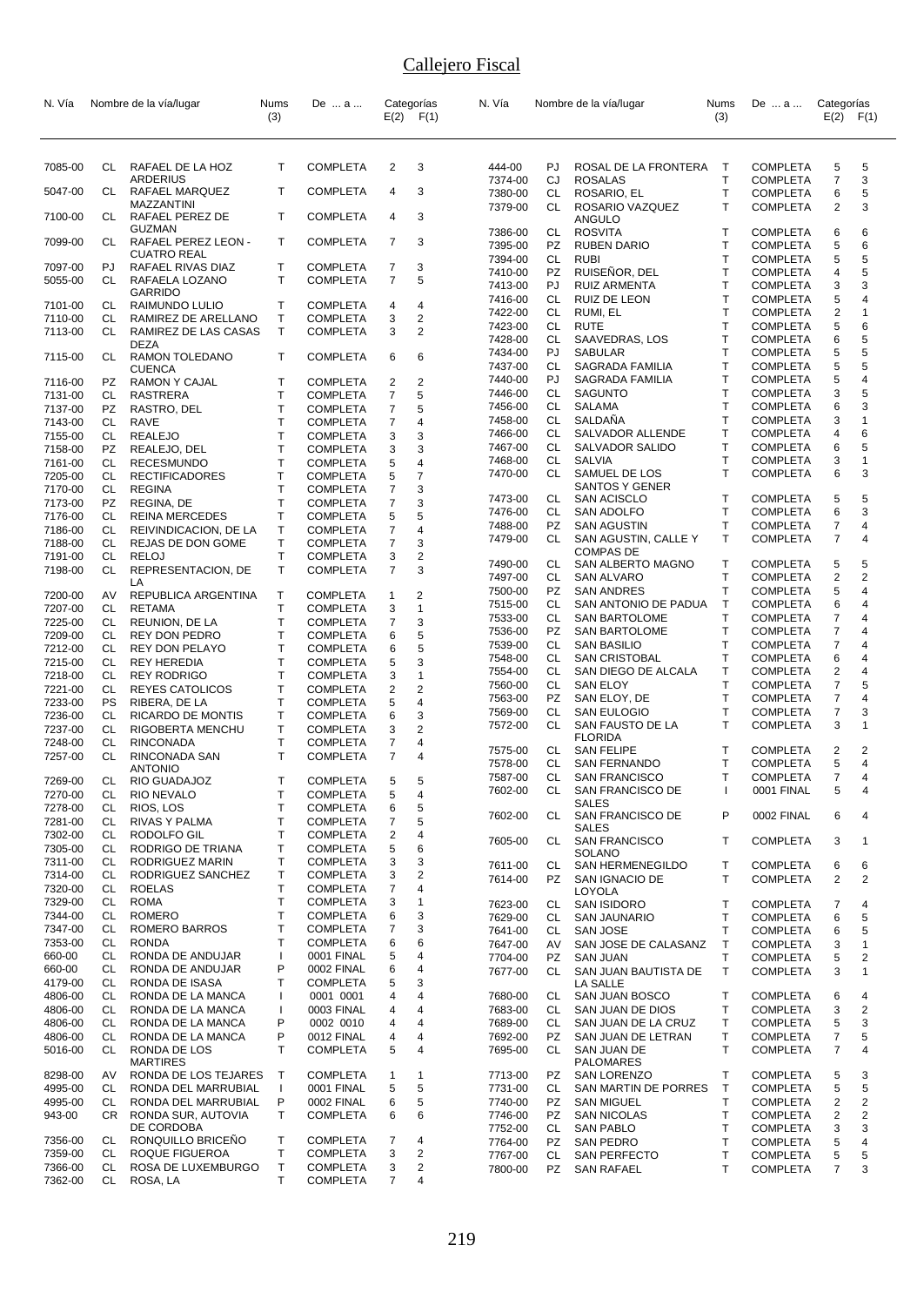| N. Vía             |                  | Nombre de la vía/lugar                         | Nums              | De  a                              |                     | Categorías                   | N. Vía             |                 | Nombre de la vía/lugar                     | Nums                   | De  a                              | Categorías          |                     |
|--------------------|------------------|------------------------------------------------|-------------------|------------------------------------|---------------------|------------------------------|--------------------|-----------------|--------------------------------------------|------------------------|------------------------------------|---------------------|---------------------|
|                    |                  |                                                | (3)               |                                    |                     | $E(2)$ $F(1)$                |                    |                 |                                            | (3)                    |                                    | $E(2)$ $F(1)$       |                     |
|                    |                  |                                                |                   |                                    |                     |                              |                    |                 |                                            |                        |                                    |                     |                     |
| 7085-00            | CL               | RAFAEL DE LA HOZ                               | T                 | <b>COMPLETA</b>                    | 2                   | 3                            | 444-00             | PJ.             | ROSAL DE LA FRONTERA                       | $\top$                 | <b>COMPLETA</b>                    | 5                   | 5                   |
| 5047-00            | CL               | <b>ARDERIUS</b><br>RAFAEL MARQUEZ              | T                 | <b>COMPLETA</b>                    | 4                   | 3                            | 7374-00<br>7380-00 | CJ<br><b>CL</b> | <b>ROSALAS</b><br>ROSARIO, EL              | T<br>$\mathsf{T}$      | <b>COMPLETA</b><br><b>COMPLETA</b> | $\overline{7}$<br>6 | 3<br>5              |
| 7100-00            | CL               | MAZZANTINI<br>RAFAEL PEREZ DE                  | T                 | <b>COMPLETA</b>                    | 4                   | 3                            | 7379-00            | CL              | ROSARIO VAZQUEZ<br>ANGULO                  | $\mathsf{T}$           | <b>COMPLETA</b>                    | $\overline{2}$      | 3                   |
| 7099-00            | CL               | GUZMAN<br>RAFAEL PEREZ LEON -                  | T                 | <b>COMPLETA</b>                    | 7                   | 3                            | 7386-00            | CL              | <b>ROSVITA</b>                             | T<br>T                 | <b>COMPLETA</b>                    | 6                   | 6                   |
|                    |                  | <b>CUATRO REAL</b>                             |                   |                                    |                     |                              | 7395-00<br>7394-00 | PZ<br>CL        | <b>RUBEN DARIO</b><br><b>RUBI</b>          | T                      | <b>COMPLETA</b><br><b>COMPLETA</b> | 5<br>5              | 6<br>5              |
| 7097-00<br>5055-00 | PJ<br>CL         | RAFAEL RIVAS DIAZ<br>RAFAELA LOZANO            | т<br>T.           | <b>COMPLETA</b><br><b>COMPLETA</b> | 7<br>$\overline{7}$ | 3<br>5                       | 7410-00            | PZ              | RUISEÑOR, DEL                              | $\mathsf{T}$           | <b>COMPLETA</b>                    | 4                   | 5                   |
|                    |                  | <b>GARRIDO</b>                                 |                   |                                    |                     |                              | 7413-00<br>7416-00 | PJ<br>CL        | <b>RUIZ ARMENTA</b><br><b>RUIZ DE LEON</b> | T<br>T                 | <b>COMPLETA</b><br><b>COMPLETA</b> | 3<br>5              | 3<br>4              |
| 7101-00<br>7110-00 | CL<br>CL.        | RAIMUNDO LULIO<br>RAMIREZ DE ARELLANO          | т<br>Т            | <b>COMPLETA</b><br><b>COMPLETA</b> | 4<br>3              | 4<br>$\overline{2}$          | 7422-00            | CL              | RUMI, EL                                   | $\mathsf{T}$           | <b>COMPLETA</b>                    | 2                   | 1                   |
| 7113-00            | CL               | RAMIREZ DE LAS CASAS                           | T.                | <b>COMPLETA</b>                    | 3                   | $\overline{2}$               | 7423-00<br>7428-00 | CL<br>CL        | <b>RUTE</b><br>SAAVEDRAS, LOS              | T<br>T                 | <b>COMPLETA</b><br><b>COMPLETA</b> | 5<br>6              | 6<br>5              |
| 7115-00            | CL               | <b>DEZA</b><br>RAMON TOLEDANO                  | T                 | <b>COMPLETA</b>                    | 6                   | 6                            | 7434-00            | PJ              | <b>SABULAR</b>                             | T                      | <b>COMPLETA</b>                    | 5                   | 5                   |
| 7116-00            | PZ               | <b>CUENCA</b><br>RAMON Y CAJAL                 | т                 | <b>COMPLETA</b>                    | 2                   | 2                            | 7437-00<br>7440-00 | CL<br>PJ        | SAGRADA FAMILIA<br>SAGRADA FAMILIA         | T<br>T                 | <b>COMPLETA</b><br><b>COMPLETA</b> | 5<br>5              | 5<br>4              |
| 7131-00            | СL               | <b>RASTRERA</b>                                | T                 | <b>COMPLETA</b>                    | 7                   | 5                            | 7446-00            | CL              | <b>SAGUNTO</b>                             | T                      | <b>COMPLETA</b>                    | 3                   | 5                   |
| 7137-00            | PZ.              | RASTRO, DEL                                    | Т                 | <b>COMPLETA</b>                    | 7                   | 5                            | 7456-00<br>7458-00 | CL<br>CL        | SALAMA<br>SALDANA                          | T<br>T                 | <b>COMPLETA</b><br><b>COMPLETA</b> | 6<br>3              | 3<br>1              |
| 7143-00<br>7155-00 | CL<br>CL         | <b>RAVE</b><br><b>REALEJO</b>                  | Т<br>Т            | <b>COMPLETA</b><br><b>COMPLETA</b> | 7<br>3              | 4<br>3                       | 7466-00            | CL              | SALVADOR ALLENDE                           | T                      | <b>COMPLETA</b>                    | 4                   | 6                   |
| 7158-00            | <b>PZ</b>        | REALEJO, DEL                                   | $\mathsf{T}$      | <b>COMPLETA</b>                    | 3                   | 3                            | 7467-00            | CL              | SALVADOR SALIDO                            | T                      | <b>COMPLETA</b>                    | 6                   | 5                   |
| 7161-00<br>7205-00 | <b>CL</b><br>CL. | <b>RECESMUNDO</b><br><b>RECTIFICADORES</b>     | Т<br>Т            | <b>COMPLETA</b><br><b>COMPLETA</b> | 5<br>5              | 4<br>7                       | 7468-00<br>7470-00 | CL<br>CL        | <b>SALVIA</b><br>SAMUEL DE LOS             | T<br>$\mathsf{T}$      | <b>COMPLETA</b><br><b>COMPLETA</b> | 3<br>6              | 1<br>3              |
| 7170-00            | CL               | <b>REGINA</b>                                  | T                 | <b>COMPLETA</b>                    | 7                   | 3                            |                    |                 | SANTOS Y GENER                             |                        |                                    |                     |                     |
| 7173-00            | PZ<br><b>CL</b>  | REGINA, DE                                     | Т                 | <b>COMPLETA</b>                    | 7                   | 3                            | 7473-00<br>7476-00 | CL<br>CL        | <b>SAN ACISCLO</b><br>SAN ADOLFO           | Т<br>T                 | <b>COMPLETA</b><br><b>COMPLETA</b> | 5<br>6              | 5<br>3              |
| 7176-00<br>7186-00 | CL               | <b>REINA MERCEDES</b><br>REIVINDICACION, DE LA | Т<br>Т            | <b>COMPLETA</b><br><b>COMPLETA</b> | 5<br>7              | 5<br>4                       | 7488-00            | <b>PZ</b>       | <b>SAN AGUSTIN</b>                         | T                      | <b>COMPLETA</b>                    | 7                   | 4                   |
| 7188-00            | CL               | REJAS DE DON GOME                              | Т                 | <b>COMPLETA</b>                    | 7                   | 3                            | 7479-00            | CL              | SAN AGUSTIN, CALLE Y<br><b>COMPAS DE</b>   | $\mathsf{T}$           | <b>COMPLETA</b>                    | 7                   | 4                   |
| 7191-00<br>7198-00 | CL<br>CL         | <b>RELOJ</b><br>REPRESENTACION, DE             | T<br>T.           | COMPLETA<br><b>COMPLETA</b>        | 3<br>$\overline{7}$ | $\overline{c}$<br>3          | 7490-00            | CL              | SAN ALBERTO MAGNO                          | Т                      | <b>COMPLETA</b>                    | 5                   | 5                   |
|                    |                  | LA                                             |                   |                                    |                     |                              | 7497-00<br>7500-00 | CL<br>PZ        | SAN ALVARO<br><b>SAN ANDRES</b>            | T<br>T                 | <b>COMPLETA</b><br><b>COMPLETA</b> | 2<br>5              | $\overline{2}$<br>4 |
| 7200-00<br>7207-00 | AV<br>CL         | REPUBLICA ARGENTINA<br><b>RETAMA</b>           | т<br>Т            | <b>COMPLETA</b><br><b>COMPLETA</b> | 1<br>3              | 2<br>1                       | 7515-00            | CL              | SAN ANTONIO DE PADUA                       | $\mathsf{T}$           | <b>COMPLETA</b>                    | 6                   | 4                   |
| 7225-00            | CL               | REUNION, DE LA                                 | T                 | <b>COMPLETA</b>                    | 7                   | 3                            | 7533-00            | CL              | <b>SAN BARTOLOME</b>                       | T                      | <b>COMPLETA</b>                    | 7                   | 4                   |
| 7209-00            | CL.              | <b>REY DON PEDRO</b>                           | $\mathsf{T}$      | <b>COMPLETA</b>                    | 6                   | 5                            | 7536-00<br>7539-00 | PZ<br>CL        | <b>SAN BARTOLOME</b><br><b>SAN BASILIO</b> | T<br>T                 | <b>COMPLETA</b><br><b>COMPLETA</b> | 7<br>$\overline{7}$ | 4<br>4              |
| 7212-00<br>7215-00 | CL.<br>CL        | <b>REY DON PELAYO</b><br><b>REY HEREDIA</b>    | Τ<br>T            | <b>COMPLETA</b><br><b>COMPLETA</b> | 6<br>5              | 5<br>3                       | 7548-00            | CL              | <b>SAN CRISTOBAL</b>                       | T                      | <b>COMPLETA</b>                    | 6                   | 4                   |
| 7218-00            | CL               | <b>REY RODRIGO</b>                             | $\mathsf{T}$      | COMPLETA                           | 3                   | $\mathbf{1}$                 | 7554-00<br>7560-00 | CL<br>CL        | SAN DIEGO DE ALCALA<br><b>SAN ELOY</b>     | T<br>$\mathsf{T}$      | <b>COMPLETA</b><br><b>COMPLETA</b> | 2<br>7              | 4<br>5              |
| 7221-00<br>7233-00 | CL<br>PS         | <b>REYES CATOLICOS</b><br>RIBERA, DE LA        | Т<br>T            | <b>COMPLETA</b><br><b>COMPLETA</b> | 2<br>5              | $\overline{c}$<br>4          | 7563-00            | PZ              | SAN ELOY, DE                               | T                      | <b>COMPLETA</b>                    | 7                   | 4                   |
| 7236-00            | СL               | RICARDO DE MONTIS                              | Т                 | <b>COMPLETA</b>                    | 6                   | 3                            | 7569-00            | CL              | SAN EULOGIO                                | T                      | <b>COMPLETA</b>                    | $\overline{7}$      | 3                   |
| 7237-00            | CL               | RIGOBERTA MENCHU                               | Т<br>T            | <b>COMPLETA</b>                    | 3<br>7              | 2<br>4                       | 7572-00            | CL              | SAN FAUSTO DE LA<br><b>FLORIDA</b>         | T                      | <b>COMPLETA</b>                    | 3                   | 1                   |
| 7248-00<br>7257-00 | СL<br>CL         | <b>RINCONADA</b><br>RINCONADA SAN              | $\mathsf{T}$      | <b>COMPLETA</b><br><b>COMPLETA</b> | $\overline{7}$      | 4                            | 7575-00            | СL              | <b>SAN FELIPE</b>                          | Τ                      | <b>COMPLETA</b>                    | 2                   | 2                   |
|                    |                  | <b>ANTONIO</b>                                 |                   |                                    |                     |                              | 7578-00<br>7587-00 | СL<br>СL        | SAN FERNANDO<br><b>SAN FRANCISCO</b>       | T<br>T                 | <b>COMPLETA</b><br><b>COMPLETA</b> | 5<br>7              | 4<br>4              |
| 7269-00<br>7270-00 | CL<br>CL         | <b>RIO GUADAJOZ</b><br>RIO NEVALO              | T<br>т            | <b>COMPLETA</b><br><b>COMPLETA</b> | 5<br>5              | 5<br>4                       | 7602-00            | СL              | SAN FRANCISCO DE                           |                        | 0001 FINAL                         | 5                   |                     |
| 7278-00            | CL               | RIOS, LOS                                      | T                 | <b>COMPLETA</b>                    | 6                   | 5                            | 7602-00            | CL              | <b>SALES</b><br>SAN FRANCISCO DE           | P                      | 0002 FINAL                         | 6                   | 4                   |
| 7281-00<br>7302-00 | CL<br>CL         | RIVAS Y PALMA<br>RODOLFO GIL                   | Т<br>T            | <b>COMPLETA</b><br><b>COMPLETA</b> | 7<br>2              | 5<br>4                       |                    |                 | <b>SALES</b>                               |                        |                                    |                     |                     |
| 7305-00            | CL               | RODRIGO DE TRIANA                              | Т                 | <b>COMPLETA</b>                    | 5                   | 6                            | 7605-00            | CL              | <b>SAN FRANCISCO</b><br><b>SOLANO</b>      | Τ                      | <b>COMPLETA</b>                    | 3                   | 1                   |
| 7311-00<br>7314-00 | CL<br>CL         | RODRIGUEZ MARIN<br>RODRIGUEZ SANCHEZ           | T.<br>т           | <b>COMPLETA</b><br><b>COMPLETA</b> | 3<br>3              | 3<br>$\overline{\mathbf{c}}$ | 7611-00            | CL              | <b>SAN HERMENEGILDO</b>                    | т                      | <b>COMPLETA</b>                    | 6                   | 6                   |
| 7320-00            | CL               | <b>ROELAS</b>                                  | Τ                 | <b>COMPLETA</b>                    | 7                   | 4                            | 7614-00            | PZ              | SAN IGNACIO DE<br>LOYOLA                   | Т                      | <b>COMPLETA</b>                    | 2                   | 2                   |
| 7329-00            | CL               | <b>ROMA</b>                                    | T                 | <b>COMPLETA</b>                    | 3                   | 1                            | 7623-00            | CL              | <b>SAN ISIDORO</b>                         | т                      | <b>COMPLETA</b>                    | 7                   | 4                   |
| 7344-00<br>7347-00 | CL<br>CL         | <b>ROMERO</b><br><b>ROMERO BARROS</b>          | T<br>T            | <b>COMPLETA</b><br><b>COMPLETA</b> | 6<br>7              | 3<br>3                       | 7629-00<br>7641-00 | CL<br>CL        | <b>SAN JAUNARIO</b><br><b>SAN JOSE</b>     | T<br>T                 | <b>COMPLETA</b><br><b>COMPLETA</b> | 6<br>6              | 5<br>5              |
| 7353-00            | CL               | <b>RONDA</b>                                   | Т                 | <b>COMPLETA</b>                    | 6                   | 6                            | 7647-00            | AV              | SAN JOSE DE CALASANZ                       | $\mathsf{T}$           | <b>COMPLETA</b>                    | 3                   | 1                   |
| 660-00<br>660-00   | CL<br>CL         | RONDA DE ANDUJAR<br>RONDA DE ANDUJAR           | $\mathbf{I}$<br>P | 0001 FINAL<br>0002 FINAL           | 5<br>6              | 4<br>4                       | 7704-00            | PZ              | <b>SAN JUAN</b>                            | Τ                      | <b>COMPLETA</b>                    | 5                   | 2                   |
| 4179-00            | CL               | RONDA DE ISASA                                 | Т                 | COMPLETA                           | 5                   | 3                            | 7677-00            | CL              | SAN JUAN BAUTISTA DE<br><b>LA SALLE</b>    | $\mathsf{T}$           | <b>COMPLETA</b>                    | 3                   | 1                   |
| 4806-00            | CL               | RONDA DE LA MANCA                              | T                 | 0001 0001                          | 4                   | 4                            | 7680-00            | CL              | SAN JUAN BOSCO                             | Т                      | <b>COMPLETA</b>                    | 6                   | 4                   |
| 4806-00<br>4806-00 | CL<br>CL         | RONDA DE LA MANCA<br>RONDA DE LA MANCA         | $\mathbf{I}$<br>P | 0003 FINAL<br>0002 0010            | 4<br>4              | 4<br>4                       | 7683-00<br>7689-00 | CL<br>CL        | SAN JUAN DE DIOS<br>SAN JUAN DE LA CRUZ    | Т<br>т                 | <b>COMPLETA</b><br><b>COMPLETA</b> | 3<br>5              | $\overline{2}$<br>3 |
| 4806-00            | CL.              | RONDA DE LA MANCA                              | P                 | 0012 FINAL                         | 4                   | 4                            | 7692-00            | PZ              | SAN JUAN DE LETRAN                         | Т                      | <b>COMPLETA</b>                    | 7                   | 5                   |
| 5016-00            | CL               | RONDA DE LOS<br><b>MARTIRES</b>                | T.                | <b>COMPLETA</b>                    | 5                   | 4                            | 7695-00            | CL.             | SAN JUAN DE<br>PALOMARES                   | $\mathsf{T}$           | <b>COMPLETA</b>                    | $\overline{7}$      | 4                   |
| 8298-00            | AV               | RONDA DE LOS TEJARES                           | Т                 | <b>COMPLETA</b>                    | $\mathbf{1}$        | 1                            | 7713-00            | PZ              | <b>SAN LORENZO</b>                         | T                      | <b>COMPLETA</b>                    | 5                   | 3                   |
| 4995-00<br>4995-00 | CL<br>CL         | RONDA DEL MARRUBIAL<br>RONDA DEL MARRUBIAL     | $\mathbf{I}$<br>P | 0001 FINAL<br>0002 FINAL           | 5<br>6              | 5<br>5                       | 7731-00<br>7740-00 | CL<br>PZ        | SAN MARTIN DE PORRES<br><b>SAN MIGUEL</b>  | $\top$<br>$\mathsf{T}$ | <b>COMPLETA</b><br><b>COMPLETA</b> | 5<br>2              | 5<br>2              |
| 943-00             | CR.              | RONDA SUR, AUTOVIA                             | T.                | <b>COMPLETA</b>                    | 6                   | 6                            | 7746-00            | PZ              | <b>SAN NICOLAS</b>                         | T                      | <b>COMPLETA</b>                    | $\overline{c}$      | 2                   |
|                    |                  | DE CORDOBA                                     | Τ                 |                                    |                     | 4                            | 7752-00            | CL              | <b>SAN PABLO</b>                           | Т                      | <b>COMPLETA</b>                    | 3                   | 3                   |
| 7356-00<br>7359-00 | CL<br>CL         | RONQUILLO BRICENO<br>ROQUE FIGUEROA            | Т                 | <b>COMPLETA</b><br><b>COMPLETA</b> | 7<br>3              | $\overline{\mathbf{c}}$      | 7764-00<br>7767-00 | PZ<br>CL        | <b>SAN PEDRO</b><br>SAN PERFECTO           | T<br>T                 | <b>COMPLETA</b><br><b>COMPLETA</b> | 5<br>5              | 4<br>5              |
| 7366-00            | CL               | ROSA DE LUXEMBURGO                             | т                 | <b>COMPLETA</b>                    | 3                   | 2                            | 7800-00            | PZ              | <b>SAN RAFAEL</b>                          | T                      | <b>COMPLETA</b>                    | 7                   | 3                   |
| 7362-00            | CL               | ROSA, LA                                       | Т                 | <b>COMPLETA</b>                    | 7                   | 4                            |                    |                 |                                            |                        |                                    |                     |                     |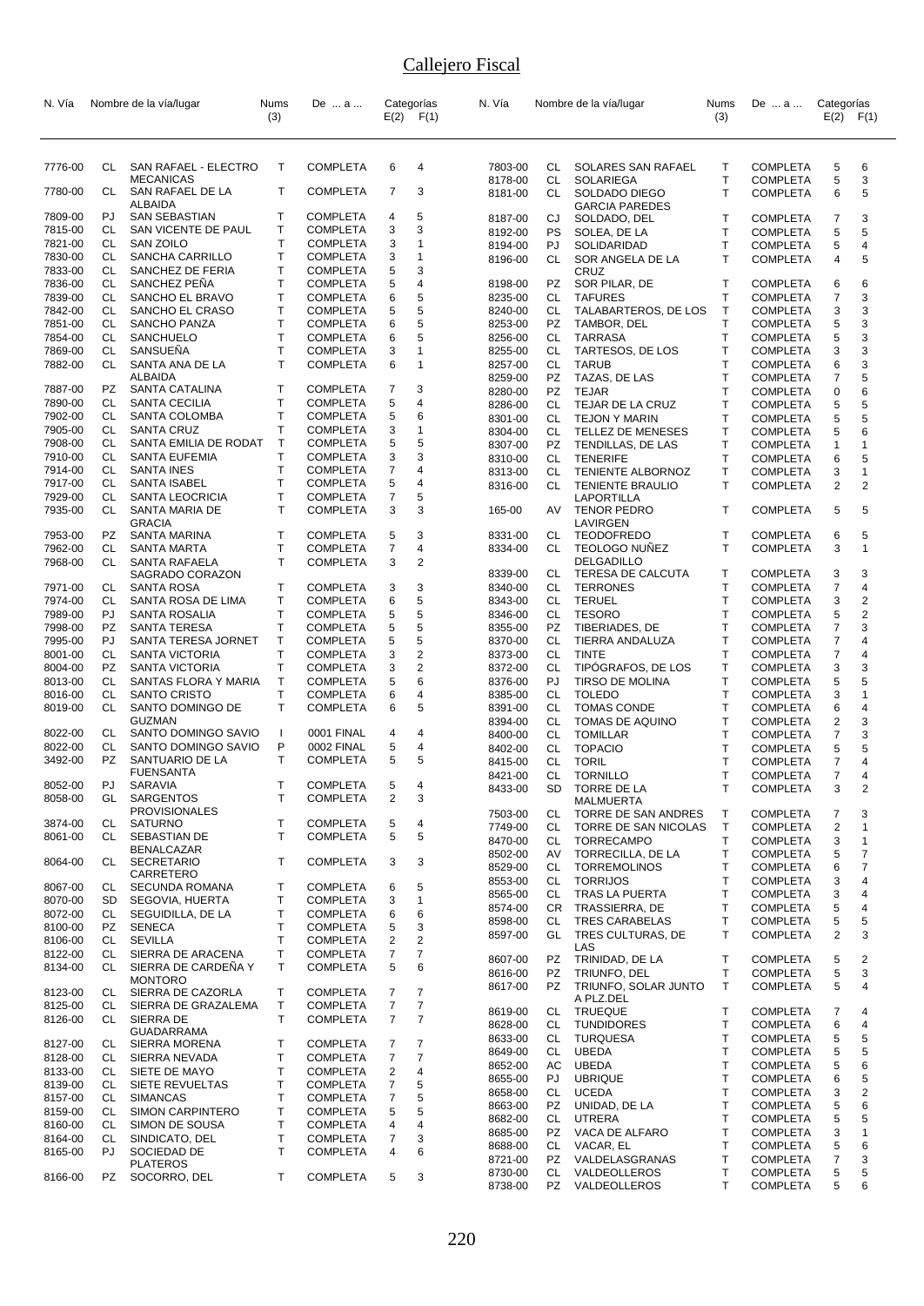| N. Vía             |           | Nombre de la vía/lugar                   | Nums         | De  a                              |                     | Categorías              | N. Vía             |                 | Nombre de la vía/lugar                              | Nums                         | De  a                              | Categorías     |                     |
|--------------------|-----------|------------------------------------------|--------------|------------------------------------|---------------------|-------------------------|--------------------|-----------------|-----------------------------------------------------|------------------------------|------------------------------------|----------------|---------------------|
|                    |           |                                          | (3)          |                                    |                     | $E(2)$ $F(1)$           |                    |                 |                                                     | (3)                          |                                    | $E(2)$ $F(1)$  |                     |
|                    |           |                                          |              |                                    |                     |                         |                    |                 |                                                     |                              |                                    |                |                     |
|                    |           |                                          |              |                                    |                     |                         |                    |                 |                                                     |                              |                                    |                |                     |
| 7776-00            | CL        | SAN RAFAEL - ELECTRO<br><b>MECANICAS</b> | T.           | <b>COMPLETA</b>                    | 6                   | 4                       | 7803-00<br>8178-00 | CL<br><b>CL</b> | SOLARES SAN RAFAEL<br><b>SOLARIEGA</b>              | Т<br>T                       | <b>COMPLETA</b><br><b>COMPLETA</b> | 5<br>5         | 6<br>3              |
| 7780-00            | CL        | SAN RAFAEL DE LA                         | T            | <b>COMPLETA</b>                    | 7                   | 3                       | 8181-00            | CL              | SOLDADO DIEGO                                       | $\mathsf{T}$                 | <b>COMPLETA</b>                    | 6              | 5                   |
| 7809-00            | PJ.       | ALBAIDA<br>SAN SEBASTIAN                 | т            | <b>COMPLETA</b>                    | 4                   | 5                       |                    |                 | <b>GARCIA PAREDES</b>                               | $\mathsf{T}$                 |                                    |                | 3                   |
| 7815-00            | CL.       | SAN VICENTE DE PAUL                      | Т            | <b>COMPLETA</b>                    | 3                   | 3                       | 8187-00<br>8192-00 | CJ<br>PS        | SOLDADO, DEL<br>SOLEA, DE LA                        | Τ                            | <b>COMPLETA</b><br><b>COMPLETA</b> | 7<br>5         | 5                   |
| 7821-00            | CL        | <b>SAN ZOILO</b>                         | T.           | <b>COMPLETA</b>                    | 3                   | 1                       | 8194-00            | PJ              | SOLIDARIDAD                                         | T                            | <b>COMPLETA</b>                    | 5              | 4                   |
| 7830-00            | CL        | SANCHA CARRILLO                          | Т            | <b>COMPLETA</b>                    | 3                   | 1                       | 8196-00            | CL              | SOR ANGELA DE LA                                    | $\mathsf{T}$                 | <b>COMPLETA</b>                    | 4              | 5                   |
| 7833-00            | CL        | SANCHEZ DE FERIA                         | Т            | <b>COMPLETA</b>                    | 5                   | 3                       |                    |                 | CRUZ                                                |                              |                                    |                |                     |
| 7836-00<br>7839-00 | CL<br>CL  | SANCHEZ PEÑA<br>SANCHO EL BRAVO          | T<br>Т       | <b>COMPLETA</b><br><b>COMPLETA</b> | 5<br>6              | 4<br>5                  | 8198-00<br>8235-00 | PZ<br>CL        | SOR PILAR, DE<br><b>TAFURES</b>                     | $\mathsf{T}$<br>T            | <b>COMPLETA</b><br><b>COMPLETA</b> | 6<br>7         | 6<br>3              |
| 7842-00            | CL        | SANCHO EL CRASO                          | Τ            | <b>COMPLETA</b>                    | 5                   | 5                       | 8240-00            | CL              | TALABARTEROS, DE LOS                                | $\mathsf{T}$                 | <b>COMPLETA</b>                    | 3              | 3                   |
| 7851-00            | CL        | SANCHO PANZA                             | Т            | <b>COMPLETA</b>                    | 6                   | 5                       | 8253-00            | PZ              | TAMBOR, DEL                                         | Т                            | <b>COMPLETA</b>                    | 5              | 3                   |
| 7854-00            | CL        | SANCHUELO                                | Т            | <b>COMPLETA</b>                    | 6                   | 5                       | 8256-00            | CL              | <b>TARRASA</b>                                      | T                            | <b>COMPLETA</b>                    | 5              | 3                   |
| 7869-00            | <b>CL</b> | SANSUEÑA                                 | Т            | <b>COMPLETA</b>                    | 3                   | 1                       | 8255-00            | CL              | TARTESOS, DE LOS                                    | T                            | <b>COMPLETA</b>                    | 3              | 3                   |
| 7882-00            | CL        | SANTA ANA DE LA<br>ALBAIDA               | T.           | <b>COMPLETA</b>                    | 6                   | 1                       | 8257-00            | CL              | <b>TARUB</b>                                        | T                            | <b>COMPLETA</b>                    | 6              | 3                   |
| 7887-00            | PZ        | SANTA CATALINA                           | т            | <b>COMPLETA</b>                    | 7                   | 3                       | 8259-00<br>8280-00 | PZ<br>PZ        | TAZAS, DE LAS<br><b>TEJAR</b>                       | T<br>T                       | <b>COMPLETA</b><br><b>COMPLETA</b> | 7<br>0         | 5<br>6              |
| 7890-00            | CL        | SANTA CECILIA                            | т            | <b>COMPLETA</b>                    | 5                   | 4                       | 8286-00            | CL              | TEJAR DE LA CRUZ                                    | T                            | <b>COMPLETA</b>                    | 5              | 5                   |
| 7902-00            | CL.       | SANTA COLOMBA                            | Т            | <b>COMPLETA</b>                    | 5                   | 6                       | 8301-00            | CL              | <b>TEJON Y MARIN</b>                                | T                            | <b>COMPLETA</b>                    | 5              | 5                   |
| 7905-00            | CL        | <b>SANTA CRUZ</b>                        | Т            | <b>COMPLETA</b>                    | 3                   | 1                       | 8304-00            | CL              | TELLEZ DE MENESES                                   | T                            | <b>COMPLETA</b>                    | 5              | 6                   |
| 7908-00            | CL        | SANTA EMILIA DE RODAT                    | T            | <b>COMPLETA</b>                    | 5                   | 5                       | 8307-00            | PZ              | TENDILLAS, DE LAS                                   | T                            | <b>COMPLETA</b>                    | 1              | 1                   |
| 7910-00<br>7914-00 | CL<br>CL  | SANTA EUFEMIA<br><b>SANTA INES</b>       | Т<br>T       | <b>COMPLETA</b><br><b>COMPLETA</b> | 3<br>7              | 3<br>4                  | 8310-00            | CL              | <b>TENERIFE</b>                                     | T                            | <b>COMPLETA</b>                    | 6              | 5                   |
| 7917-00            | CL        | <b>SANTA ISABEL</b>                      | Т            | <b>COMPLETA</b>                    | 5                   | 4                       | 8313-00<br>8316-00 | <b>CL</b><br>CL | <b>TENIENTE ALBORNOZ</b><br><b>TENIENTE BRAULIO</b> | $\mathsf{T}$<br>$\mathsf{T}$ | <b>COMPLETA</b><br><b>COMPLETA</b> | 3<br>2         | 1<br>$\overline{2}$ |
| 7929-00            | CL        | SANTA LEOCRICIA                          | т            | <b>COMPLETA</b>                    | 7                   | 5                       |                    |                 | LAPORTILLA                                          |                              |                                    |                |                     |
| 7935-00            | CL        | SANTA MARIA DE                           | $\mathsf{T}$ | <b>COMPLETA</b>                    | 3                   | 3                       | 165-00             | AV              | <b>TENOR PEDRO</b>                                  | Т                            | <b>COMPLETA</b>                    | 5              | 5                   |
|                    |           | <b>GRACIA</b>                            |              |                                    |                     |                         |                    |                 | LAVIRGEN                                            |                              |                                    |                |                     |
| 7953-00<br>7962-00 | PZ.<br>СL | SANTA MARINA<br><b>SANTA MARTA</b>       | т<br>т       | <b>COMPLETA</b><br><b>COMPLETA</b> | 5<br>$\overline{7}$ | 3<br>4                  | 8331-00<br>8334-00 | СL<br>CL        | <b>TEODOFREDO</b><br><b>TEOLOGO NUNEZ</b>           | T<br>$\mathsf{T}$            | <b>COMPLETA</b><br><b>COMPLETA</b> | 6<br>3         | 5<br>1              |
| 7968-00            | CL        | SANTA RAFAELA                            | Т            | <b>COMPLETA</b>                    | 3                   | 2                       |                    |                 | DELGADILLO                                          |                              |                                    |                |                     |
|                    |           | SAGRADO CORAZON                          |              |                                    |                     |                         | 8339-00            | CL              | TERESA DE CALCUTA                                   | Τ                            | <b>COMPLETA</b>                    | 3              | 3                   |
| 7971-00            | CL        | SANTA ROSA                               | т            | <b>COMPLETA</b>                    | 3                   | 3                       | 8340-00            | CL              | <b>TERRONES</b>                                     | T                            | <b>COMPLETA</b>                    | 7              | 4                   |
| 7974-00            | CL        | SANTA ROSA DE LIMA                       | T            | <b>COMPLETA</b>                    | 6                   | 5                       | 8343-00            | CL              | <b>TERUEL</b>                                       | T                            | <b>COMPLETA</b>                    | 3              | 2                   |
| 7989-00<br>7998-00 | PJ<br>PZ. | SANTA ROSALIA<br><b>SANTA TERESA</b>     | T<br>Т       | <b>COMPLETA</b><br><b>COMPLETA</b> | 5<br>5              | 5<br>5                  | 8346-00<br>8355-00 | CL<br>PZ        | <b>TESORO</b><br>TIBERIADES, DE                     | T<br>T                       | <b>COMPLETA</b><br><b>COMPLETA</b> | 5<br>7         | 2<br>3              |
| 7995-00            | PJ        | SANTA TERESA JORNET                      | Т            | <b>COMPLETA</b>                    | 5                   | 5                       | 8370-00            | CL              | TIERRA ANDALUZA                                     | Τ                            | <b>COMPLETA</b>                    | $\overline{7}$ | 4                   |
| 8001-00            | CL        | <b>SANTA VICTORIA</b>                    | Т            | <b>COMPLETA</b>                    | 3                   | $\overline{\mathbf{c}}$ | 8373-00            | CL              | <b>TINTE</b>                                        | T                            | <b>COMPLETA</b>                    | 7              | 4                   |
| 8004-00            | <b>PZ</b> | <b>SANTA VICTORIA</b>                    | Т            | <b>COMPLETA</b>                    | 3                   | 2                       | 8372-00            | <b>CL</b>       | TIPÓGRAFOS, DE LOS                                  | T                            | <b>COMPLETA</b>                    | 3              | 3                   |
| 8013-00            | CL        | SANTAS FLORA Y MARIA                     | т            | <b>COMPLETA</b>                    | 5                   | 6                       | 8376-00            | PJ              | TIRSO DE MOLINA                                     | T                            | <b>COMPLETA</b>                    | 5              | 5                   |
| 8016-00            | CL        | <b>SANTO CRISTO</b>                      | T<br>T.      | <b>COMPLETA</b>                    | 6                   | 4                       | 8385-00            | <b>CL</b>       | <b>TOLEDO</b>                                       | $\mathsf{T}$                 | <b>COMPLETA</b>                    | 3              | 1                   |
| 8019-00            | CL        | SANTO DOMINGO DE<br><b>GUZMAN</b>        |              | <b>COMPLETA</b>                    | 6                   | 5                       | 8391-00<br>8394-00 | CL<br>CL.       | <b>TOMAS CONDE</b><br>TOMAS DE AQUINO               | Τ<br>T                       | <b>COMPLETA</b><br><b>COMPLETA</b> | 6<br>2         | 4<br>3              |
| 8022-00            | CL        | SANTO DOMINGO SAVIO                      | $\mathbf{I}$ | 0001 FINAL                         | 4                   | 4                       | 8400-00            | CL              | <b>TOMILLAR</b>                                     | Τ                            | <b>COMPLETA</b>                    | 7              | 3                   |
| 8022-00            | СL        | SANTO DOMINGO SAVIO                      | P            | 0002 FINAL                         | 5                   | 4                       | 8402-00            | CL              | <b>TOPACIO</b>                                      | T                            | <b>COMPLETA</b>                    | 5              | 5                   |
| 3492-00            | <b>PZ</b> | SANTUARIO DE LA                          | T.           | <b>COMPLETA</b>                    | 5                   | 5                       | 8415-00            | CL              | <b>TORIL</b>                                        | T                            | <b>COMPLETA</b>                    | 7              | 4                   |
| 8052-00            | PJ        | FUENSANTA<br>SARAVIA                     | Т            | <b>COMPLETA</b>                    | 5                   | 4                       | 8421-00            | CL              | <b>TORNILLO</b>                                     | T                            | <b>COMPLETA</b>                    | $\overline{7}$ | 4                   |
| 8058-00            | GL        | SARGENTOS                                | T.           | <b>COMPLETA</b>                    | $\overline{2}$      | 3                       | 8433-00            | SD              | TORRE DE LA<br><b>MALMUERTA</b>                     | Τ                            | <b>COMPLETA</b>                    | 3              | $\overline{2}$      |
|                    |           | <b>PROVISIONALES</b>                     |              |                                    |                     |                         | 7503-00            | CL              | TORRE DE SAN ANDRES                                 | Т                            | <b>COMPLETA</b>                    | 7              | 3                   |
| 3874-00            | CL        | <b>SATURNO</b>                           | т            | <b>COMPLETA</b>                    | 5                   | 4                       | 7749-00            | <b>CL</b>       | TORRE DE SAN NICOLAS                                | T                            | <b>COMPLETA</b>                    | $\overline{c}$ | 1                   |
| 8061-00            | CL        | SEBASTIAN DE<br><b>BENALCAZAR</b>        | T.           | <b>COMPLETA</b>                    | 5                   | 5                       | 8470-00            | CL              | <b>TORRECAMPO</b>                                   | T                            | <b>COMPLETA</b>                    | 3              | $\mathbf{1}$        |
| 8064-00            | CL        | <b>SECRETARIO</b>                        | T            | <b>COMPLETA</b>                    | 3                   | 3                       | 8502-00            | AV              | TORRECILLA, DE LA                                   | Т                            | <b>COMPLETA</b>                    | 5              | $\overline{7}$      |
|                    |           | CARRETERO                                |              |                                    |                     |                         | 8529-00<br>8553-00 | CL<br>CL        | <b>TORREMOLINOS</b><br><b>TORRIJOS</b>              | Τ<br>T                       | <b>COMPLETA</b><br><b>COMPLETA</b> | 6<br>3         | 7<br>4              |
| 8067-00            | CL        | <b>SECUNDA ROMANA</b>                    | т            | <b>COMPLETA</b>                    | 6                   | 5                       | 8565-00            | CL              | <b>TRAS LA PUERTA</b>                               | T                            | <b>COMPLETA</b>                    | 3              | 4                   |
| 8070-00<br>8072-00 | SD<br>CL  | SEGOVIA, HUERTA<br>SEGUIDILLA, DE LA     | Т<br>Т       | <b>COMPLETA</b><br><b>COMPLETA</b> | 3<br>6              | 1<br>6                  | 8574-00            |                 | CR TRASSIERRA, DE                                   | T                            | <b>COMPLETA</b>                    | 5              | 4                   |
| 8100-00            | PZ        | <b>SENECA</b>                            | T            | <b>COMPLETA</b>                    | 5                   | 3                       | 8598-00            | CL              | <b>TRES CARABELAS</b>                               | Τ                            | <b>COMPLETA</b>                    | 5              | 5                   |
| 8106-00            | CL        | <b>SEVILLA</b>                           | Т            | <b>COMPLETA</b>                    | 2                   | 2                       | 8597-00            | GL              | TRES CULTURAS, DE                                   | T                            | <b>COMPLETA</b>                    | 2              | 3                   |
| 8122-00            | CL        | SIERRA DE ARACENA                        | Т            | <b>COMPLETA</b>                    | 7                   | 7                       | 8607-00            | PZ              | LAS<br>TRINIDAD, DE LA                              | Т                            | <b>COMPLETA</b>                    | 5              | $\overline{2}$      |
| 8134-00            | CL        | SIERRA DE CARDEÑA Y                      | T.           | <b>COMPLETA</b>                    | 5                   | 6                       | 8616-00            | PZ              | TRIUNFO, DEL                                        | Т                            | <b>COMPLETA</b>                    | 5              | 3                   |
| 8123-00            | CL        | <b>MONTORO</b><br>SIERRA DE CAZORLA      | Τ            | <b>COMPLETA</b>                    | 7                   | 7                       | 8617-00            | PZ              | TRIUNFO, SOLAR JUNTO                                | Τ                            | <b>COMPLETA</b>                    | 5              | 4                   |
| 8125-00            | CL        | SIERRA DE GRAZALEMA                      | Τ            | <b>COMPLETA</b>                    | 7                   | 7                       |                    |                 | A PLZ.DEL                                           |                              |                                    |                |                     |
| 8126-00            | CL        | SIERRA DE                                | T.           | <b>COMPLETA</b>                    | 7                   | $\overline{7}$          | 8619-00<br>8628-00 | CL<br>CL        | <b>TRUEQUE</b><br><b>TUNDIDORES</b>                 | т<br>T                       | <b>COMPLETA</b><br><b>COMPLETA</b> | 7<br>6         | 4<br>4              |
|                    |           | <b>GUADARRAMA</b>                        |              |                                    |                     |                         | 8633-00            | CL              | <b>TURQUESA</b>                                     | T                            | <b>COMPLETA</b>                    | 5              | 5                   |
| 8127-00            | CL        | <b>SIERRA MORENA</b>                     | т            | <b>COMPLETA</b>                    | 7                   | 7                       | 8649-00            | CL              | UBEDA                                               | T                            | <b>COMPLETA</b>                    | 5              | 5                   |
| 8128-00<br>8133-00 | CL<br>CL  | SIERRA NEVADA<br>SIETE DE MAYO           | Т<br>Т       | <b>COMPLETA</b><br><b>COMPLETA</b> | $\overline{7}$<br>2 | 7<br>4                  | 8652-00            | AC              | <b>UBEDA</b>                                        | Т                            | <b>COMPLETA</b>                    | 5              | 6                   |
| 8139-00            | CL        | SIETE REVUELTAS                          | Т            | <b>COMPLETA</b>                    | $\overline{7}$      | 5                       | 8655-00            | PJ              | <b>UBRIQUE</b>                                      | Т                            | <b>COMPLETA</b>                    | 6              | 5                   |
| 8157-00            | CL        | <b>SIMANCAS</b>                          | Т            | <b>COMPLETA</b>                    | 7                   | 5                       | 8658-00            | CL              | <b>UCEDA</b>                                        | T                            | <b>COMPLETA</b>                    | 3              | $\overline{2}$      |
| 8159-00            | CL        | SIMON CARPINTERO                         | Т            | <b>COMPLETA</b>                    | 5                   | 5                       | 8663-00<br>8682-00 | PZ<br>CL        | UNIDAD, DE LA<br><b>UTRERA</b>                      | T<br>Т                       | <b>COMPLETA</b><br><b>COMPLETA</b> | 5<br>5         | 6<br>5              |
| 8160-00            | CL        | SIMON DE SOUSA                           | Т            | <b>COMPLETA</b>                    | 4                   | 4                       | 8685-00            | PZ              | VACA DE ALFARO                                      | T                            | <b>COMPLETA</b>                    | 3              | 1                   |
| 8164-00            | CL<br>PJ. | SINDICATO, DEL<br>SOCIEDAD DE            | Т<br>T.      | <b>COMPLETA</b>                    | 7                   | 3                       | 8688-00            | CL              | VACAR, EL                                           | T                            | <b>COMPLETA</b>                    | 5              | 6                   |
| 8165-00            |           | <b>PLATEROS</b>                          |              | <b>COMPLETA</b>                    | 4                   | 6                       | 8721-00            | PZ              | VALDELASGRANAS                                      | T                            | <b>COMPLETA</b>                    | 7              | 3                   |
| 8166-00            | PZ        | SOCORRO, DEL                             | Т            | <b>COMPLETA</b>                    | 5                   | 3                       | 8730-00            | CL              | VALDEOLLEROS                                        | Т                            | <b>COMPLETA</b>                    | 5              | 5                   |
|                    |           |                                          |              |                                    |                     |                         | 8738-00            | PZ              | VALDEOLLEROS                                        | T                            | <b>COMPLETA</b>                    | 5              | 6                   |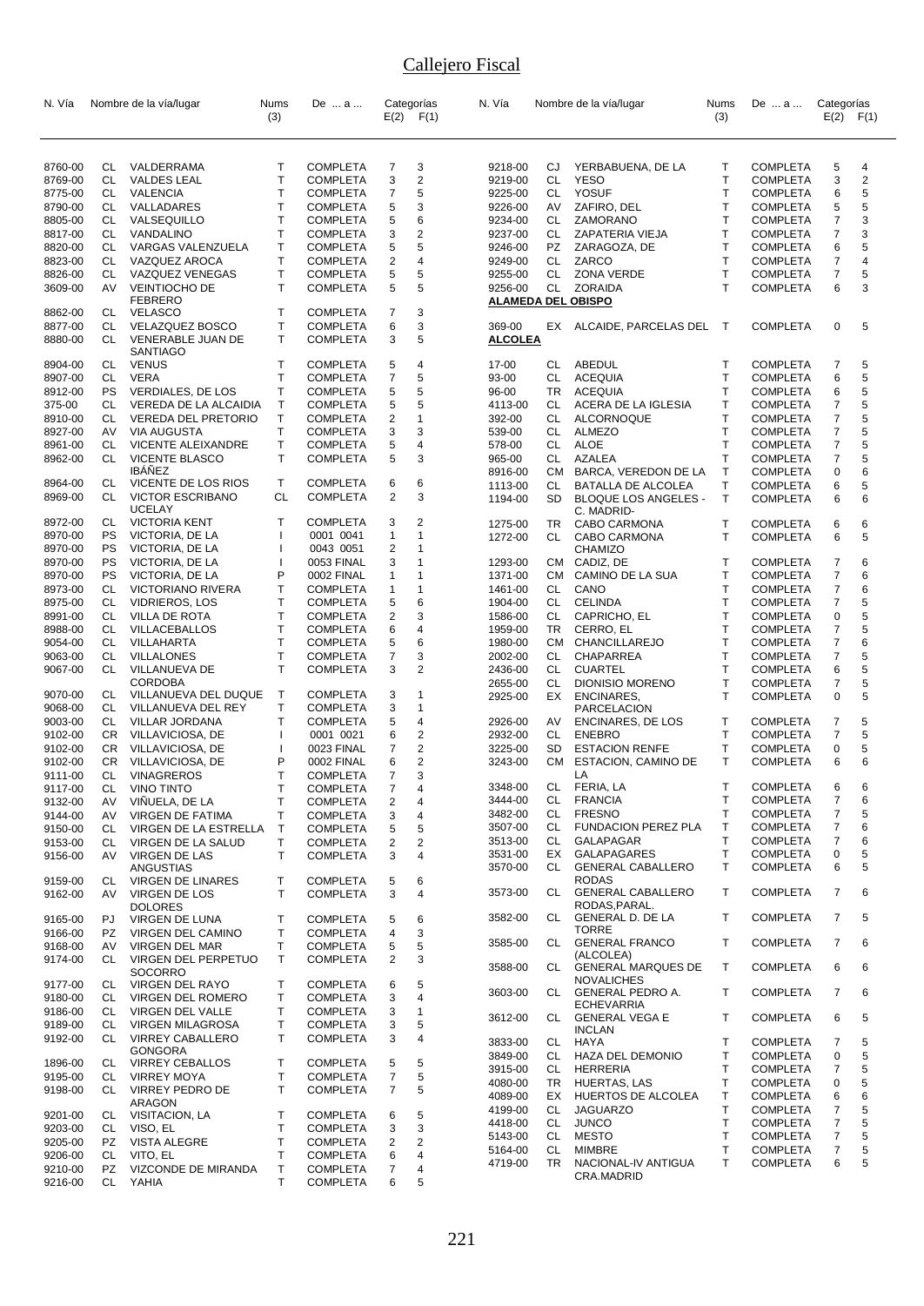| N. Vía             |           | Nombre de la vía/lugar                                   | Nums             | De  a                              |                         | Categorías                | N. Vía             |           | Nombre de la vía/lugar                       | Nums         | De  a                              | Categorías               |                         |
|--------------------|-----------|----------------------------------------------------------|------------------|------------------------------------|-------------------------|---------------------------|--------------------|-----------|----------------------------------------------|--------------|------------------------------------|--------------------------|-------------------------|
|                    |           |                                                          | (3)              |                                    |                         | $E(2)$ $F(1)$             |                    |           |                                              | (3)          |                                    |                          | $E(2)$ $F(1)$           |
| 8760-00            | CL        | VALDERRAMA                                               | T                | <b>COMPLETA</b>                    | 7                       | 3                         | 9218-00            | CJ        | YERBABUENA, DE LA                            | Т            | <b>COMPLETA</b>                    | 5                        | 4                       |
| 8769-00            | CL        | <b>VALDES LEAL</b>                                       | T                | <b>COMPLETA</b>                    | 3                       | $\overline{\mathbf{c}}$   | 9219-00            | CL        | <b>YESO</b>                                  | T            | <b>COMPLETA</b>                    | 3                        | $\overline{\mathbf{c}}$ |
| 8775-00            | CL        | VALENCIA                                                 | T                | <b>COMPLETA</b>                    | $\overline{7}$          | 5                         | 9225-00            | CL        | YOSUF                                        | T            | <b>COMPLETA</b>                    | 6                        | 5                       |
| 8790-00            | CL        | VALLADARES                                               | Τ                | <b>COMPLETA</b>                    | 5                       | 3                         | 9226-00            | AV        | ZAFIRO, DEL                                  | Τ            | <b>COMPLETA</b>                    | 5                        | 5                       |
| 8805-00            | CL.       | VALSEQUILLO                                              | $\mathsf{T}$     | COMPLETA                           | 5                       | 6                         | 9234-00            | CL        | ZAMORANO                                     | T            | <b>COMPLETA</b>                    | $\overline{\mathcal{I}}$ | 3                       |
| 8817-00            | CL        | VANDALINO                                                | Τ                | <b>COMPLETA</b>                    | 3                       | 2                         | 9237-00            | CL        | ZAPATERIA VIEJA                              | T            | <b>COMPLETA</b>                    | $\overline{7}$           | 3                       |
| 8820-00            | CL.       | VARGAS VALENZUELA                                        | Т                | <b>COMPLETA</b>                    | 5                       | 5                         | 9246-00            | <b>PZ</b> | ZARAGOZA, DE                                 | T            | <b>COMPLETA</b>                    | 6                        | 5                       |
| 8823-00            | CL        | VAZQUEZ AROCA                                            | $\mathsf{T}$     | <b>COMPLETA</b>                    | $\overline{2}$          | 4                         | 9249-00            | CL        | ZARCO                                        | T            | <b>COMPLETA</b>                    | 7                        | 4                       |
| 8826-00            | CL        | VAZQUEZ VENEGAS                                          | Т                | <b>COMPLETA</b>                    | 5                       | 5                         | 9255-00            | CL        | <b>ZONA VERDE</b>                            | T            | <b>COMPLETA</b>                    | 7                        | 5                       |
| 3609-00            | AV        | <b>VEINTIOCHO DE</b><br><b>FEBRERO</b><br><b>VELASCO</b> | $\mathsf{T}$     | <b>COMPLETA</b>                    | 5<br>$\overline{7}$     | 5<br>3                    | 9256-00            | CL        | ZORAIDA<br><b>ALAMEDA DEL OBISPO</b>         | T            | <b>COMPLETA</b>                    | 6                        | 3                       |
| 8862-00<br>8877-00 | CL.<br>CL | VELAZQUEZ BOSCO                                          | Τ<br>Т           | <b>COMPLETA</b><br><b>COMPLETA</b> | 6                       | 3                         | 369-00             | EX        | ALCAIDE, PARCELAS DEL                        | $\top$       | <b>COMPLETA</b>                    | 0                        | 5                       |
| 8880-00            | CL        | VENERABLE JUAN DE<br><b>SANTIAGO</b>                     | $\mathsf{T}$     | <b>COMPLETA</b>                    | 3                       | 5                         | <b>ALCOLEA</b>     |           |                                              |              |                                    |                          |                         |
| 8904-00            | CL        | <b>VENUS</b>                                             | Т                | <b>COMPLETA</b>                    | 5                       | 4                         | 17-00              | CL        | ABEDUL                                       | T            | <b>COMPLETA</b>                    | 7                        | 5                       |
| 8907-00            | CL        | <b>VERA</b>                                              | $\mathsf{T}$     | <b>COMPLETA</b>                    | $\overline{7}$          | 5                         | 93-00              | CL        | <b>ACEQUIA</b>                               | T            | <b>COMPLETA</b>                    | 6                        | 5                       |
| 8912-00            | <b>PS</b> | <b>VERDIALES, DE LOS</b>                                 | Τ                | <b>COMPLETA</b>                    | 5                       | 5                         | 96-00              | TR        | <b>ACEQUIA</b>                               | T            | <b>COMPLETA</b>                    | 6                        | 5                       |
| 375-00             | CL        | VEREDA DE LA ALCAIDIA                                    | $\mathsf T$      | <b>COMPLETA</b>                    | 5                       | 5                         | 4113-00            | CL        | ACERA DE LA IGLESIA                          | т            | <b>COMPLETA</b>                    | 7                        | 5                       |
| 8910-00            | CL        | <b>VEREDA DEL PRETORIO</b>                               | $\mathsf T$      | <b>COMPLETA</b>                    | $\overline{c}$          | 1                         | 392-00             | CL        | ALCORNOQUE                                   | T            | <b>COMPLETA</b>                    | 7                        | 5                       |
| 8927-00            | AV        | <b>VIA AUGUSTA</b>                                       | $\mathsf{T}$     | <b>COMPLETA</b>                    | 3                       | 3                         | 539-00             | CL        | <b>ALMEZO</b>                                | T            | <b>COMPLETA</b>                    | 7                        | 5                       |
| 8961-00            | CL        | VICENTE ALEIXANDRE                                       | Τ                | <b>COMPLETA</b>                    | 5                       | 4                         | 578-00             | CL        | ALOE                                         | T            | <b>COMPLETA</b>                    | 7                        | 5                       |
| 8962-00            | CL        | <b>VICENTE BLASCO</b>                                    | $\mathsf{T}$     | <b>COMPLETA</b>                    | 5                       | 3                         | 965-00             | CL        | AZALEA                                       | Τ            | <b>COMPLETA</b>                    | 7                        | 5                       |
|                    |           | <b>IBÁÑEZ</b>                                            |                  |                                    |                         |                           | 8916-00            | CM        | BARCA, VEREDON DE LA                         | $\mathsf T$  | <b>COMPLETA</b>                    | 0                        | 6                       |
| 8964-00            | CL        | VICENTE DE LOS RIOS                                      | Τ                | COMPLETA                           | 6                       | 6                         | 1113-00            | CL        | BATALLA DE ALCOLEA                           | т            | <b>COMPLETA</b>                    | 6                        | 5                       |
| 8969-00            | CL        | <b>VICTOR ESCRIBANO</b><br><b>UCELAY</b>                 | CL               | <b>COMPLETA</b>                    | $\overline{2}$          | 3                         | 1194-00            | SD.       | <b>BLOQUE LOS ANGELES -</b><br>C. MADRID-    | $\mathsf{T}$ | <b>COMPLETA</b>                    | 6                        | 6                       |
| 8972-00            | CL        | <b>VICTORIA KENT</b>                                     | $\top$           | <b>COMPLETA</b>                    | 3                       | 2                         | 1275-00            | TR        | CABO CARMONA                                 | т            | <b>COMPLETA</b>                    | 6                        | 6                       |
| 8970-00            | PS        | VICTORIA, DE LA                                          |                  | 0001 0041                          | $\mathbf{1}$            | 1                         | 1272-00            | CL        | CABO CARMONA                                 | T.           | <b>COMPLETA</b>                    | 6                        | 5                       |
| 8970-00            | PS        | VICTORIA, DE LA                                          |                  | 0043 0051                          | 2                       | 1                         |                    |           | CHAMIZO                                      |              |                                    |                          |                         |
| 8970-00            | PS        | VICTORIA, DE LA                                          | 1                | 0053 FINAL                         | 3                       | $\mathbf{1}$              | 1293-00            |           | CM CADIZ, DE                                 | T            | <b>COMPLETA</b>                    | 7                        | 6                       |
| 8970-00            | PS        | VICTORIA, DE LA                                          | P                | 0002 FINAL                         | $\mathbf{1}$            | 1                         | 1371-00            | CM        | CAMINO DE LA SUA                             | T            | <b>COMPLETA</b>                    | $\overline{7}$           | 6                       |
| 8973-00            | CL        | <b>VICTORIANO RIVERA</b>                                 | Т                | COMPLETA                           | $\mathbf{1}$            | 1                         | 1461-00            | CL        | CANO                                         | T            | <b>COMPLETA</b>                    | 7                        | 6                       |
| 8975-00            | CL        | <b>VIDRIEROS, LOS</b>                                    | Т                | <b>COMPLETA</b>                    | 5                       | 6                         | 1904-00            | CL        | <b>CELINDA</b>                               | T            | <b>COMPLETA</b>                    | 7                        | 5                       |
| 8991-00            | CL        | VILLA DE ROTA                                            | T                | COMPLETA                           | $\overline{c}$          | 3                         | 1586-00            | CL        | CAPRICHO, EL                                 | Т            | <b>COMPLETA</b>                    | 0                        | 5                       |
| 8988-00            | CL        | VILLACEBALLOS                                            | Τ<br>T           | <b>COMPLETA</b>                    | 6                       | 4                         | 1959-00            | TR        | CERRO, EL                                    | T<br>T       | <b>COMPLETA</b>                    | 7                        | 5<br>6                  |
| 9054-00<br>9063-00 | CL<br>CL  | VILLAHARTA<br>VILLALONES                                 | T                | COMPLETA<br><b>COMPLETA</b>        | 5<br>$\overline{7}$     | 6<br>3                    | 1980-00<br>2002-00 | CМ<br>CL  | CHANCILLAREJO<br>CHAPARREA                   | Τ            | <b>COMPLETA</b><br><b>COMPLETA</b> | 7<br>7                   | 5                       |
| 9067-00            | CL.       | VILLANUEVA DE                                            | $\mathsf{T}$     | <b>COMPLETA</b>                    | 3                       | 2                         | 2436-00            | CL        | <b>CUARTEL</b>                               | T            | <b>COMPLETA</b>                    | 6                        | 5                       |
|                    |           | <b>CORDOBA</b>                                           |                  |                                    |                         |                           | 2655-00            | CL.       | <b>DIONISIO MORENO</b>                       | T            | <b>COMPLETA</b>                    | 7                        | 5                       |
| 9070-00<br>9068-00 | CL<br>CL  | VILLANUEVA DEL DUQUE<br>VILLANUEVA DEL REY               | $\mathsf T$<br>T | <b>COMPLETA</b><br><b>COMPLETA</b> | 3<br>3                  | 1<br>$\mathbf{1}$         | 2925-00            | EX        | ENCINARES,                                   | T.           | <b>COMPLETA</b>                    | 0                        | 5                       |
| 9003-00            | CL        | <b>VILLAR JORDANA</b>                                    | Т                | COMPLETA                           | 5                       | 4                         | 2926-00            | AV        | PARCELACION<br>ENCINARES, DE LOS             | T            | <b>COMPLETA</b>                    | 7                        | 5                       |
| 9102-00            | CR        | VILLAVICIOSA, DE                                         | $\mathbf{I}$     | 0001 0021                          | 6                       | 2                         | 2932-00            | CL        | <b>ENEBRO</b>                                | T            | <b>COMPLETA</b>                    | 7                        | 5                       |
| 9102-00            | CR.       | VILLAVICIOSA, DE                                         |                  | 0023 FINAL                         | $\overline{7}$          | 2                         | 3225-00            | SD.       | <b>ESTACION RENFE</b>                        | $\mathsf{T}$ | <b>COMPLETA</b>                    | 0                        | 5                       |
| 9102-00            | <b>CR</b> | VILLAVICIOSA, DE                                         | P                | 0002 FINAL                         | 6                       | $\overline{2}$            | 3243-00            | CM.       | ESTACION, CAMINO DE                          | T.           | <b>COMPLETA</b>                    | 6                        | 6                       |
| 9111-00            | СL        | <b>VINAGREROS</b>                                        | Т                | COMPLETA                           | $\overline{7}$          | 3                         |                    |           | LA                                           |              |                                    |                          |                         |
| 9117-00            | СL        | <b>VINO TINTO</b>                                        | Τ                | <b>COMPLETA</b>                    | $\overline{7}$          | $\boldsymbol{\varLambda}$ | 3348-00            | CL .      | FERIA, LA                                    | Т            | <b>COMPLETA</b>                    | 6                        | 6                       |
| 9132-00            | AV        | VIÑUELA, DE LA                                           | Τ                | <b>COMPLETA</b>                    | $\overline{\mathbf{c}}$ | 4                         | 3444-00            | CL        | <b>FRANCIA</b>                               | T            | <b>COMPLETA</b>                    | 7                        | 6                       |
| 9144-00            | AV        | VIRGEN DE FATIMA                                         | T                | <b>COMPLETA</b>                    | 3                       | 4                         | 3482-00            | CL        | <b>FRESNO</b>                                | Т            | <b>COMPLETA</b>                    | 7                        | 5                       |
| 9150-00            | CL        | VIRGEN DE LA ESTRELLA                                    | Τ                | <b>COMPLETA</b>                    | 5                       | 5                         | 3507-00            | CL        | <b>FUNDACION PEREZ PLA</b>                   | T            | <b>COMPLETA</b>                    | 7                        | 6                       |
| 9153-00            | CL        | VIRGEN DE LA SALUD                                       | Τ                | <b>COMPLETA</b>                    | 2                       | 2                         | 3513-00            | CL        | GALAPAGAR                                    | T            | <b>COMPLETA</b>                    | 7                        | 6                       |
| 9156-00            | AV        | <b>VIRGEN DE LAS</b>                                     | $\mathsf{T}$     | COMPLETA                           | 3                       | 4                         | 3531-00            | EX        | GALAPAGARES                                  | T            | <b>COMPLETA</b>                    | 0                        | 5                       |
| 9159-00            | CL        | ANGUSTIAS<br><b>VIRGEN DE LINARES</b>                    | Τ                | <b>COMPLETA</b>                    | 5                       | 6                         | 3570-00            | CL        | <b>GENERAL CABALLERO</b><br><b>RODAS</b>     | т            | <b>COMPLETA</b>                    | 6                        | 5                       |
| 9162-00            | AV        | <b>VIRGEN DE LOS</b><br><b>DOLORES</b>                   | $\mathsf{T}$     | <b>COMPLETA</b>                    | 3                       | 4                         | 3573-00            | CL        | GENERAL CABALLERO<br>RODAS, PARAL.           | T            | <b>COMPLETA</b>                    | 7                        | 6                       |
| 9165-00            | PJ        | <b>VIRGEN DE LUNA</b>                                    | Τ                | <b>COMPLETA</b>                    | 5                       | 6                         | 3582-00            | CL        | GENERAL D. DE LA                             | T            | <b>COMPLETA</b>                    | 7                        | 5                       |
| 9166-00            | PZ        | VIRGEN DEL CAMINO                                        | Τ                | <b>COMPLETA</b>                    | 4                       | 3                         |                    |           | <b>TORRE</b>                                 |              |                                    |                          |                         |
| 9168-00            | AV        | <b>VIRGEN DEL MAR</b>                                    | $\mathsf{T}$     | <b>COMPLETA</b>                    | 5                       | 5                         | 3585-00            | CL        | <b>GENERAL FRANCO</b>                        | T            | <b>COMPLETA</b>                    | 7                        | 6                       |
| 9174-00            | CL.       | VIRGEN DEL PERPETUO<br><b>SOCORRO</b>                    | $\mathsf{T}$     | <b>COMPLETA</b>                    | 2                       | 3                         | 3588-00            | CL        | (ALCOLEA)<br><b>GENERAL MARQUES DE</b>       | T            | <b>COMPLETA</b>                    | 6                        | 6                       |
| 9177-00            | CL        | <b>VIRGEN DEL RAYO</b>                                   | Т                | <b>COMPLETA</b>                    | 6                       | 5                         | 3603-00            | CL        | <b>NOVALICHES</b>                            | T            |                                    |                          | 6                       |
| 9180-00            | CL.       | VIRGEN DEL ROMERO                                        | Τ                | <b>COMPLETA</b>                    | 3                       | 4                         |                    |           | <b>GENERAL PEDRO A.</b><br><b>ECHEVARRIA</b> |              | <b>COMPLETA</b>                    | 7                        |                         |
| 9186-00            | CL        | VIRGEN DEL VALLE                                         | T.               | <b>COMPLETA</b>                    | 3                       | 1                         | 3612-00            | CL        | <b>GENERAL VEGA E</b>                        | T            | <b>COMPLETA</b>                    | 6                        | 5                       |
| 9189-00<br>9192-00 | CL<br>CL  | <b>VIRGEN MILAGROSA</b><br><b>VIRREY CABALLERO</b>       | T<br>$\mathsf T$ | COMPLETA<br><b>COMPLETA</b>        | 3<br>3                  | 5<br>4                    | 3833-00            | CL        | <b>INCLAN</b><br>HAYA                        | T            | <b>COMPLETA</b>                    | 7                        | 5                       |
|                    |           | <b>GONGORA</b>                                           |                  |                                    |                         |                           | 3849-00            | CL        | HAZA DEL DEMONIO                             | Т            | <b>COMPLETA</b>                    | 0                        | 5                       |
| 1896-00            | CL.       | <b>VIRREY CEBALLOS</b>                                   | Τ                | COMPLETA                           | 5                       | 5                         | 3915-00            | CL        | HERRERIA                                     | T            | <b>COMPLETA</b>                    | 7                        | 5                       |
| 9195-00            | CL        | <b>VIRREY MOYA</b>                                       | Τ                | <b>COMPLETA</b>                    | $\overline{7}$          | 5                         | 4080-00            | TR        |                                              | Τ            |                                    |                          | 5                       |
| 9198-00            | CL.       | <b>VIRREY PEDRO DE</b>                                   | $\mathsf{T}$     | COMPLETA                           | 7                       | 5                         | 4089-00            |           | HUERTAS, LAS<br>EX HUERTOS DE ALCOLEA        | Τ            | <b>COMPLETA</b><br><b>COMPLETA</b> | 0<br>6                   | 6                       |
|                    |           | ARAGON                                                   |                  |                                    |                         |                           | 4199-00            | CL        | <b>JAGUARZO</b>                              | т            | <b>COMPLETA</b>                    | 7                        | 5                       |
| 9201-00            | CL.       | VISITACION, LA                                           | Τ                | <b>COMPLETA</b>                    | 6                       | 5                         | 4418-00            | CL        | <b>JUNCO</b>                                 | T            | <b>COMPLETA</b>                    | 7                        | 5                       |
| 9203-00            | CL.       | VISO, EL                                                 | T                | <b>COMPLETA</b>                    | 3                       | 3                         | 5143-00            | CL        | <b>MESTO</b>                                 | T            | <b>COMPLETA</b>                    | 7                        | 5                       |
| 9205-00            | PZ        | <b>VISTA ALEGRE</b>                                      | Τ                | <b>COMPLETA</b>                    | 2                       | 2                         | 5164-00            | CL        | <b>MIMBRE</b>                                | Т            | <b>COMPLETA</b>                    | 7                        | 5                       |
| 9206-00            | CL        | VITO, EL                                                 | T                | <b>COMPLETA</b>                    | 6                       | 4                         | 4719-00            | TR.       | NACIONAL-IV ANTIGUA                          | T            | <b>COMPLETA</b>                    | 6                        | 5                       |
| 9210-00            | PZ        | VIZCONDE DE MIRANDA                                      | T                | COMPLETA                           | 7                       | 4                         |                    |           | CRA.MADRID                                   |              |                                    |                          |                         |
| 9216-00            | CL        | YAHIA                                                    | $\mathsf{T}$     | <b>COMPLETA</b>                    | 6                       | 5                         |                    |           |                                              |              |                                    |                          |                         |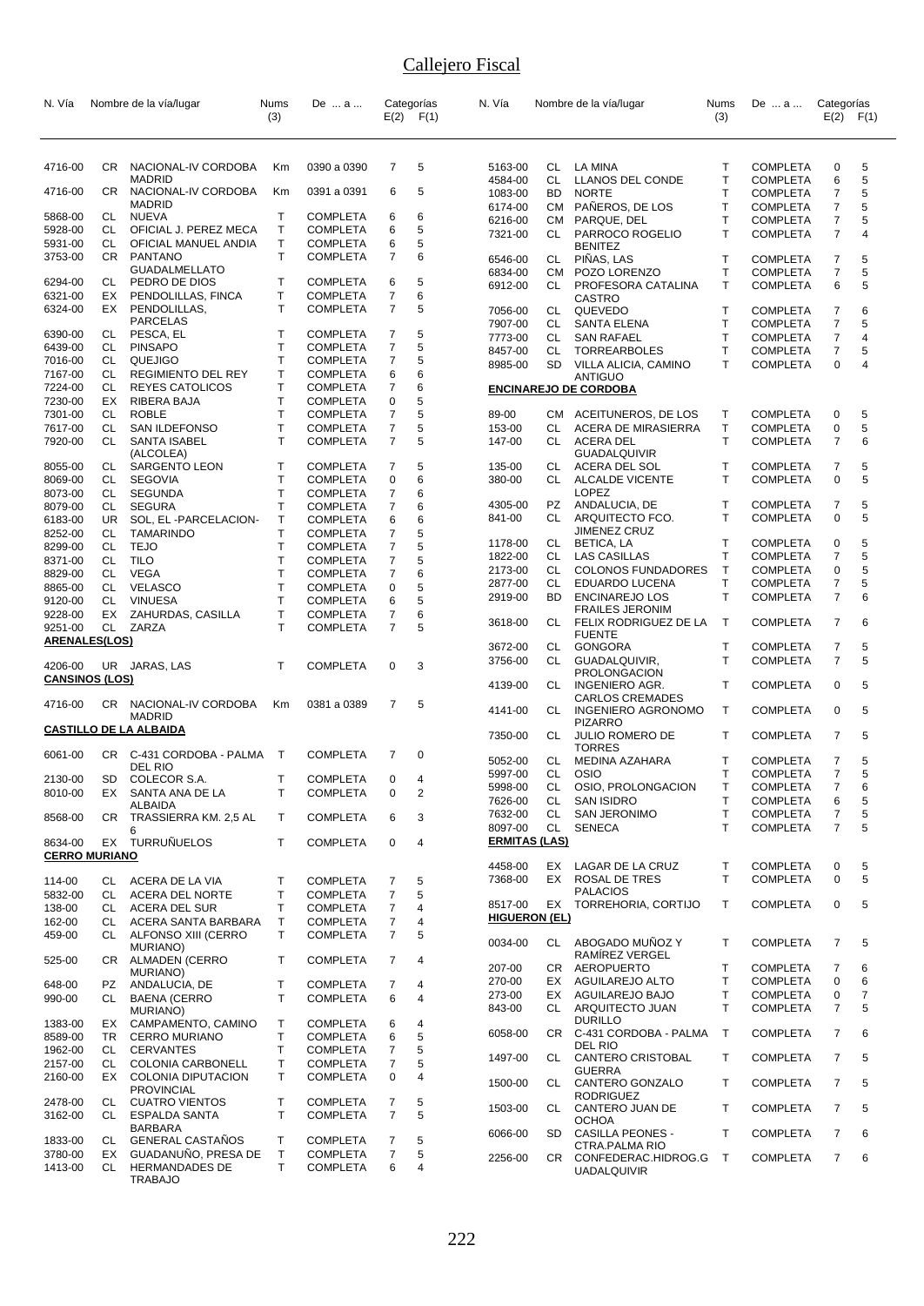| N. Vía                |                        | Nombre de la vía/lugar                   | Nums              | De … a …                           |                     | Categorías    | N. Vía               |                        | Nombre de la vía/lugar                           | Nums                         | De  a                              | Categorías          |                |
|-----------------------|------------------------|------------------------------------------|-------------------|------------------------------------|---------------------|---------------|----------------------|------------------------|--------------------------------------------------|------------------------------|------------------------------------|---------------------|----------------|
|                       |                        |                                          | (3)               |                                    |                     | $E(2)$ $F(1)$ |                      |                        |                                                  | (3)                          |                                    | E(2)                | F(1)           |
|                       |                        |                                          |                   |                                    |                     |               |                      |                        |                                                  |                              |                                    |                     |                |
| 4716-00               |                        | CR NACIONAL-IV CORDOBA                   | Km                | 0390 a 0390                        | $\overline{7}$      | 5             | 5163-00              | CL                     | LA MINA                                          | Т                            | <b>COMPLETA</b>                    | 0                   | 5              |
| 4716-00               | CR.                    | <b>MADRID</b><br>NACIONAL-IV CORDOBA     | Кm                | 0391 a 0391                        | 6                   | 5             | 4584-00<br>1083-00   | <b>CL</b><br><b>BD</b> | LLANOS DEL CONDE<br><b>NORTE</b>                 | T<br>T                       | <b>COMPLETA</b><br><b>COMPLETA</b> | 6<br>$\overline{7}$ | 5<br>5         |
|                       |                        | <b>MADRID</b>                            |                   |                                    |                     |               | 6174-00              |                        | CM PAÑEROS, DE LOS                               | т                            | <b>COMPLETA</b>                    | 7                   | 5              |
| 5868-00               | CL                     | <b>NUEVA</b>                             | $\mathsf{T}$      | <b>COMPLETA</b>                    | 6                   | 6             | 6216-00              |                        | CM PARQUE, DEL                                   | T                            | <b>COMPLETA</b>                    | 7                   | 5              |
| 5928-00               | CL.                    | OFICIAL J. PEREZ MECA                    | Τ                 | <b>COMPLETA</b>                    | 6                   | 5             | 7321-00              | CL                     | PARROCO ROGELIO                                  | T                            | <b>COMPLETA</b>                    | $\overline{7}$      | 4              |
| 5931-00<br>3753-00    | CL<br><b>CR</b>        | OFICIAL MANUEL ANDIA<br><b>PANTANO</b>   | Т<br>$\mathsf{T}$ | <b>COMPLETA</b><br><b>COMPLETA</b> | 6<br>$\overline{7}$ | 5<br>6        |                      |                        | <b>BENITEZ</b>                                   |                              |                                    |                     |                |
|                       |                        | <b>GUADALMELLATO</b>                     |                   |                                    |                     |               | 6546-00<br>6834-00   | CL<br>CM               | PIÑAS, LAS<br>POZO LORENZO                       | T<br>T                       | <b>COMPLETA</b><br><b>COMPLETA</b> | 7<br>$\overline{7}$ | 5<br>5         |
| 6294-00               | CL                     | PEDRO DE DIOS                            | Т                 | <b>COMPLETA</b>                    | 6                   | 5             | 6912-00              | CL                     | PROFESORA CATALINA                               | т                            | <b>COMPLETA</b>                    | 6                   | 5              |
| 6321-00               | EX                     | PENDOLILLAS, FINCA                       | Т                 | <b>COMPLETA</b>                    | $\overline{7}$      | 6             |                      |                        | CASTRO                                           |                              |                                    |                     |                |
| 6324-00               | EX                     | PENDOLILLAS,<br><b>PARCELAS</b>          | $\mathsf{T}$      | <b>COMPLETA</b>                    | $\overline{7}$      | 5             | 7056-00              | CL                     | QUEVEDO                                          | Τ                            | <b>COMPLETA</b>                    | 7                   | 6              |
| 6390-00               | CL                     | PESCA, EL                                | Т                 | <b>COMPLETA</b>                    | $\overline{7}$      | 5             | 7907-00<br>7773-00   | CL<br>CL               | SANTA ELENA<br><b>SAN RAFAEL</b>                 | $\mathsf{T}$<br>T            | <b>COMPLETA</b><br><b>COMPLETA</b> | $\overline{7}$<br>7 | 5<br>4         |
| 6439-00               | CL                     | <b>PINSAPO</b>                           | $\mathsf{T}$      | <b>COMPLETA</b>                    | $\overline{7}$      | 5             | 8457-00              | CL.                    | <b>TORREARBOLES</b>                              | T                            | <b>COMPLETA</b>                    | 7                   | 5              |
| 7016-00               | CL                     | QUEJIGO                                  | T                 | <b>COMPLETA</b>                    | $\overline{7}$      | 5             | 8985-00              | SD                     | VILLA ALICIA, CAMINO                             | т                            | <b>COMPLETA</b>                    | 0                   | 4              |
| 7167-00               | CL                     | REGIMIENTO DEL REY                       | Т                 | <b>COMPLETA</b>                    | 6                   | 6             |                      |                        | <b>ANTIGUO</b>                                   |                              |                                    |                     |                |
| 7224-00               | CL.                    | <b>REYES CATOLICOS</b>                   | Т                 | <b>COMPLETA</b>                    | $\overline{7}$      | 6             |                      |                        | <b>ENCINAREJO DE CORDOBA</b>                     |                              |                                    |                     |                |
| 7230-00<br>7301-00    | EX<br><b>CL</b>        | RIBERA BAJA<br><b>ROBLE</b>              | Т<br>$\mathsf{T}$ | COMPLETA<br><b>COMPLETA</b>        | 0<br>$\overline{7}$ | 5<br>5        | 89-00                |                        | CM ACEITUNEROS, DE LOS                           | $\mathsf{T}$                 | <b>COMPLETA</b>                    | 0                   | 5              |
| 7617-00               | CL                     | SAN ILDEFONSO                            | $\mathsf{T}$      | <b>COMPLETA</b>                    | $\overline{7}$      | 5             | 153-00               | CL                     | <b>ACERA DE MIRASIERRA</b>                       | $\mathsf{T}$                 | <b>COMPLETA</b>                    | 0                   | 5              |
| 7920-00               | CL                     | <b>SANTA ISABEL</b>                      | $\mathsf{T}$      | <b>COMPLETA</b>                    | $\overline{7}$      | 5             | 147-00               | CL                     | <b>ACERA DEL</b>                                 | T                            | <b>COMPLETA</b>                    | $\overline{7}$      | 6              |
|                       |                        | (ALCOLEA)                                |                   |                                    |                     |               |                      |                        | <b>GUADALQUIVIR</b>                              |                              |                                    |                     |                |
| 8055-00               | CL                     | <b>SARGENTO LEON</b>                     | Т                 | <b>COMPLETA</b>                    | 7                   | 5             | 135-00               | CL                     | ACERA DEL SOL                                    | Т                            | <b>COMPLETA</b>                    | 7                   | 5              |
| 8069-00               | CL                     | <b>SEGOVIA</b>                           | $\mathsf{T}$      | <b>COMPLETA</b>                    | $\mathbf 0$         | 6             | 380-00               | CL                     | <b>ALCALDE VICENTE</b><br><b>LOPEZ</b>           | T                            | <b>COMPLETA</b>                    | 0                   | 5              |
| 8073-00<br>8079-00    | CL<br>CL               | <b>SEGUNDA</b><br><b>SEGURA</b>          | Τ<br>Т            | <b>COMPLETA</b><br><b>COMPLETA</b> | 7<br>$\overline{7}$ | 6<br>6        | 4305-00              | PZ                     | ANDALUCIA, DE                                    | T                            | <b>COMPLETA</b>                    | 7                   | 5              |
| 6183-00               | <b>UR</b>              | SOL, EL -PARCELACION-                    | T                 | <b>COMPLETA</b>                    | 6                   | 6             | 841-00               | СL                     | ARQUITECTO FCO.                                  | T                            | <b>COMPLETA</b>                    | 0                   | 5              |
| 8252-00               | CL                     | <b>TAMARINDO</b>                         | $\mathsf{T}$      | <b>COMPLETA</b>                    | $\overline{7}$      | 5             |                      |                        | <b>JIMENEZ CRUZ</b>                              |                              |                                    |                     |                |
| 8299-00               | CL                     | <b>TEJO</b>                              | Т                 | <b>COMPLETA</b>                    | $\overline{7}$      | 5             | 1178-00              | CL                     | BETICA, LA                                       | Τ                            | <b>COMPLETA</b>                    | 0                   | 5              |
| 8371-00               | CL                     | <b>TILO</b>                              | T                 | <b>COMPLETA</b>                    | $\overline{7}$      | 5             | 1822-00<br>2173-00   | CL<br>CL               | <b>LAS CASILLAS</b><br><b>COLONOS FUNDADORES</b> | $\mathsf{T}$<br>$\mathsf{T}$ | <b>COMPLETA</b>                    | $\overline{7}$<br>0 | 5<br>5         |
| 8829-00               | CL                     | VEGA                                     | $\mathsf{T}$      | <b>COMPLETA</b>                    | $\overline{7}$      | 6             | 2877-00              | CL                     | EDUARDO LUCENA                                   | $\mathsf{T}$                 | <b>COMPLETA</b><br><b>COMPLETA</b> | 7                   | 5              |
| 8865-00<br>9120-00    | <b>CL</b><br><b>CL</b> | <b>VELASCO</b><br><b>VINUESA</b>         | T<br>$\mathsf{T}$ | <b>COMPLETA</b><br><b>COMPLETA</b> | 0<br>6              | 5<br>5        | 2919-00              | BD.                    | <b>ENCINAREJO LOS</b>                            | T                            | <b>COMPLETA</b>                    | $\overline{7}$      | 6              |
| 9228-00               | EX                     | ZAHURDAS, CASILLA                        | Τ                 | <b>COMPLETA</b>                    | 7                   | 6             |                      |                        | <b>FRAILES JERONIM</b>                           |                              |                                    |                     |                |
| 9251-00               |                        | CL ZARZA                                 | $\mathsf{T}$      | <b>COMPLETA</b>                    | $\overline{7}$      | 5             | 3618-00              | CL                     | FELIX RODRIGUEZ DE LA                            | $\mathsf{T}$                 | <b>COMPLETA</b>                    | $\overline{7}$      | 6              |
| <b>ARENALES(LOS)</b>  |                        |                                          |                   |                                    |                     |               | 3672-00              | CL                     | <b>FUENTE</b><br><b>GONGORA</b>                  | T                            | <b>COMPLETA</b>                    | 7                   | 5              |
|                       |                        |                                          |                   |                                    |                     |               | 3756-00              | CL                     | GUADALQUIVIR,                                    | т                            | <b>COMPLETA</b>                    | $\overline{7}$      | 5              |
| 4206-00               |                        | UR JARAS, LAS                            | Т                 | <b>COMPLETA</b>                    | 0                   | 3             |                      |                        | <b>PROLONGACION</b>                              |                              |                                    |                     |                |
| <b>CANSINOS (LOS)</b> |                        |                                          |                   |                                    |                     |               | 4139-00              | CL                     | <b>INGENIERO AGR.</b>                            | T                            | <b>COMPLETA</b>                    | 0                   | 5              |
| 4716-00               | CR.                    | NACIONAL-IV CORDOBA                      | Кm                | 0381 a 0389                        | 7                   | 5             |                      |                        | <b>CARLOS CREMADES</b>                           |                              |                                    |                     |                |
|                       |                        | <b>MADRID</b>                            |                   |                                    |                     |               | 4141-00              | CL                     | <b>INGENIERO AGRONOMO</b><br><b>PIZARRO</b>      | $\mathsf{T}$                 | <b>COMPLETA</b>                    | 0                   | 5              |
|                       |                        | <b>CASTILLO DE LA ALBAIDA</b>            |                   |                                    |                     |               | 7350-00              | CL                     | <b>JULIO ROMERO DE</b>                           | т                            | <b>COMPLETA</b>                    | 7                   | 5              |
| 6061-00               |                        | CR C-431 CORDOBA - PALMA                 | $\top$            | <b>COMPLETA</b>                    | 7                   | 0             |                      |                        | <b>TORRES</b>                                    |                              |                                    |                     |                |
|                       |                        | DEL RIO                                  |                   |                                    |                     |               | 5052-00              | CL                     | MEDINA AZAHARA                                   | Т                            | <b>COMPLETA</b>                    | 7                   | 5              |
| 2130-00               | SD                     | COLECOR S.A.                             | T                 | <b>COMPLETA</b>                    | 0                   | 4             | 5997-00              | <b>CL</b>              | <b>OSIO</b>                                      | T                            | <b>COMPLETA</b><br><b>COMPLETA</b> | 7<br>$\overline{7}$ | 5<br>6         |
| 8010-00               | EX                     | SANTA ANA DE LA                          |                   | COMPLETA                           | 0                   | 2             | 5998-00<br>7626-00   | CL<br>CL               | OSIO, PROLONGACION<br><b>SAN ISIDRO</b>          | Т<br>Т                       | <b>COMPLETA</b>                    | 6                   | 5              |
|                       |                        | ALBAIDA                                  |                   |                                    | 6                   |               | 7632-00              | CL                     | <b>SAN JERONIMO</b>                              | T                            | <b>COMPLETA</b>                    | 7                   | 5              |
| 8568-00               |                        | CR TRASSIERRA KM. 2,5 AL<br>6            | T.                | <b>COMPLETA</b>                    |                     | 3             | 8097-00              | CL                     | <b>SENECA</b>                                    | т                            | <b>COMPLETA</b>                    | $\overline{7}$      | 5              |
| 8634-00               |                        | EX TURRUÑUELOS                           | T                 | <b>COMPLETA</b>                    | $\mathbf 0$         | 4             | <b>ERMITAS (LAS)</b> |                        |                                                  |                              |                                    |                     |                |
| <b>CERRO MURIANO</b>  |                        |                                          |                   |                                    |                     |               | 4458-00              | EX                     | LAGAR DE LA CRUZ                                 |                              | <b>COMPLETA</b>                    |                     |                |
| 114-00                |                        | CL ACERA DE LA VIA                       | Т                 |                                    | 7                   | 5             | 7368-00              | EX                     | ROSAL DE TRES                                    | Т<br>T.                      | <b>COMPLETA</b>                    | 0<br>0              | 5<br>5         |
| 5832-00               |                        | CL ACERA DEL NORTE                       | Т                 | <b>COMPLETA</b><br><b>COMPLETA</b> | $\overline{7}$      | 5             |                      |                        | <b>PALACIOS</b>                                  |                              |                                    |                     |                |
| 138-00                |                        | CL ACERA DEL SUR                         | T                 | <b>COMPLETA</b>                    | $\overline{7}$      | 4             | 8517-00              |                        | EX TORREHORIA, CORTIJO                           | T                            | <b>COMPLETA</b>                    | 0                   | 5              |
| 162-00                | CL                     | ACERA SANTA BARBARA                      | Τ                 | <b>COMPLETA</b>                    | 7                   | 4             | <b>HIGUERON (EL)</b> |                        |                                                  |                              |                                    |                     |                |
| 459-00                |                        | CL ALFONSO XIII (CERRO                   | Τ                 | <b>COMPLETA</b>                    | $\overline{7}$      | 5             | 0034-00              |                        | CL ABOGADO MUÑOZ Y                               | T                            | <b>COMPLETA</b>                    | 7                   | 5              |
|                       |                        | <b>MURIANO)</b>                          |                   |                                    |                     |               |                      |                        | RAMIREZ VERGEL                                   |                              |                                    |                     |                |
| 525-00                |                        | CR ALMADEN (CERRO<br>MURIANO)            | T                 | <b>COMPLETA</b>                    | 7                   | 4             | 207-00               |                        | CR AEROPUERTO                                    | $\mathsf{T}$                 | <b>COMPLETA</b>                    | 7                   | 6              |
| 648-00                | PZ                     | ANDALUCIA, DE                            | Т                 | <b>COMPLETA</b>                    | $\overline{7}$      | 4             | 270-00               |                        | EX AGUILAREJO ALTO                               | т                            | <b>COMPLETA</b>                    | 0                   | 6              |
| 990-00                | CL                     | <b>BAENA (CERRO</b>                      | T.                | <b>COMPLETA</b>                    | 6                   | 4             | 273-00               | EX                     | AGUILAREJO BAJO                                  | T                            | <b>COMPLETA</b>                    | 0                   | $\overline{7}$ |
|                       |                        | <b>MURIANO</b> )                         |                   |                                    |                     |               | 843-00               |                        | CL ARQUITECTO JUAN                               | T.                           | <b>COMPLETA</b>                    | 7                   | 5              |
| 1383-00<br>8589-00    | EX                     | CAMPAMENTO, CAMINO                       | Т<br>Τ            | <b>COMPLETA</b>                    | 6<br>6              | 4<br>5        | 6058-00              | CR                     | <b>DURILLO</b><br>C-431 CORDOBA - PALMA          | $\mathsf{T}$                 | <b>COMPLETA</b>                    | $\overline{7}$      | 6              |
| 1962-00               | TR<br>CL               | <b>CERRO MURIANO</b><br><b>CERVANTES</b> | Т                 | <b>COMPLETA</b><br><b>COMPLETA</b> | $\overline{7}$      | 5             |                      |                        | DEL RIO                                          |                              |                                    |                     |                |
| 2157-00               | CL                     | COLONIA CARBONELL                        | Τ                 | <b>COMPLETA</b>                    | 7                   | 5             | 1497-00              | CL                     | <b>CANTERO CRISTOBAL</b>                         | T                            | <b>COMPLETA</b>                    | $\overline{7}$      | 5              |
| 2160-00               | EX                     | COLONIA DIPUTACION                       | T.                | <b>COMPLETA</b>                    | 0                   | 4             |                      |                        | <b>GUERRA</b>                                    |                              |                                    |                     |                |
|                       |                        | <b>PROVINCIAL</b>                        |                   |                                    |                     |               | 1500-00              | CL                     | CANTERO GONZALO<br><b>RODRIGUEZ</b>              | T.                           | <b>COMPLETA</b>                    | $\overline{7}$      | 5              |
| 2478-00               |                        | CL CUATRO VIENTOS                        | Т                 | <b>COMPLETA</b>                    | 7                   | 5             | 1503-00              | CL                     | CANTERO JUAN DE                                  | T                            | <b>COMPLETA</b>                    | $\overline{7}$      | 5              |
| 3162-00               | CL.                    | <b>ESPALDA SANTA</b><br><b>BARBARA</b>   | T.                | <b>COMPLETA</b>                    | $\overline{7}$      | 5             |                      |                        | <b>OCHOA</b>                                     |                              |                                    |                     |                |
| 1833-00               | CL                     | <b>GENERAL CASTAÑOS</b>                  | т                 | <b>COMPLETA</b>                    | 7                   | 5             | 6066-00              | SD                     | <b>CASILLA PEONES -</b>                          | T                            | <b>COMPLETA</b>                    | 7                   | 6              |
| 3780-00               | EX                     | GUADANUÑO, PRESA DE                      | Τ                 | <b>COMPLETA</b>                    | $\overline{7}$      | 5             | 2256-00              | CR                     | CTRA.PALMA RIO<br>CONFEDERAC.HIDROG.G            | T                            | <b>COMPLETA</b>                    | $\overline{7}$      | 6              |
| 1413-00               | CL                     | <b>HERMANDADES DE</b><br><b>TRABAJO</b>  | T.                | <b>COMPLETA</b>                    | 6                   | 4             |                      |                        | <b>UADALQUIVIR</b>                               |                              |                                    |                     |                |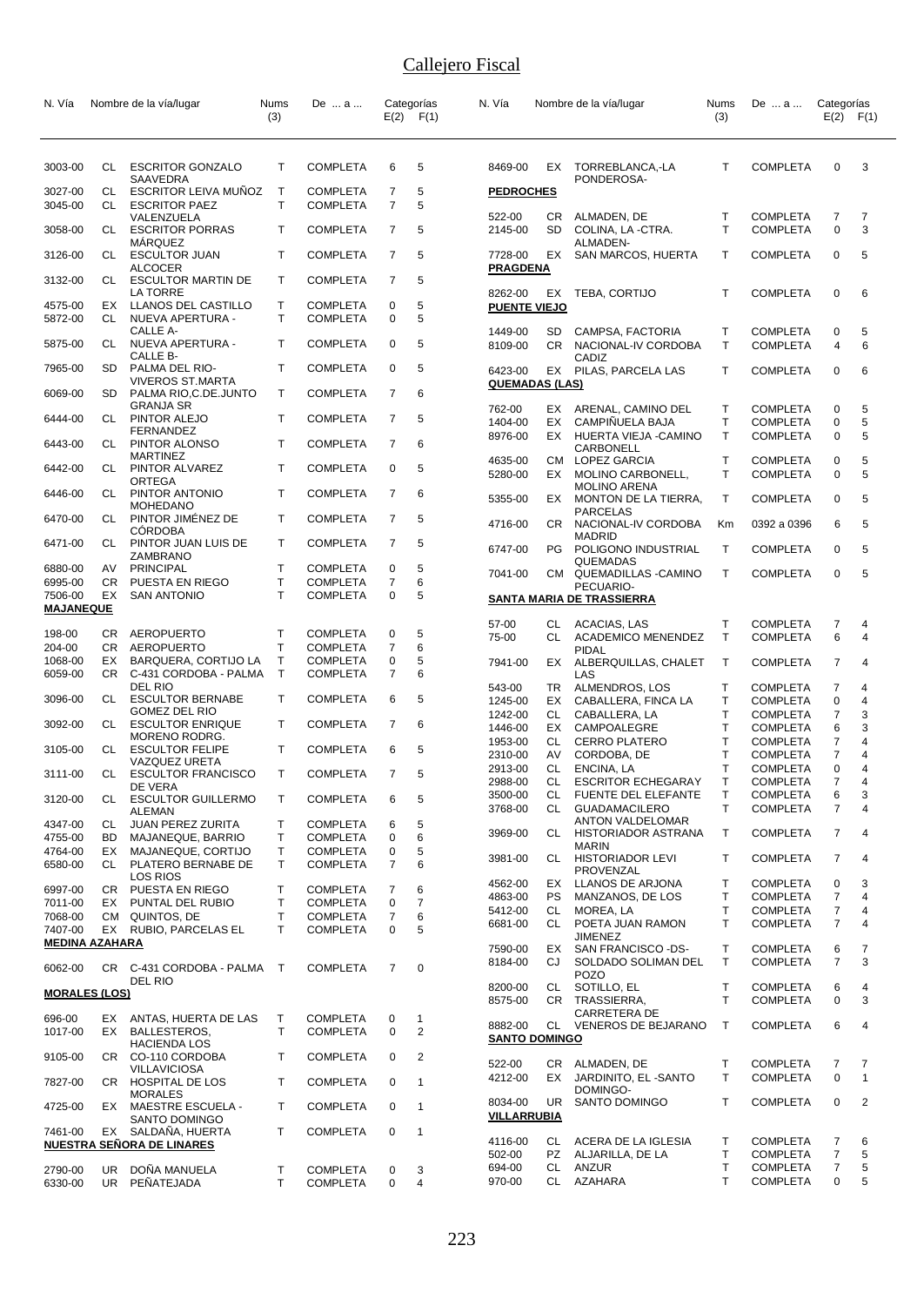| N. Vía                           |            | Nombre de la vía/lugar                                      | Nums<br>(3)        | De  a                              |                     | Categorías<br>$E(2)$ $F(1)$ | N. Vía                           |           | Nombre de la vía/lugar                                  | Nums<br>(3)                  | De  a                              | Categorías<br>E(2)  | F(1)                |
|----------------------------------|------------|-------------------------------------------------------------|--------------------|------------------------------------|---------------------|-----------------------------|----------------------------------|-----------|---------------------------------------------------------|------------------------------|------------------------------------|---------------------|---------------------|
|                                  |            |                                                             |                    |                                    |                     |                             |                                  |           |                                                         |                              |                                    |                     |                     |
| 3003-00                          | CL         | <b>ESCRITOR GONZALO</b><br>SAAVEDRA                         | Т                  | <b>COMPLETA</b>                    | 6                   | 5                           | 8469-00                          | EX        | TORREBLANCA,-LA<br>PONDEROSA-                           | т                            | <b>COMPLETA</b>                    | 0                   | 3                   |
| 3027-00                          | CL<br>CL   | ESCRITOR LEIVA MUÑOZ<br><b>ESCRITOR PAEZ</b>                | $\mathsf{T}$<br>T. | <b>COMPLETA</b>                    | 7<br>$\overline{7}$ | 5<br>5                      | <b>PEDROCHES</b>                 |           |                                                         |                              |                                    |                     |                     |
| 3045-00<br>3058-00               | CL         | VALENZUELA<br><b>ESCRITOR PORRAS</b>                        | T                  | <b>COMPLETA</b><br><b>COMPLETA</b> | 7                   | 5                           | 522-00<br>2145-00                | CR<br>SD  | ALMADEN, DE<br>COLINA, LA -CTRA.                        | т<br>T                       | <b>COMPLETA</b><br><b>COMPLETA</b> | 7<br>0              | 7<br>3              |
| 3126-00                          | CL         | <b>MARQUEZ</b><br><b>ESCULTOR JUAN</b>                      | T                  | <b>COMPLETA</b>                    | 7                   | 5                           | 7728-00                          | EX        | ALMADEN-<br><b>SAN MARCOS, HUERTA</b>                   | т                            | <b>COMPLETA</b>                    | 0                   | 5                   |
| 3132-00                          | CL         | <b>ALCOCER</b><br>ESCULTOR MARTIN DE                        | T                  | <b>COMPLETA</b>                    | 7                   | 5                           | <b>PRAGDENA</b>                  |           |                                                         |                              |                                    |                     |                     |
| 4575-00                          | EX         | LA TORRE<br>LLANOS DEL CASTILLO                             | Τ                  | <b>COMPLETA</b>                    | 0                   | 5                           | 8262-00<br><b>PUENTE VIEJO</b>   | EX        | TEBA, CORTIJO                                           | т                            | <b>COMPLETA</b>                    | 0                   | 6                   |
| 5872-00                          | CL         | NUEVA APERTURA -<br>CALLE A-                                | T.                 | <b>COMPLETA</b>                    | 0                   | 5                           | 1449-00                          | SD        | CAMPSA, FACTORIA                                        | Т                            | <b>COMPLETA</b>                    | 0                   | 5                   |
| 5875-00                          | CL         | NUEVA APERTURA -<br>CALLE B-                                | Т                  | <b>COMPLETA</b>                    | 0                   | 5                           | 8109-00                          | CR.       | NACIONAL-IV CORDOBA<br>CADIZ                            | $\mathsf{T}$                 | <b>COMPLETA</b>                    | 4                   | 6                   |
| 7965-00                          | SD.        | PALMA DEL RIO-<br>VIVEROS ST.MARTA                          | T                  | <b>COMPLETA</b>                    | 0                   | 5                           | 6423-00<br><b>QUEMADAS (LAS)</b> |           | EX PILAS, PARCELA LAS                                   | T                            | <b>COMPLETA</b>                    | 0                   | 6                   |
| 6069-00                          | SD         | PALMA RIO, C.DE. JUNTO<br><b>GRANJA SR</b><br>PINTOR ALEJO  | T<br>T             | <b>COMPLETA</b><br><b>COMPLETA</b> | 7<br>7              | 6<br>5                      | 762-00                           | EX.       | ARENAL, CAMINO DEL                                      | $\mathsf{T}$                 | <b>COMPLETA</b>                    | 0                   | 5                   |
| 6444-00<br>6443-00               | CL<br>CL.  | <b>FERNANDEZ</b><br>PINTOR ALONSO                           | Т                  | <b>COMPLETA</b>                    | 7                   | 6                           | 1404-00<br>8976-00               | EX<br>EX  | CAMPIÑUELA BAJA<br>HUERTA VIEJA -CAMINO                 | T<br>$\mathsf{T}$            | <b>COMPLETA</b><br><b>COMPLETA</b> | 0<br>0              | 5<br>5              |
| 6442-00                          | CL         | MARTINEZ<br>PINTOR ALVAREZ                                  | T                  | <b>COMPLETA</b>                    | 0                   | 5                           | 4635-00                          |           | CARBONELL<br>CM LOPEZ GARCIA                            | T                            | <b>COMPLETA</b>                    | 0                   | 5                   |
| 6446-00                          | CL         | ORTEGA<br>PINTOR ANTONIO                                    | T                  | <b>COMPLETA</b>                    | 7                   | 6                           | 5280-00                          | EX.       | MOLINO CARBONELL,<br><b>MOLINO ARENA</b>                | T                            | <b>COMPLETA</b>                    | 0                   | 5                   |
| 6470-00                          | CL         | <b>MOHEDANO</b><br>PINTOR JIMÉNEZ DE                        | T                  | <b>COMPLETA</b>                    | $\overline{7}$      | 5                           | 5355-00<br>4716-00               | EX<br>CR  | MONTON DE LA TIERRA,<br>PARCELAS<br>NACIONAL-IV CORDOBA | $\mathsf{T}$<br>Кm           | <b>COMPLETA</b><br>0392 a 0396     | 0<br>6              | 5<br>5              |
| 6471-00                          | CL         | <b>CORDOBA</b><br>PINTOR JUAN LUIS DE                       | T                  | <b>COMPLETA</b>                    | $\overline{7}$      | 5                           | 6747-00                          | PG        | <b>MADRID</b><br>POLIGONO INDUSTRIAL                    | Т                            | <b>COMPLETA</b>                    | 0                   | 5                   |
| 6880-00                          | AV         | ZAMBRANO<br><b>PRINCIPAL</b>                                | T                  | <b>COMPLETA</b>                    | 0                   | 5                           | 7041-00                          | CM.       | QUEMADAS<br>QUEMADILLAS - CAMINO                        | $\mathsf{T}$                 | <b>COMPLETA</b>                    | 0                   | 5                   |
| 6995-00<br>7506-00               | CR.<br>EX  | PUESTA EN RIEGO<br><b>SAN ANTONIO</b>                       | Т<br>T             | <b>COMPLETA</b><br><b>COMPLETA</b> | 7<br>0              | 6<br>5                      |                                  |           | PECUARIO-<br>SANTA MARIA DE TRASSIERRA                  |                              |                                    |                     |                     |
| <b>MAJANEQUE</b>                 |            |                                                             |                    |                                    |                     |                             | 57-00                            | CL        | ACACIAS, LAS                                            | Т                            | <b>COMPLETA</b>                    | 7                   | 4                   |
| 198-00                           | CR.        | <b>AEROPUERTO</b>                                           | т                  | <b>COMPLETA</b>                    | 0                   | 5                           | 75-00                            | CL        | <b>ACADEMICO MENENDEZ</b>                               | Т                            | <b>COMPLETA</b>                    | 6                   | 4                   |
| 204-00<br>1068-00                | CR.<br>EX  | <b>AEROPUERTO</b><br>BARQUERA, CORTIJO LA                   | Т<br>Т             | <b>COMPLETA</b><br><b>COMPLETA</b> | 7<br>0              | 6<br>5                      | 7941-00                          |           | PIDAL<br>EX ALBERQUILLAS, CHALET                        | $\mathsf{T}$                 | <b>COMPLETA</b>                    | 7                   | 4                   |
| 6059-00                          | CR         | C-431 CORDOBA - PALMA<br>DEL RIO                            | T.                 | <b>COMPLETA</b>                    | 7                   | 6                           | 543-00                           | TR        | LAS<br>ALMENDROS, LOS                                   | Т                            | <b>COMPLETA</b>                    | $\overline{7}$      | 4                   |
| 3096-00                          | CL         | <b>ESCULTOR BERNABE</b><br>GOMEZ DEL RIO                    | T                  | <b>COMPLETA</b>                    | 6                   | 5                           | 1245-00<br>1242-00               | EX<br>CL  | CABALLERA, FINCA LA<br>CABALLERA, LA                    | T<br>T                       | <b>COMPLETA</b><br><b>COMPLETA</b> | 0<br>7              | 4<br>3              |
| 3092-00                          | CL         | <b>ESCULTOR ENRIQUE</b><br>MORENO RODRG.                    | T                  | <b>COMPLETA</b>                    | 7                   | 6                           | 1446-00                          | EX        | CAMPOALEGRE                                             | T                            | <b>COMPLETA</b>                    | 6                   | 3                   |
| 3105-00                          | CL         | <b>ESCULTOR FELIPE</b>                                      | T                  | <b>COMPLETA</b>                    | 6                   | 5                           | 1953-00<br>2310-00               | CL.<br>AV | <b>CERRO PLATERO</b><br>CORDOBA, DE                     | T<br>Τ                       | <b>COMPLETA</b><br><b>COMPLETA</b> | 7<br>7              | 4<br>4              |
| 3111-00                          | CL         | VAZQUEZ URETA                                               | T                  | <b>COMPLETA</b>                    | 7                   | 5                           | 2913-00                          | CL        | ENCINA, LA                                              | T                            | <b>COMPLETA</b>                    | $\mathbf 0$         | 4                   |
|                                  |            | <b>ESCULTOR FRANCISCO</b><br>DE VERA                        |                    |                                    |                     |                             | 2988-00                          | СL        | <b>ESCRITOR ECHEGARAY</b>                               | T                            | <b>COMPLETA</b>                    | $\overline{7}$      | 4                   |
| 3120-00                          | CL         | <b>ESCULTOR GUILLERMO</b><br><b>ALEMAN</b>                  | T.                 | <b>COMPLETA</b>                    | 6                   | 5                           | 3500-00<br>3768-00               | CL<br>CL  | FUENTE DEL ELEFANTE<br><b>GUADAMACILERO</b>             | Τ<br>T                       | <b>COMPLETA</b><br><b>COMPLETA</b> | 6<br>$\overline{7}$ | 3<br>4              |
| 4347-00<br>4755-00               | CL<br>BD.  | JUAN PEREZ ZURITA<br>MAJANEQUE, BARRIO                      | т<br>Т             | <b>COMPLETA</b><br><b>COMPLETA</b> | 6<br>0              | 5<br>6                      | 3969-00                          | CL        | <b>ANTON VALDELOMAR</b><br>HISTORIADOR ASTRANA          | $\mathsf T$                  | <b>COMPLETA</b>                    | $\overline{7}$      | 4                   |
| 4764-00                          | EX         | MAJANEQUE, CORTIJO                                          | T.                 | <b>COMPLETA</b>                    | 0                   | 5                           |                                  |           | <b>MARIN</b>                                            |                              |                                    |                     |                     |
| 6580-00                          | CL         | PLATERO BERNABE DE<br>LOS RIOS                              | T.                 | <b>COMPLETA</b>                    | $\overline{7}$      | 6                           | 3981-00                          | CL        | <b>HISTORIADOR LEVI</b><br>PROVENZAL                    | т                            | <b>COMPLETA</b>                    | 7                   | 4                   |
| 6997-00                          |            | CR PUESTA EN RIEGO                                          | т                  | <b>COMPLETA</b>                    | 7                   | 6                           | 4562-00<br>4863-00               | EX<br>PS  | LLANOS DE ARJONA<br>MANZANOS, DE LOS                    | T<br>Т                       | <b>COMPLETA</b><br><b>COMPLETA</b> | 0<br>7              | 3<br>4              |
| 7011-00<br>7068-00               | EX         | PUNTAL DEL RUBIO                                            | Т                  | <b>COMPLETA</b>                    | 0                   | $\overline{7}$              | 5412-00                          | CL        | MOREA, LA                                               | $\mathsf{T}$                 | <b>COMPLETA</b>                    | 7                   | 4                   |
| 7407-00                          | CМ<br>EX   | QUINTOS, DE<br>RUBIO, PARCELAS EL                           | Т<br>T             | <b>COMPLETA</b><br><b>COMPLETA</b> | 7<br>0              | 6<br>5                      | 6681-00                          | CL        | POETA JUAN RAMON<br><b>JIMENEZ</b>                      | $\mathsf{T}$                 | <b>COMPLETA</b>                    | 7                   | 4                   |
| <b>MEDINA AZAHARA</b><br>6062-00 |            | CR C-431 CORDOBA - PALMA                                    | $\mathsf{T}$       | <b>COMPLETA</b>                    | 7                   | 0                           | 7590-00<br>8184-00               | EX<br>CJ  | SAN FRANCISCO -DS-<br>SOLDADO SOLIMAN DEL               | $\mathsf{T}$<br>$\mathsf{T}$ | <b>COMPLETA</b><br><b>COMPLETA</b> | 6<br>7              | $\overline{7}$<br>3 |
| <b>MORALES (LOS)</b>             |            | DEL RIO                                                     |                    |                                    |                     |                             | 8200-00                          | CL        | <b>POZO</b><br>SOTILLO, EL                              | T                            | <b>COMPLETA</b>                    | 6                   | 4                   |
|                                  |            |                                                             |                    |                                    |                     |                             | 8575-00                          | CR .      | TRASSIERRA,<br>CARRETERA DE                             | T                            | <b>COMPLETA</b>                    | 0                   | 3                   |
| 696-00<br>1017-00                | EX         | EX ANTAS, HUERTA DE LAS<br><b>BALLESTEROS,</b>              | Т<br>T.            | <b>COMPLETA</b><br><b>COMPLETA</b> | 0<br>0              | 1<br>$\overline{2}$         | 8882-00<br><b>SANTO DOMINGO</b>  |           | CL VENEROS DE BEJARANO                                  | $\mathsf{T}$                 | <b>COMPLETA</b>                    | 6                   | 4                   |
| 9105-00                          |            | <b>HACIENDA LOS</b><br>CR CO-110 CORDOBA                    | T                  | <b>COMPLETA</b>                    | 0                   | 2                           | 522-00                           | CR        | ALMADEN, DE                                             | Τ                            | <b>COMPLETA</b>                    | 7                   | 7                   |
| 7827-00                          |            | <b>VILLAVICIOSA</b><br>CR HOSPITAL DE LOS                   | T                  | <b>COMPLETA</b>                    | 0                   | 1                           | 4212-00                          | EX.       | JARDINITO, EL-SANTO<br>DOMINGO-                         | $\mathsf{T}$                 | <b>COMPLETA</b>                    | 0                   | $\mathbf{1}$        |
| 4725-00                          | EX         | <b>MORALES</b><br><b>MAESTRE ESCUELA -</b><br>SANTO DOMINGO | T                  | <b>COMPLETA</b>                    | $\mathbf 0$         | 1                           | 8034-00<br>VILLARRUBIA           | UR        | SANTO DOMINGO                                           | T                            | <b>COMPLETA</b>                    | 0                   | $\overline{2}$      |
| 7461-00                          |            | EX SALDANA, HUERTA<br><b>NUESTRA SEÑORA DE LINARES</b>      | T                  | <b>COMPLETA</b>                    | 0                   | 1                           | 4116-00                          | CL        | ACERA DE LA IGLESIA                                     | т                            | <b>COMPLETA</b>                    | 7                   | 6                   |
|                                  |            |                                                             |                    |                                    |                     |                             | 502-00                           | PZ        | ALJARILLA, DE LA                                        | Τ                            | <b>COMPLETA</b>                    | $\overline{7}$      | 5                   |
| 2790-00<br>6330-00               | UR.<br>UR. | DOÑA MANUELA<br>PEÑATEJADA                                  | т<br>T             | <b>COMPLETA</b><br><b>COMPLETA</b> | 0<br>0              | 3<br>4                      | 694-00<br>970-00                 | CL<br>CL  | <b>ANZUR</b><br>AZAHARA                                 | $\mathsf{T}$<br>T            | <b>COMPLETA</b><br><b>COMPLETA</b> | 7<br>$\mathbf 0$    | 5<br>5              |